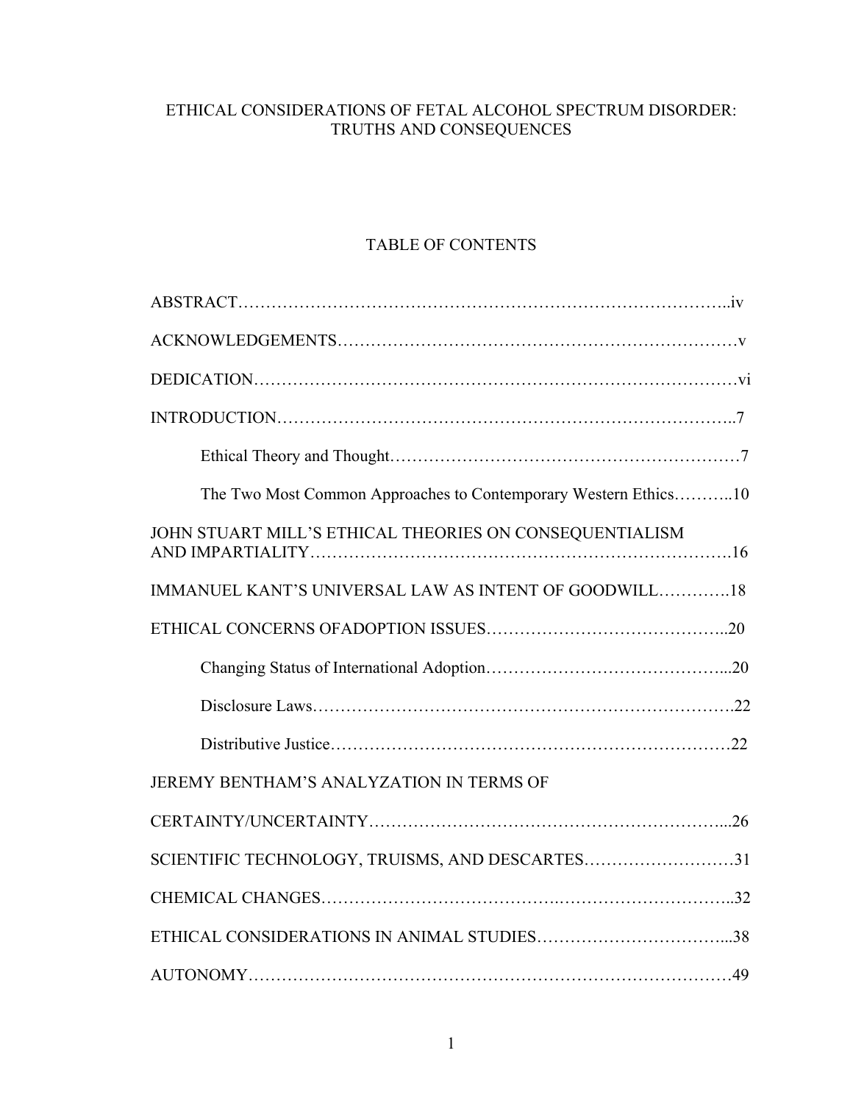# ETHICAL CONSIDERATIONS OF FETAL ALCOHOL SPECTRUM DISORDER: TRUTHS AND CONSEQUENCES

# TABLE OF CONTENTS

| The Two Most Common Approaches to Contemporary Western Ethics10 |
|-----------------------------------------------------------------|
| JOHN STUART MILL'S ETHICAL THEORIES ON CONSEQUENTIALISM         |
| IMMANUEL KANT'S UNIVERSAL LAW AS INTENT OF GOODWILL18           |
|                                                                 |
|                                                                 |
|                                                                 |
|                                                                 |
| <b>JEREMY BENTHAM'S ANALYZATION IN TERMS OF</b>                 |
|                                                                 |
| SCIENTIFIC TECHNOLOGY, TRUISMS, AND DESCARTES31                 |
|                                                                 |
|                                                                 |
|                                                                 |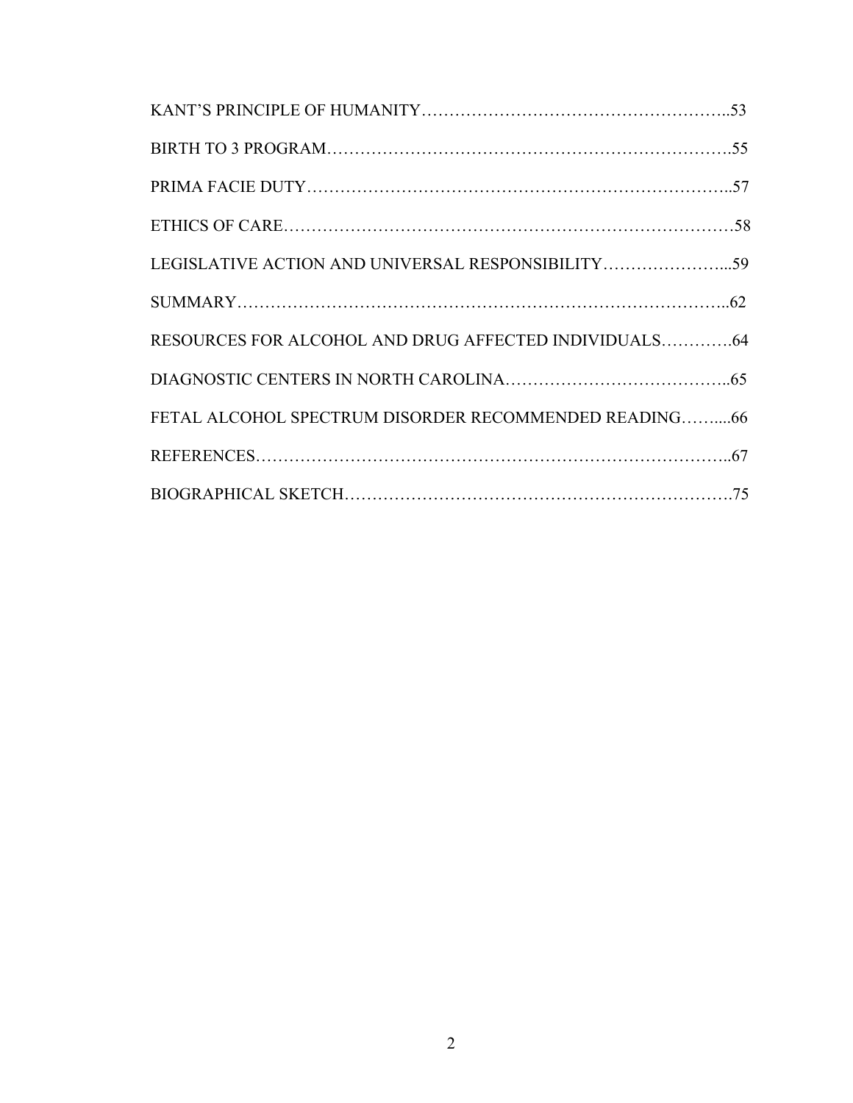| LEGISLATIVE ACTION AND UNIVERSAL RESPONSIBILITY59     |  |
|-------------------------------------------------------|--|
|                                                       |  |
| RESOURCES FOR ALCOHOL AND DRUG AFFECTED INDIVIDUALS64 |  |
|                                                       |  |
| FETAL ALCOHOL SPECTRUM DISORDER RECOMMENDED READING66 |  |
|                                                       |  |
|                                                       |  |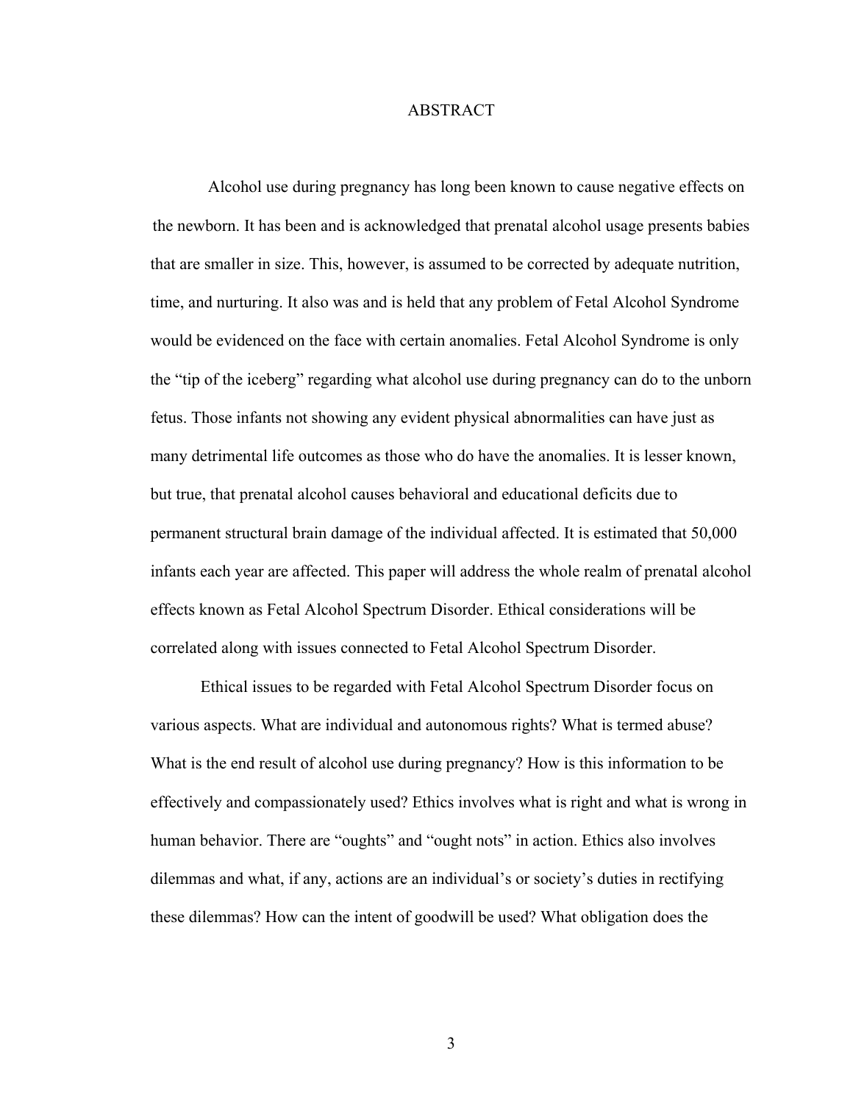#### ABSTRACT

 Alcohol use during pregnancy has long been known to cause negative effects on the newborn. It has been and is acknowledged that prenatal alcohol usage presents babies that are smaller in size. This, however, is assumed to be corrected by adequate nutrition, time, and nurturing. It also was and is held that any problem of Fetal Alcohol Syndrome would be evidenced on the face with certain anomalies. Fetal Alcohol Syndrome is only the "tip of the iceberg" regarding what alcohol use during pregnancy can do to the unborn fetus. Those infants not showing any evident physical abnormalities can have just as many detrimental life outcomes as those who do have the anomalies. It is lesser known, but true, that prenatal alcohol causes behavioral and educational deficits due to permanent structural brain damage of the individual affected. It is estimated that 50,000 infants each year are affected. This paper will address the whole realm of prenatal alcohol effects known as Fetal Alcohol Spectrum Disorder. Ethical considerations will be correlated along with issues connected to Fetal Alcohol Spectrum Disorder.

 Ethical issues to be regarded with Fetal Alcohol Spectrum Disorder focus on various aspects. What are individual and autonomous rights? What is termed abuse? What is the end result of alcohol use during pregnancy? How is this information to be effectively and compassionately used? Ethics involves what is right and what is wrong in human behavior. There are "oughts" and "ought nots" in action. Ethics also involves dilemmas and what, if any, actions are an individual's or society's duties in rectifying these dilemmas? How can the intent of goodwill be used? What obligation does the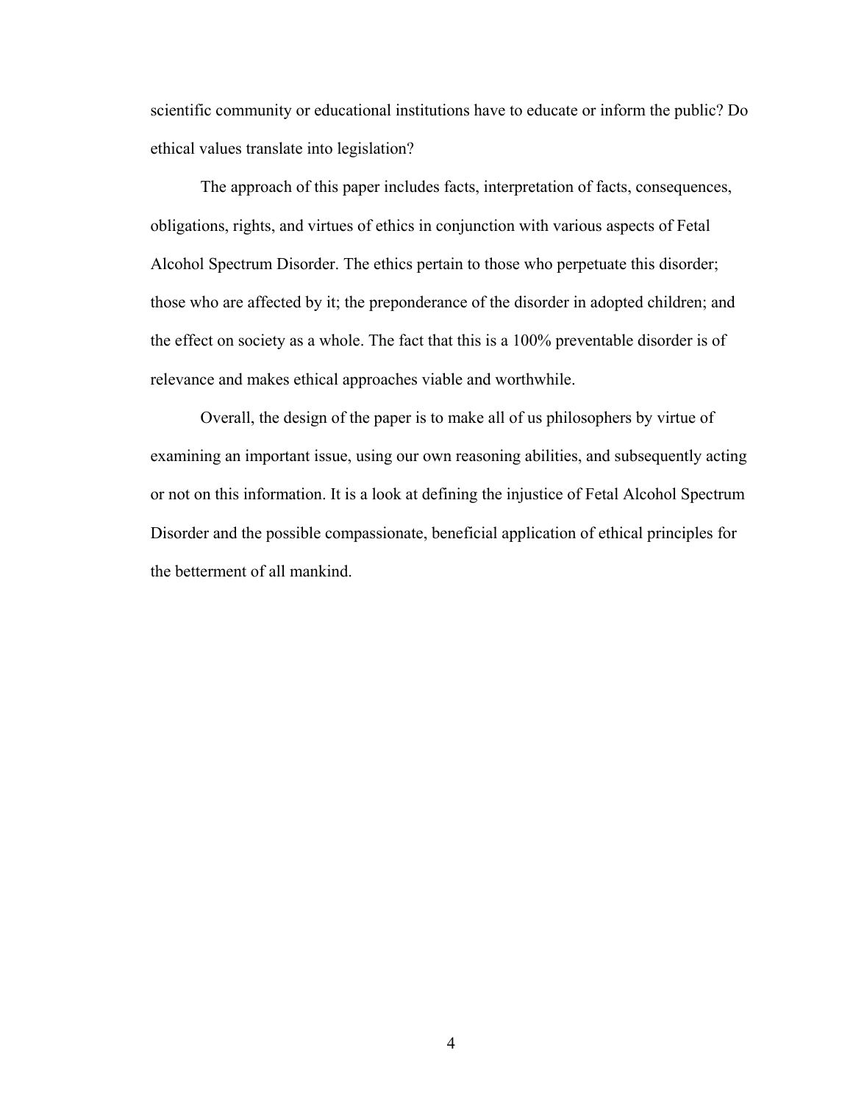scientific community or educational institutions have to educate or inform the public? Do ethical values translate into legislation?

The approach of this paper includes facts, interpretation of facts, consequences, obligations, rights, and virtues of ethics in conjunction with various aspects of Fetal Alcohol Spectrum Disorder. The ethics pertain to those who perpetuate this disorder; those who are affected by it; the preponderance of the disorder in adopted children; and the effect on society as a whole. The fact that this is a 100% preventable disorder is of relevance and makes ethical approaches viable and worthwhile.

 Overall, the design of the paper is to make all of us philosophers by virtue of examining an important issue, using our own reasoning abilities, and subsequently acting or not on this information. It is a look at defining the injustice of Fetal Alcohol Spectrum Disorder and the possible compassionate, beneficial application of ethical principles for the betterment of all mankind.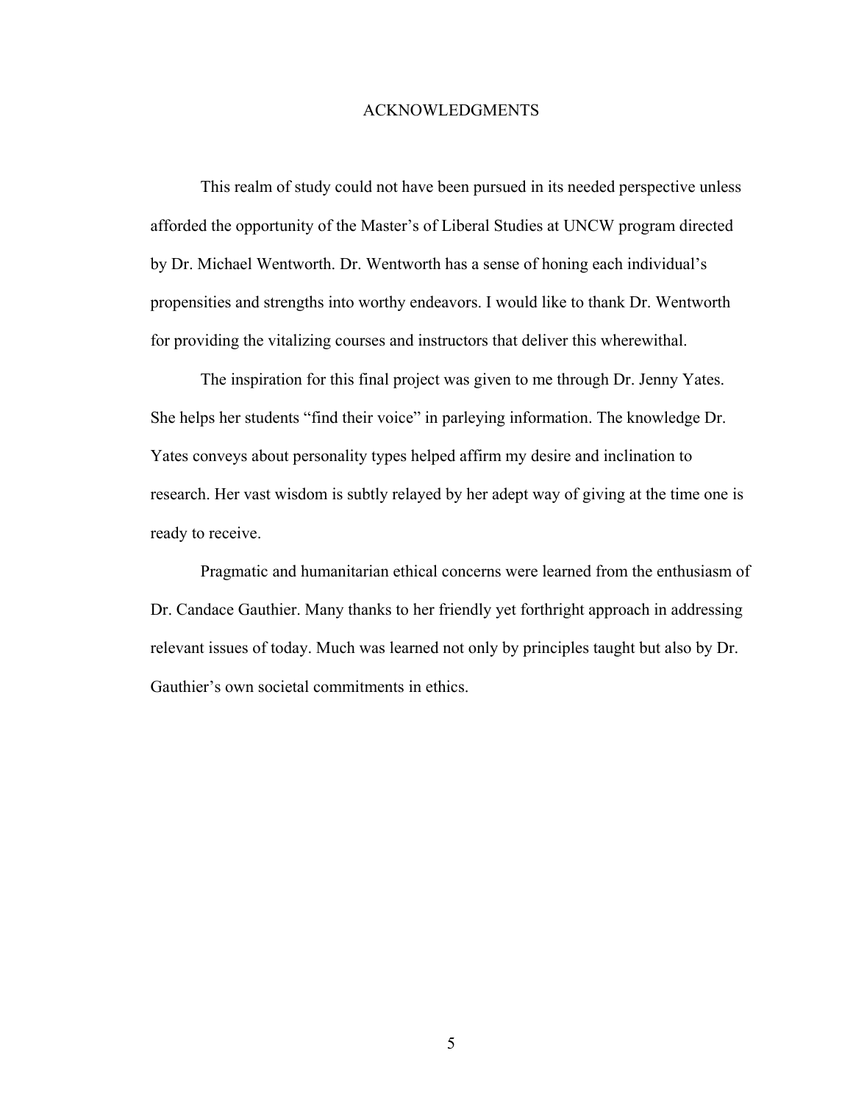#### ACKNOWLEDGMENTS

 This realm of study could not have been pursued in its needed perspective unless afforded the opportunity of the Master's of Liberal Studies at UNCW program directed by Dr. Michael Wentworth. Dr. Wentworth has a sense of honing each individual's propensities and strengths into worthy endeavors. I would like to thank Dr. Wentworth for providing the vitalizing courses and instructors that deliver this wherewithal.

 The inspiration for this final project was given to me through Dr. Jenny Yates. She helps her students "find their voice" in parleying information. The knowledge Dr. Yates conveys about personality types helped affirm my desire and inclination to research. Her vast wisdom is subtly relayed by her adept way of giving at the time one is ready to receive.

 Pragmatic and humanitarian ethical concerns were learned from the enthusiasm of Dr. Candace Gauthier. Many thanks to her friendly yet forthright approach in addressing relevant issues of today. Much was learned not only by principles taught but also by Dr. Gauthier's own societal commitments in ethics.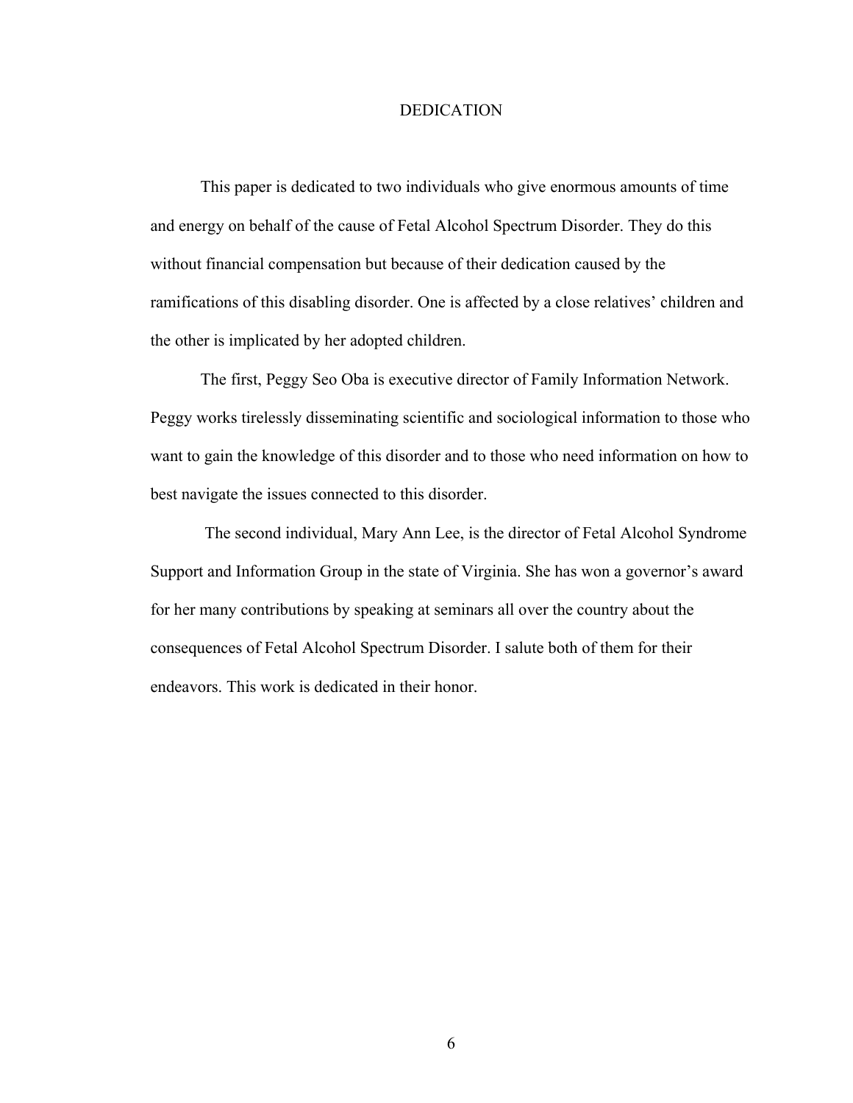#### DEDICATION

 This paper is dedicated to two individuals who give enormous amounts of time and energy on behalf of the cause of Fetal Alcohol Spectrum Disorder. They do this without financial compensation but because of their dedication caused by the ramifications of this disabling disorder. One is affected by a close relatives' children and the other is implicated by her adopted children.

The first, Peggy Seo Oba is executive director of Family Information Network. Peggy works tirelessly disseminating scientific and sociological information to those who want to gain the knowledge of this disorder and to those who need information on how to best navigate the issues connected to this disorder.

 The second individual, Mary Ann Lee, is the director of Fetal Alcohol Syndrome Support and Information Group in the state of Virginia. She has won a governor's award for her many contributions by speaking at seminars all over the country about the consequences of Fetal Alcohol Spectrum Disorder. I salute both of them for their endeavors. This work is dedicated in their honor.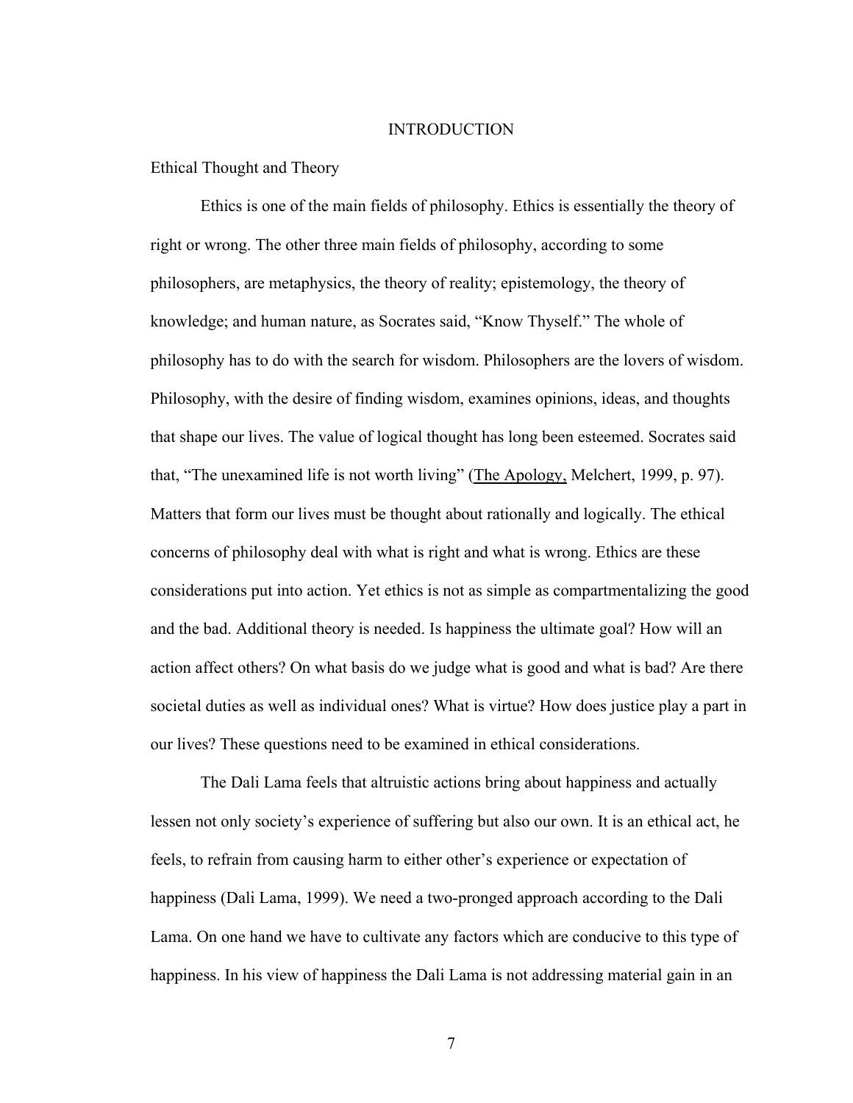#### INTRODUCTION

Ethical Thought and Theory

Ethics is one of the main fields of philosophy. Ethics is essentially the theory of right or wrong. The other three main fields of philosophy, according to some philosophers, are metaphysics, the theory of reality; epistemology, the theory of knowledge; and human nature, as Socrates said, "Know Thyself." The whole of philosophy has to do with the search for wisdom. Philosophers are the lovers of wisdom. Philosophy, with the desire of finding wisdom, examines opinions, ideas, and thoughts that shape our lives. The value of logical thought has long been esteemed. Socrates said that, "The unexamined life is not worth living" (The Apology, Melchert, 1999, p. 97). Matters that form our lives must be thought about rationally and logically. The ethical concerns of philosophy deal with what is right and what is wrong. Ethics are these considerations put into action. Yet ethics is not as simple as compartmentalizing the good and the bad. Additional theory is needed. Is happiness the ultimate goal? How will an action affect others? On what basis do we judge what is good and what is bad? Are there societal duties as well as individual ones? What is virtue? How does justice play a part in our lives? These questions need to be examined in ethical considerations.

 The Dali Lama feels that altruistic actions bring about happiness and actually lessen not only society's experience of suffering but also our own. It is an ethical act, he feels, to refrain from causing harm to either other's experience or expectation of happiness (Dali Lama, 1999). We need a two-pronged approach according to the Dali Lama. On one hand we have to cultivate any factors which are conducive to this type of happiness. In his view of happiness the Dali Lama is not addressing material gain in an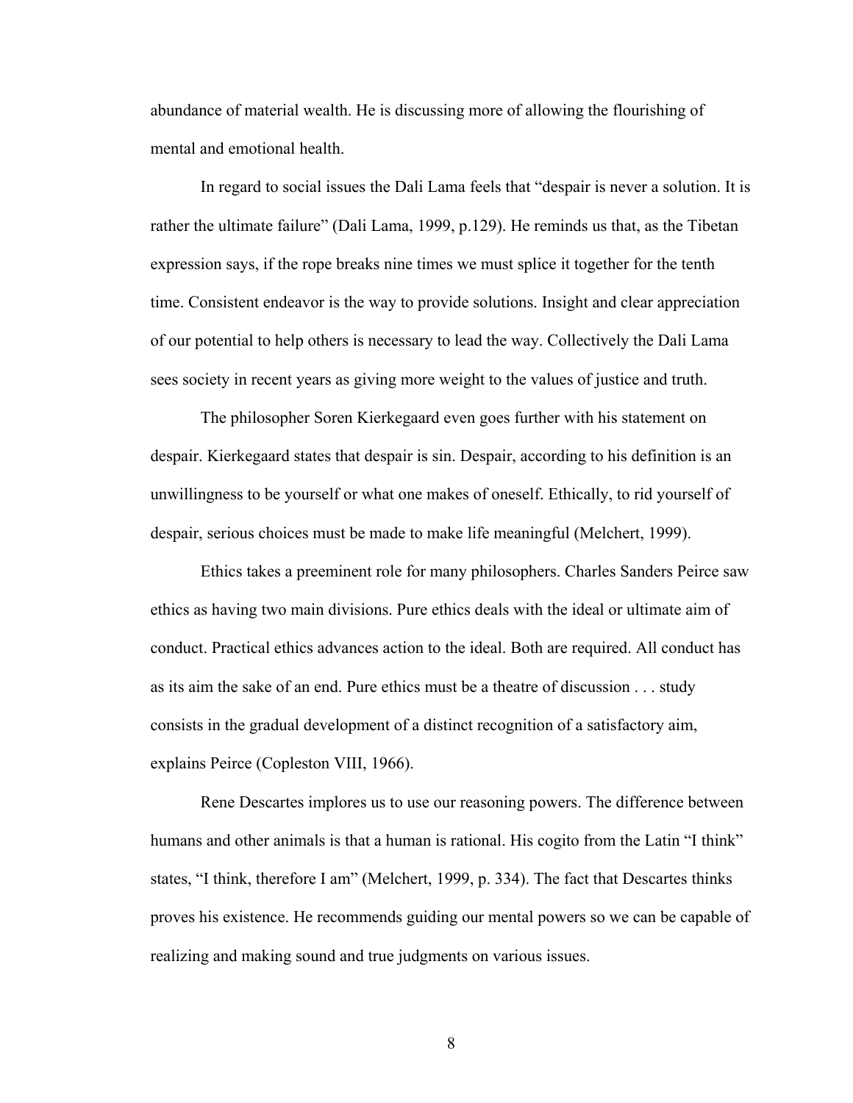abundance of material wealth. He is discussing more of allowing the flourishing of mental and emotional health.

 In regard to social issues the Dali Lama feels that "despair is never a solution. It is rather the ultimate failure" (Dali Lama, 1999, p.129). He reminds us that, as the Tibetan expression says, if the rope breaks nine times we must splice it together for the tenth time. Consistent endeavor is the way to provide solutions. Insight and clear appreciation of our potential to help others is necessary to lead the way. Collectively the Dali Lama sees society in recent years as giving more weight to the values of justice and truth.

 The philosopher Soren Kierkegaard even goes further with his statement on despair. Kierkegaard states that despair is sin. Despair, according to his definition is an unwillingness to be yourself or what one makes of oneself. Ethically, to rid yourself of despair, serious choices must be made to make life meaningful (Melchert, 1999).

 Ethics takes a preeminent role for many philosophers. Charles Sanders Peirce saw ethics as having two main divisions. Pure ethics deals with the ideal or ultimate aim of conduct. Practical ethics advances action to the ideal. Both are required. All conduct has as its aim the sake of an end. Pure ethics must be a theatre of discussion . . . study consists in the gradual development of a distinct recognition of a satisfactory aim, explains Peirce (Copleston VIII, 1966).

Rene Descartes implores us to use our reasoning powers. The difference between humans and other animals is that a human is rational. His cogito from the Latin "I think" states, "I think, therefore I am" (Melchert, 1999, p. 334). The fact that Descartes thinks proves his existence. He recommends guiding our mental powers so we can be capable of realizing and making sound and true judgments on various issues.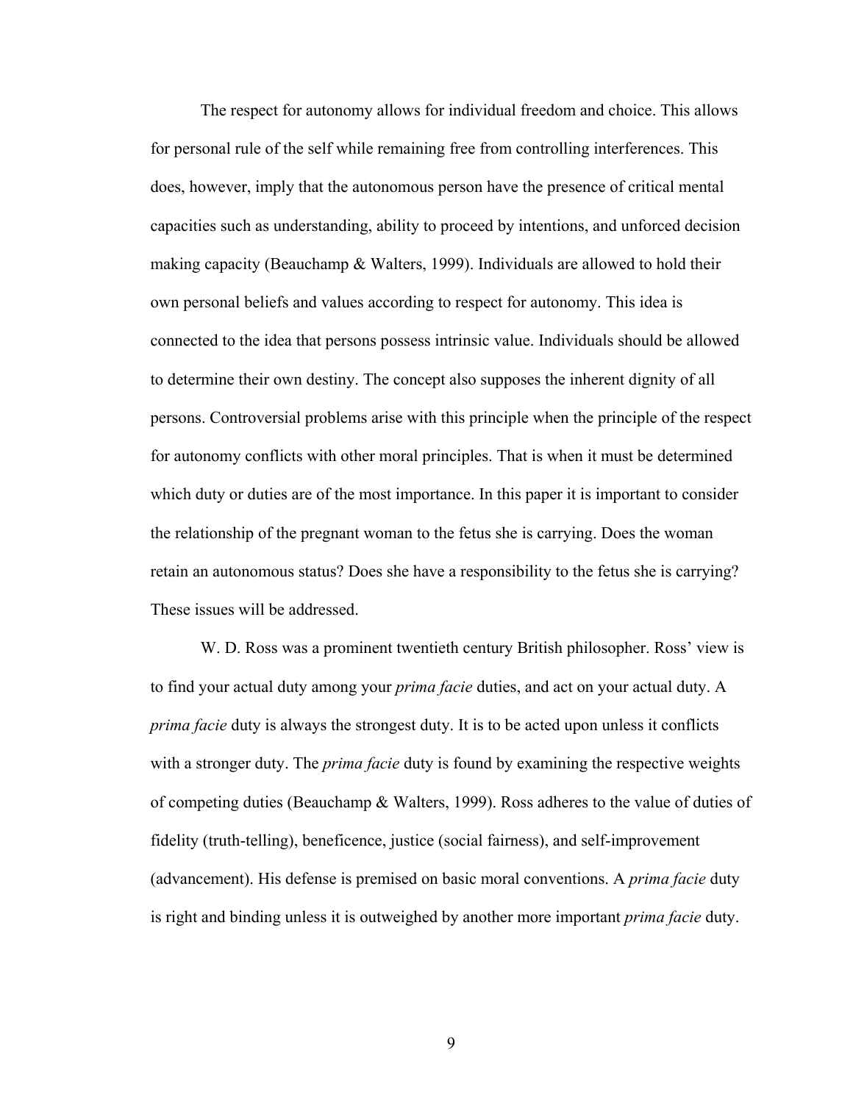The respect for autonomy allows for individual freedom and choice. This allows for personal rule of the self while remaining free from controlling interferences. This does, however, imply that the autonomous person have the presence of critical mental capacities such as understanding, ability to proceed by intentions, and unforced decision making capacity (Beauchamp  $&$  Walters, 1999). Individuals are allowed to hold their own personal beliefs and values according to respect for autonomy. This idea is connected to the idea that persons possess intrinsic value. Individuals should be allowed to determine their own destiny. The concept also supposes the inherent dignity of all persons. Controversial problems arise with this principle when the principle of the respect for autonomy conflicts with other moral principles. That is when it must be determined which duty or duties are of the most importance. In this paper it is important to consider the relationship of the pregnant woman to the fetus she is carrying. Does the woman retain an autonomous status? Does she have a responsibility to the fetus she is carrying? These issues will be addressed.

W. D. Ross was a prominent twentieth century British philosopher. Ross' view is to find your actual duty among your *prima facie* duties, and act on your actual duty. A *prima facie* duty is always the strongest duty. It is to be acted upon unless it conflicts with a stronger duty. The *prima facie* duty is found by examining the respective weights of competing duties (Beauchamp & Walters, 1999). Ross adheres to the value of duties of fidelity (truth-telling), beneficence, justice (social fairness), and self-improvement (advancement). His defense is premised on basic moral conventions. A *prima facie* duty is right and binding unless it is outweighed by another more important *prima facie* duty.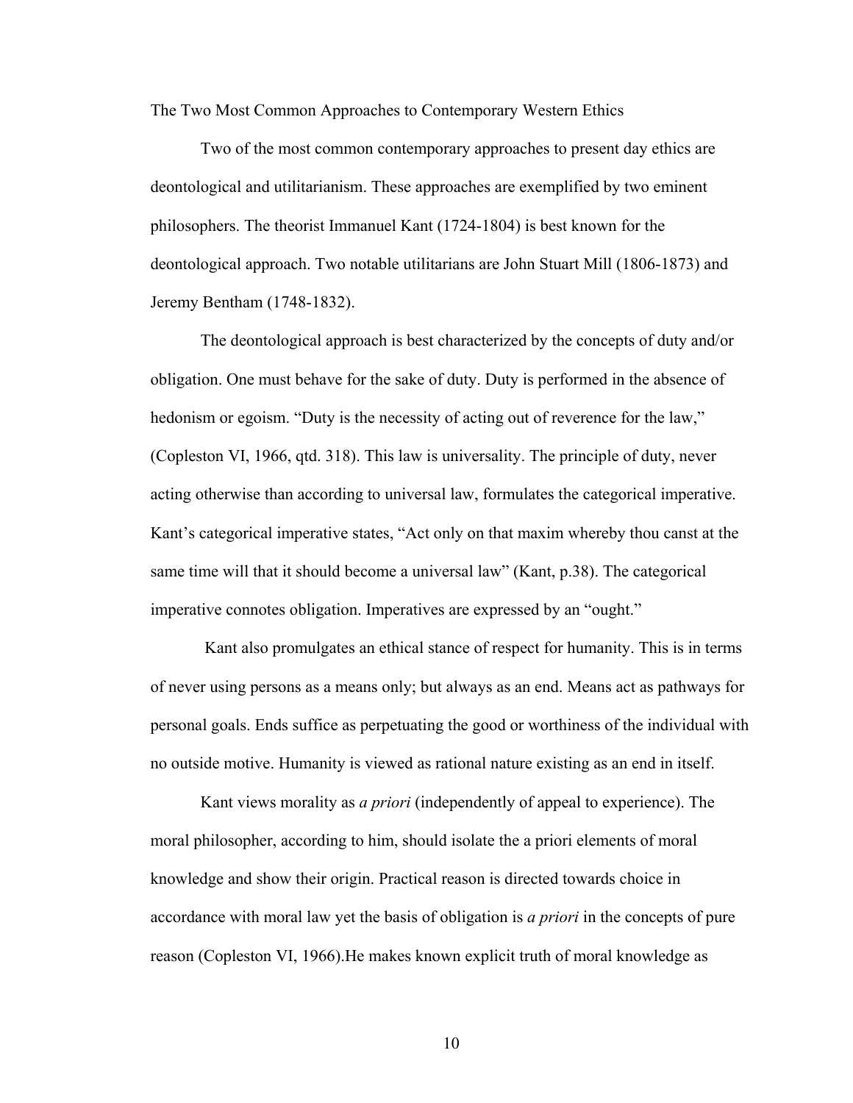The Two Most Common Approaches to Contemporary Western Ethics

Two of the most common contemporary approaches to present day ethics are deontological and utilitarianism. These approaches are exemplified by two eminent philosophers. The theorist Immanuel Kant (1724-1804) is best known for the deontological approach. Two notable utilitarians are John Stuart Mill (1806-1873) and Jeremy Bentham (1748-1832).

The deontological approach is best characterized by the concepts of duty and/or obligation. One must behave for the sake of duty. Duty is performed in the absence of hedonism or egoism. "Duty is the necessity of acting out of reverence for the law," (Copleston VI, 1966, qtd. 318). This law is universality. The principle of duty, never acting otherwise than according to universal law, formulates the categorical imperative. Kant's categorical imperative states, "Act only on that maxim whereby thou canst at the same time will that it should become a universal law" (Kant, p.38). The categorical imperative connotes obligation. Imperatives are expressed by an "ought."

 Kant also promulgates an ethical stance of respect for humanity. This is in terms of never using persons as a means only; but always as an end. Means act as pathways for personal goals. Ends suffice as perpetuating the good or worthiness of the individual with no outside motive. Humanity is viewed as rational nature existing as an end in itself.

Kant views morality as *a priori* (independently of appeal to experience). The moral philosopher, according to him, should isolate the a priori elements of moral knowledge and show their origin. Practical reason is directed towards choice in accordance with moral law yet the basis of obligation is *a priori* in the concepts of pure reason (Copleston VI, 1966).He makes known explicit truth of moral knowledge as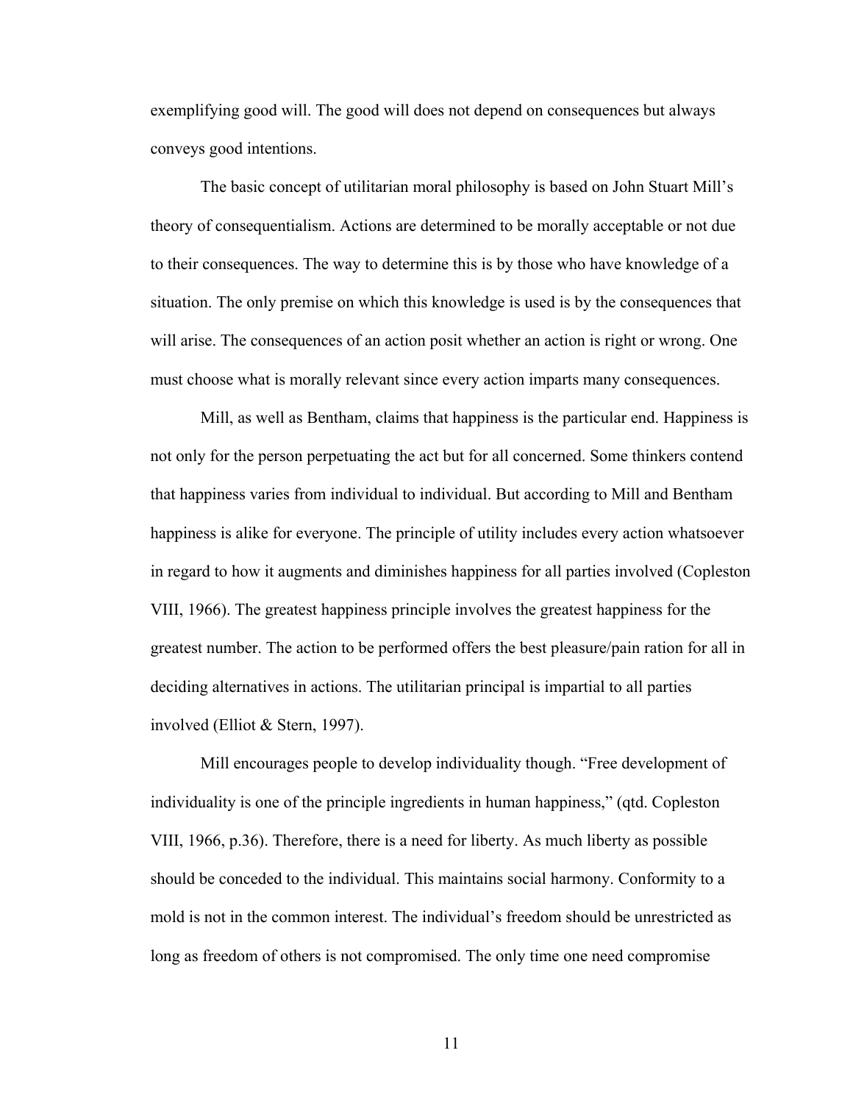exemplifying good will. The good will does not depend on consequences but always conveys good intentions.

 The basic concept of utilitarian moral philosophy is based on John Stuart Mill's theory of consequentialism. Actions are determined to be morally acceptable or not due to their consequences. The way to determine this is by those who have knowledge of a situation. The only premise on which this knowledge is used is by the consequences that will arise. The consequences of an action posit whether an action is right or wrong. One must choose what is morally relevant since every action imparts many consequences.

 Mill, as well as Bentham, claims that happiness is the particular end. Happiness is not only for the person perpetuating the act but for all concerned. Some thinkers contend that happiness varies from individual to individual. But according to Mill and Bentham happiness is alike for everyone. The principle of utility includes every action whatsoever in regard to how it augments and diminishes happiness for all parties involved (Copleston VIII, 1966). The greatest happiness principle involves the greatest happiness for the greatest number. The action to be performed offers the best pleasure/pain ration for all in deciding alternatives in actions. The utilitarian principal is impartial to all parties involved (Elliot & Stern, 1997).

Mill encourages people to develop individuality though. "Free development of individuality is one of the principle ingredients in human happiness," (qtd. Copleston VIII, 1966, p.36). Therefore, there is a need for liberty. As much liberty as possible should be conceded to the individual. This maintains social harmony. Conformity to a mold is not in the common interest. The individual's freedom should be unrestricted as long as freedom of others is not compromised. The only time one need compromise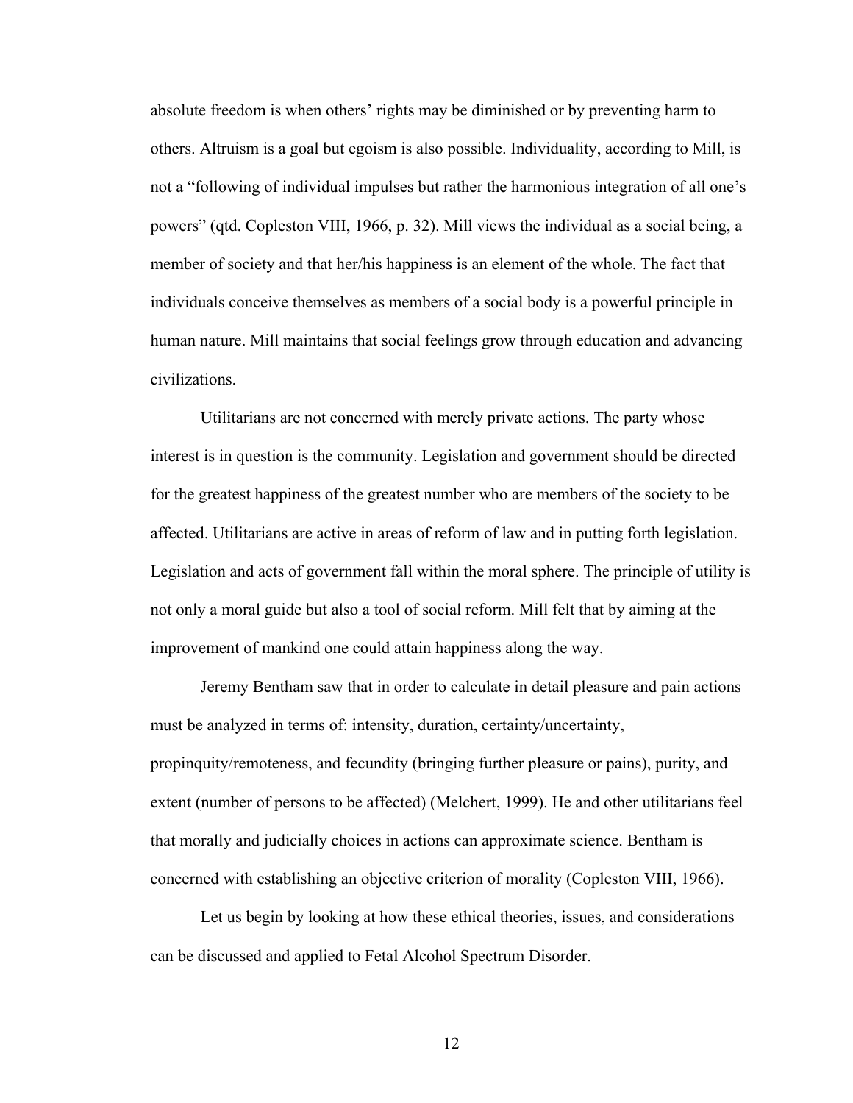absolute freedom is when others' rights may be diminished or by preventing harm to others. Altruism is a goal but egoism is also possible. Individuality, according to Mill, is not a "following of individual impulses but rather the harmonious integration of all one's powers" (qtd. Copleston VIII, 1966, p. 32). Mill views the individual as a social being, a member of society and that her/his happiness is an element of the whole. The fact that individuals conceive themselves as members of a social body is a powerful principle in human nature. Mill maintains that social feelings grow through education and advancing civilizations.

 Utilitarians are not concerned with merely private actions. The party whose interest is in question is the community. Legislation and government should be directed for the greatest happiness of the greatest number who are members of the society to be affected. Utilitarians are active in areas of reform of law and in putting forth legislation. Legislation and acts of government fall within the moral sphere. The principle of utility is not only a moral guide but also a tool of social reform. Mill felt that by aiming at the improvement of mankind one could attain happiness along the way.

 Jeremy Bentham saw that in order to calculate in detail pleasure and pain actions must be analyzed in terms of: intensity, duration, certainty/uncertainty, propinquity/remoteness, and fecundity (bringing further pleasure or pains), purity, and extent (number of persons to be affected) (Melchert, 1999). He and other utilitarians feel that morally and judicially choices in actions can approximate science. Bentham is concerned with establishing an objective criterion of morality (Copleston VIII, 1966).

 Let us begin by looking at how these ethical theories, issues, and considerations can be discussed and applied to Fetal Alcohol Spectrum Disorder.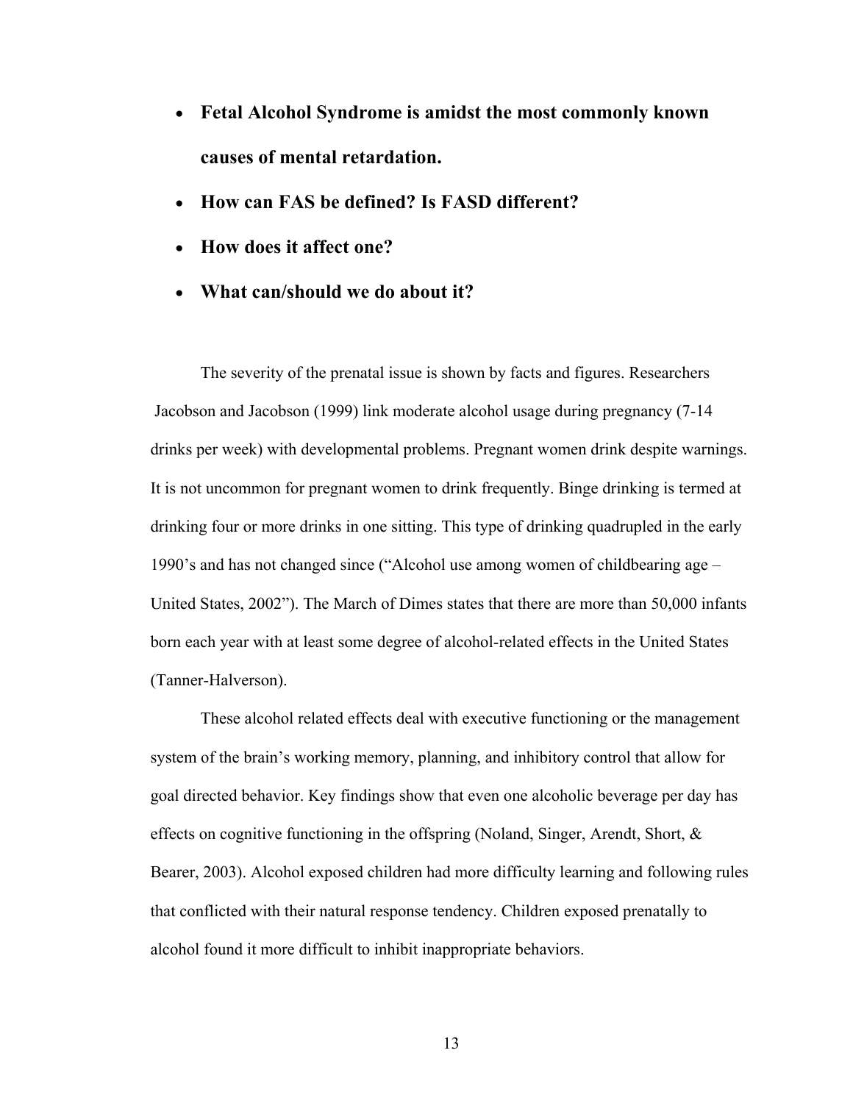- **Fetal Alcohol Syndrome is amidst the most commonly known causes of mental retardation.**
- **How can FAS be defined? Is FASD different?**
- **How does it affect one?**
- **What can/should we do about it?**

The severity of the prenatal issue is shown by facts and figures. Researchers Jacobson and Jacobson (1999) link moderate alcohol usage during pregnancy (7-14 drinks per week) with developmental problems. Pregnant women drink despite warnings. It is not uncommon for pregnant women to drink frequently. Binge drinking is termed at drinking four or more drinks in one sitting. This type of drinking quadrupled in the early 1990's and has not changed since ("Alcohol use among women of childbearing age – United States, 2002"). The March of Dimes states that there are more than 50,000 infants born each year with at least some degree of alcohol-related effects in the United States (Tanner-Halverson).

 These alcohol related effects deal with executive functioning or the management system of the brain's working memory, planning, and inhibitory control that allow for goal directed behavior. Key findings show that even one alcoholic beverage per day has effects on cognitive functioning in the offspring (Noland, Singer, Arendt, Short, & Bearer, 2003). Alcohol exposed children had more difficulty learning and following rules that conflicted with their natural response tendency. Children exposed prenatally to alcohol found it more difficult to inhibit inappropriate behaviors.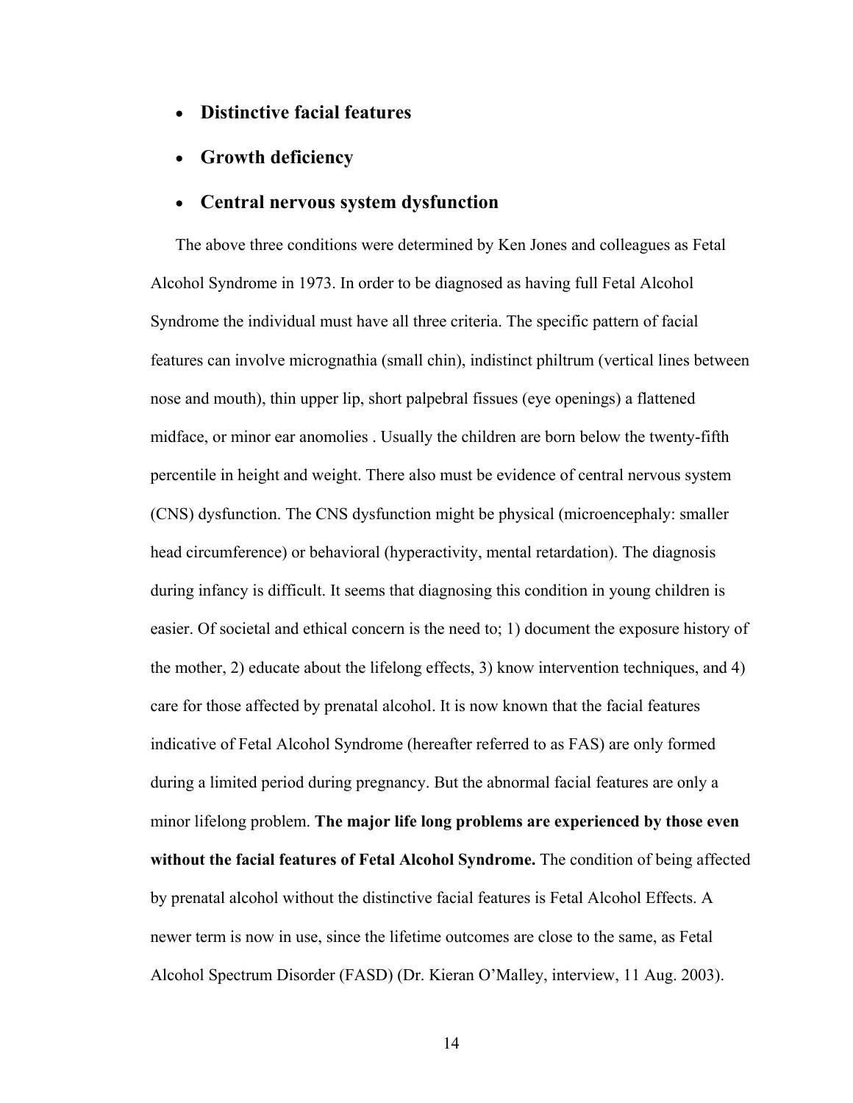- **Distinctive facial features**
- **Growth deficiency**

# • **Central nervous system dysfunction**

The above three conditions were determined by Ken Jones and colleagues as Fetal Alcohol Syndrome in 1973. In order to be diagnosed as having full Fetal Alcohol Syndrome the individual must have all three criteria. The specific pattern of facial features can involve micrognathia (small chin), indistinct philtrum (vertical lines between nose and mouth), thin upper lip, short palpebral fissues (eye openings) a flattened midface, or minor ear anomolies . Usually the children are born below the twenty-fifth percentile in height and weight. There also must be evidence of central nervous system (CNS) dysfunction. The CNS dysfunction might be physical (microencephaly: smaller head circumference) or behavioral (hyperactivity, mental retardation). The diagnosis during infancy is difficult. It seems that diagnosing this condition in young children is easier. Of societal and ethical concern is the need to; 1) document the exposure history of the mother, 2) educate about the lifelong effects, 3) know intervention techniques, and 4) care for those affected by prenatal alcohol. It is now known that the facial features indicative of Fetal Alcohol Syndrome (hereafter referred to as FAS) are only formed during a limited period during pregnancy. But the abnormal facial features are only a minor lifelong problem. **The major life long problems are experienced by those even without the facial features of Fetal Alcohol Syndrome.** The condition of being affected by prenatal alcohol without the distinctive facial features is Fetal Alcohol Effects. A newer term is now in use, since the lifetime outcomes are close to the same, as Fetal Alcohol Spectrum Disorder (FASD) (Dr. Kieran O'Malley, interview, 11 Aug. 2003).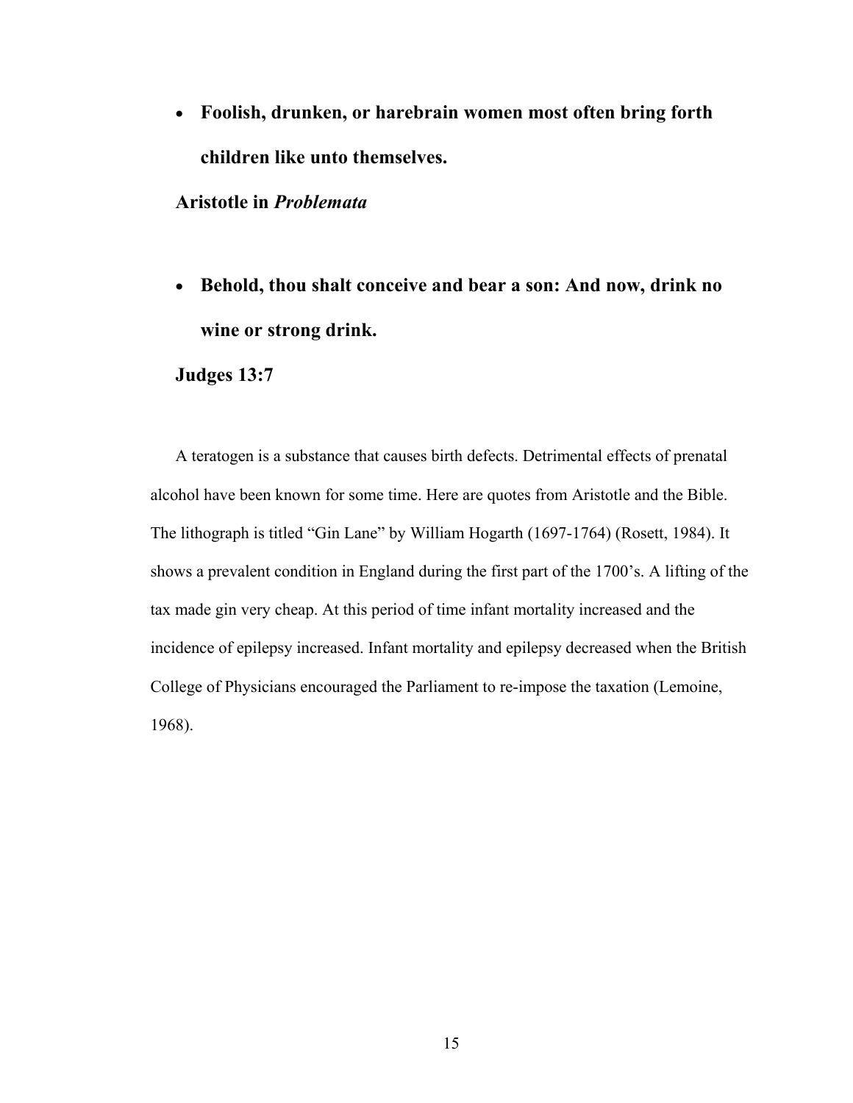• **Foolish, drunken, or harebrain women most often bring forth children like unto themselves.** 

**Aristotle in** *Problemata* 

• **Behold, thou shalt conceive and bear a son: And now, drink no wine or strong drink.** 

**Judges 13:7**

A teratogen is a substance that causes birth defects. Detrimental effects of prenatal alcohol have been known for some time. Here are quotes from Aristotle and the Bible. The lithograph is titled "Gin Lane" by William Hogarth (1697-1764) (Rosett, 1984). It shows a prevalent condition in England during the first part of the 1700's. A lifting of the tax made gin very cheap. At this period of time infant mortality increased and the incidence of epilepsy increased. Infant mortality and epilepsy decreased when the British College of Physicians encouraged the Parliament to re-impose the taxation (Lemoine, 1968).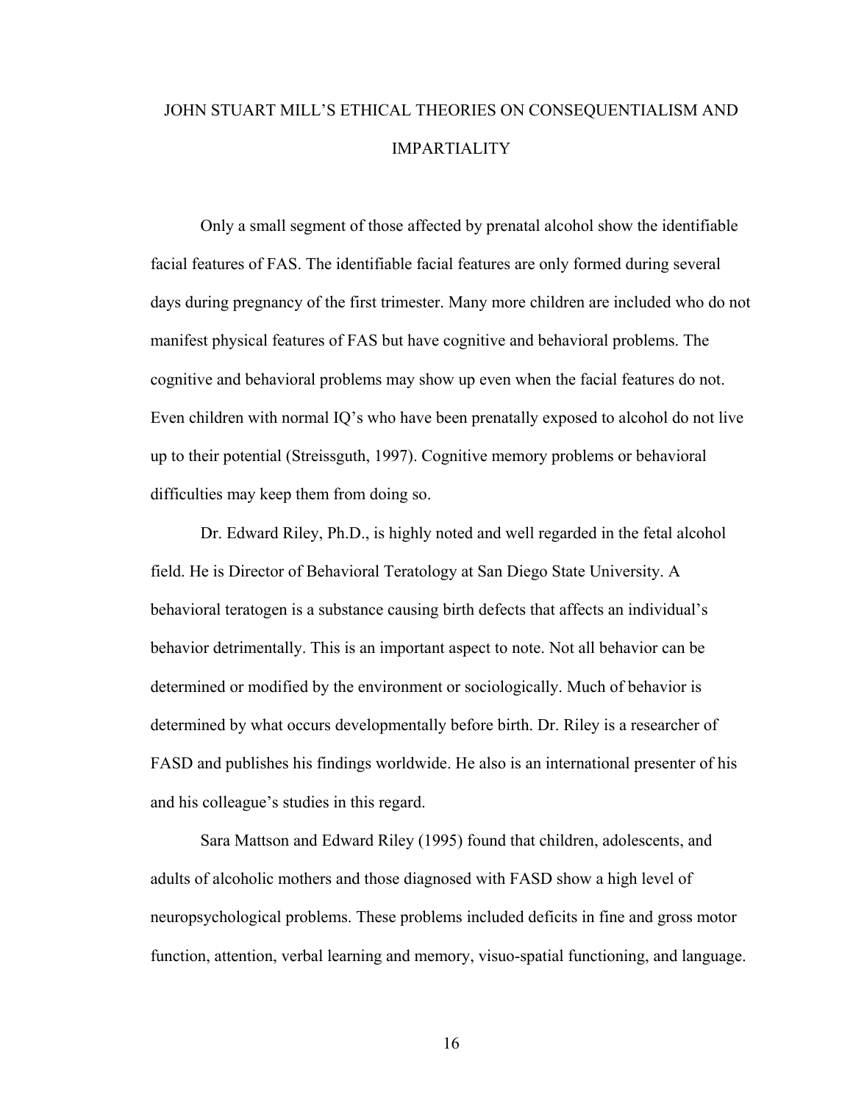# JOHN STUART MILL'S ETHICAL THEORIES ON CONSEQUENTIALISM AND IMPARTIALITY

Only a small segment of those affected by prenatal alcohol show the identifiable facial features of FAS. The identifiable facial features are only formed during several days during pregnancy of the first trimester. Many more children are included who do not manifest physical features of FAS but have cognitive and behavioral problems. The cognitive and behavioral problems may show up even when the facial features do not. Even children with normal IQ's who have been prenatally exposed to alcohol do not live up to their potential (Streissguth, 1997). Cognitive memory problems or behavioral difficulties may keep them from doing so.

 Dr. Edward Riley, Ph.D., is highly noted and well regarded in the fetal alcohol field. He is Director of Behavioral Teratology at San Diego State University. A behavioral teratogen is a substance causing birth defects that affects an individual's behavior detrimentally. This is an important aspect to note. Not all behavior can be determined or modified by the environment or sociologically. Much of behavior is determined by what occurs developmentally before birth. Dr. Riley is a researcher of FASD and publishes his findings worldwide. He also is an international presenter of his and his colleague's studies in this regard.

 Sara Mattson and Edward Riley (1995) found that children, adolescents, and adults of alcoholic mothers and those diagnosed with FASD show a high level of neuropsychological problems. These problems included deficits in fine and gross motor function, attention, verbal learning and memory, visuo-spatial functioning, and language.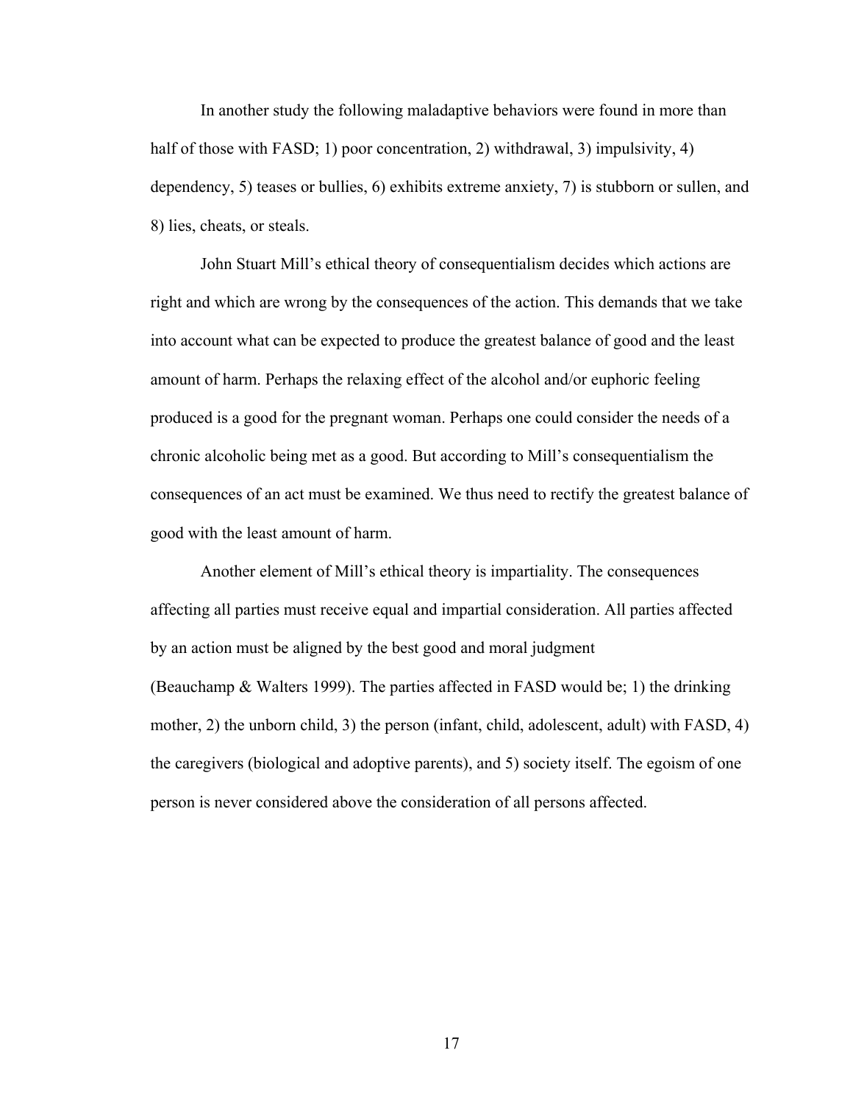In another study the following maladaptive behaviors were found in more than half of those with FASD; 1) poor concentration, 2) withdrawal, 3) impulsivity, 4) dependency, 5) teases or bullies, 6) exhibits extreme anxiety, 7) is stubborn or sullen, and 8) lies, cheats, or steals.

 John Stuart Mill's ethical theory of consequentialism decides which actions are right and which are wrong by the consequences of the action. This demands that we take into account what can be expected to produce the greatest balance of good and the least amount of harm. Perhaps the relaxing effect of the alcohol and/or euphoric feeling produced is a good for the pregnant woman. Perhaps one could consider the needs of a chronic alcoholic being met as a good. But according to Mill's consequentialism the consequences of an act must be examined. We thus need to rectify the greatest balance of good with the least amount of harm.

Another element of Mill's ethical theory is impartiality. The consequences affecting all parties must receive equal and impartial consideration. All parties affected by an action must be aligned by the best good and moral judgment (Beauchamp & Walters 1999). The parties affected in FASD would be; 1) the drinking mother, 2) the unborn child, 3) the person (infant, child, adolescent, adult) with FASD, 4) the caregivers (biological and adoptive parents), and 5) society itself. The egoism of one person is never considered above the consideration of all persons affected.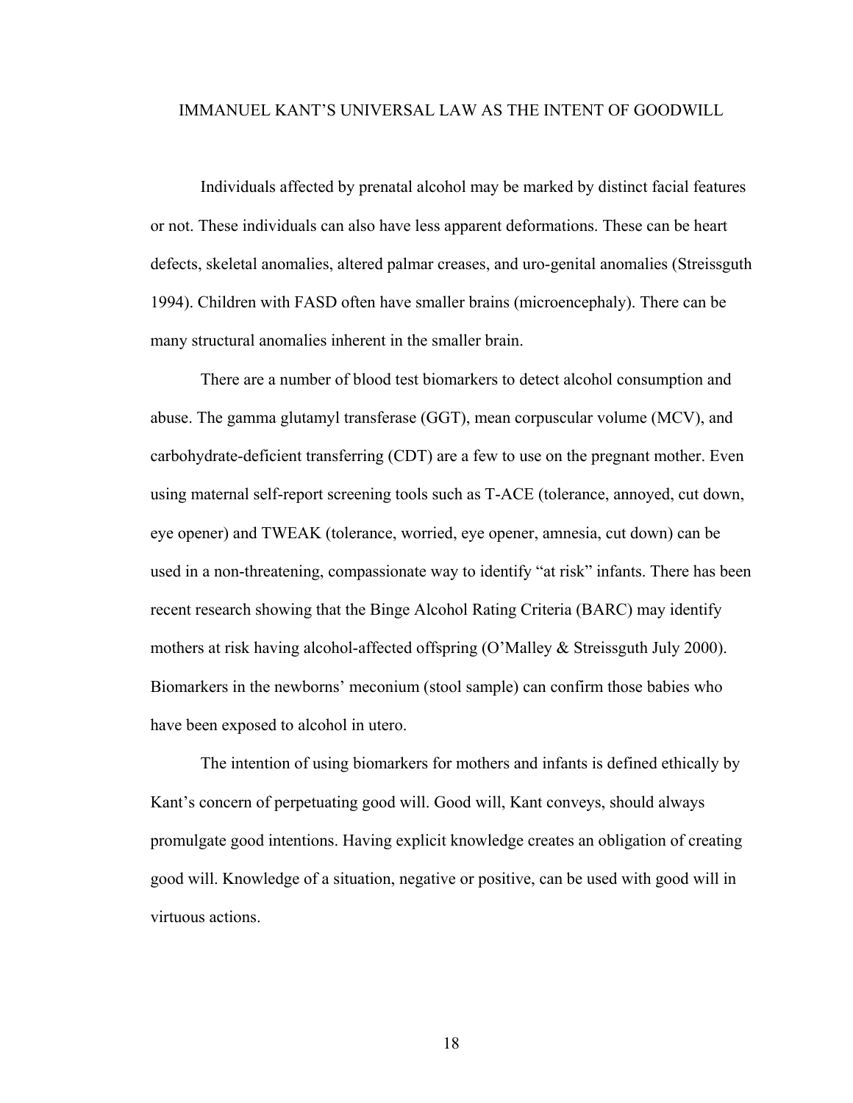#### IMMANUEL KANT'S UNIVERSAL LAW AS THE INTENT OF GOODWILL

Individuals affected by prenatal alcohol may be marked by distinct facial features or not. These individuals can also have less apparent deformations. These can be heart defects, skeletal anomalies, altered palmar creases, and uro-genital anomalies (Streissguth 1994). Children with FASD often have smaller brains (microencephaly). There can be many structural anomalies inherent in the smaller brain.

 There are a number of blood test biomarkers to detect alcohol consumption and abuse. The gamma glutamyl transferase (GGT), mean corpuscular volume (MCV), and carbohydrate-deficient transferring (CDT) are a few to use on the pregnant mother. Even using maternal self-report screening tools such as T-ACE (tolerance, annoyed, cut down, eye opener) and TWEAK (tolerance, worried, eye opener, amnesia, cut down) can be used in a non-threatening, compassionate way to identify "at risk" infants. There has been recent research showing that the Binge Alcohol Rating Criteria (BARC) may identify mothers at risk having alcohol-affected offspring (O'Malley & Streissguth July 2000). Biomarkers in the newborns' meconium (stool sample) can confirm those babies who have been exposed to alcohol in utero.

 The intention of using biomarkers for mothers and infants is defined ethically by Kant's concern of perpetuating good will. Good will, Kant conveys, should always promulgate good intentions. Having explicit knowledge creates an obligation of creating good will. Knowledge of a situation, negative or positive, can be used with good will in virtuous actions.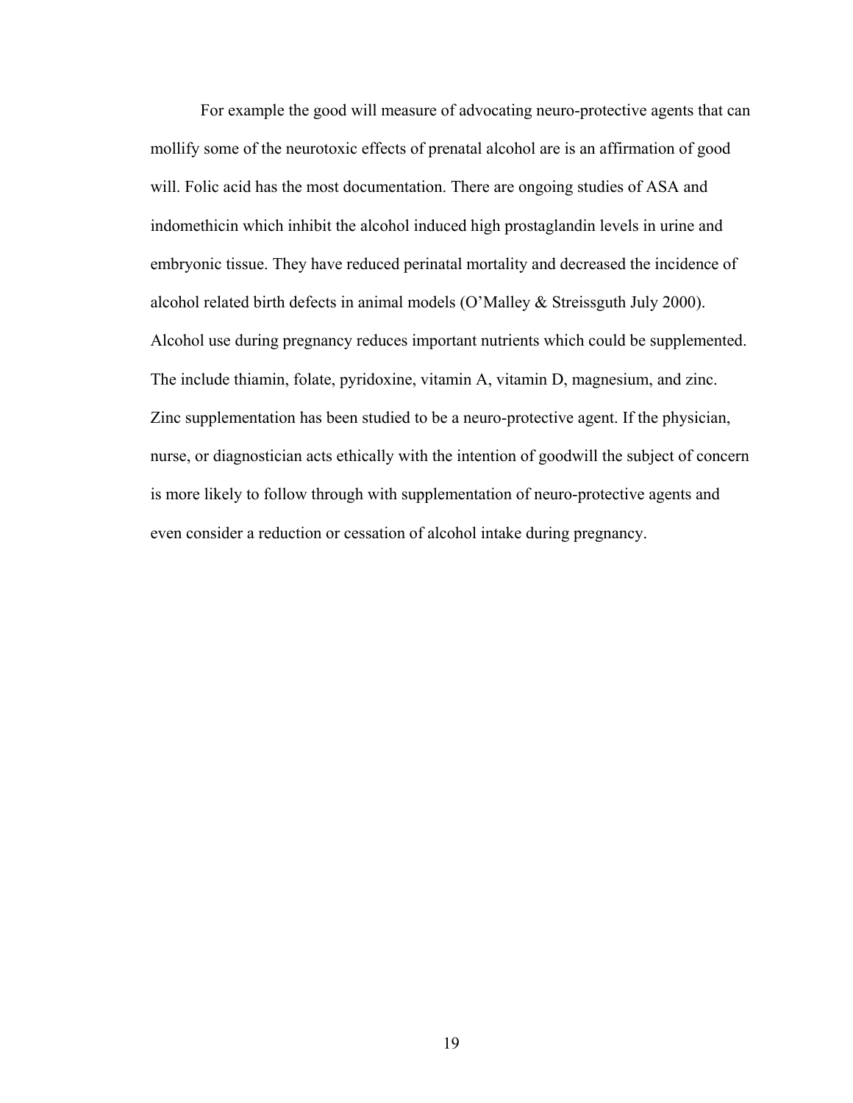For example the good will measure of advocating neuro-protective agents that can mollify some of the neurotoxic effects of prenatal alcohol are is an affirmation of good will. Folic acid has the most documentation. There are ongoing studies of ASA and indomethicin which inhibit the alcohol induced high prostaglandin levels in urine and embryonic tissue. They have reduced perinatal mortality and decreased the incidence of alcohol related birth defects in animal models (O'Malley & Streissguth July 2000). Alcohol use during pregnancy reduces important nutrients which could be supplemented. The include thiamin, folate, pyridoxine, vitamin A, vitamin D, magnesium, and zinc. Zinc supplementation has been studied to be a neuro-protective agent. If the physician, nurse, or diagnostician acts ethically with the intention of goodwill the subject of concern is more likely to follow through with supplementation of neuro-protective agents and even consider a reduction or cessation of alcohol intake during pregnancy.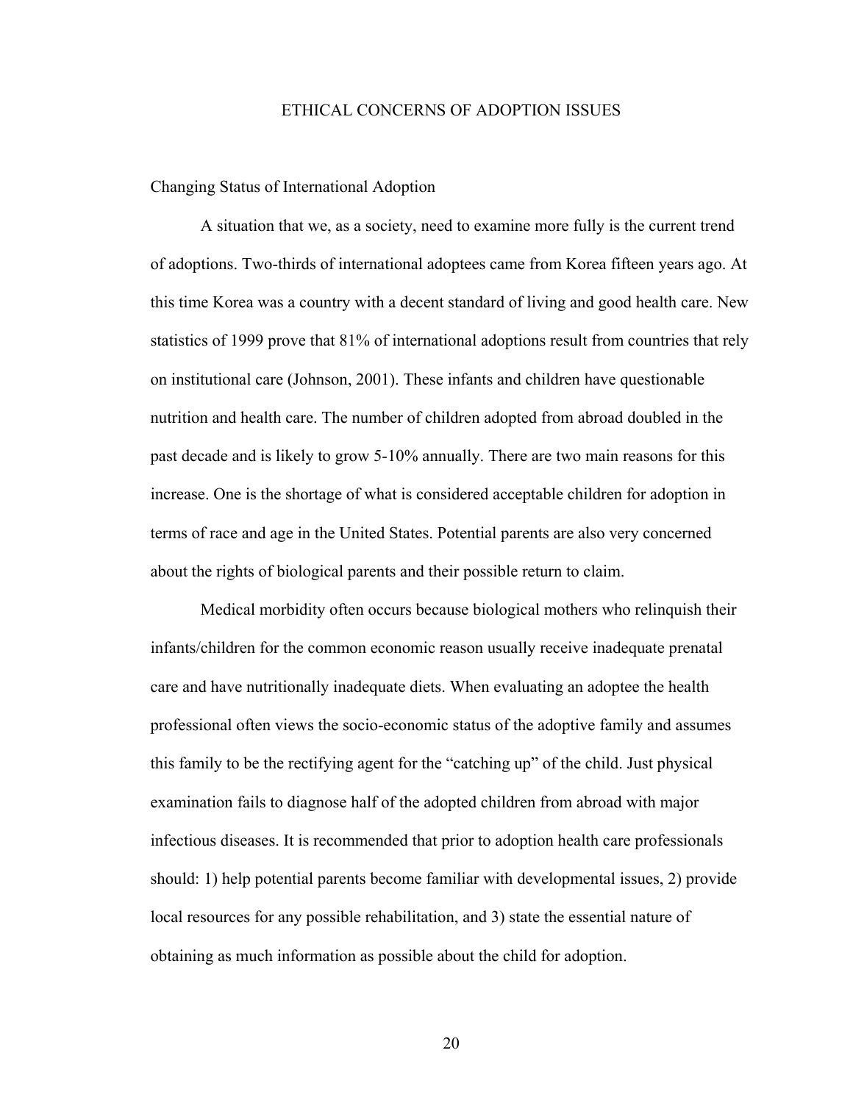#### ETHICAL CONCERNS OF ADOPTION ISSUES

Changing Status of International Adoption

A situation that we, as a society, need to examine more fully is the current trend of adoptions. Two-thirds of international adoptees came from Korea fifteen years ago. At this time Korea was a country with a decent standard of living and good health care. New statistics of 1999 prove that 81% of international adoptions result from countries that rely on institutional care (Johnson, 2001). These infants and children have questionable nutrition and health care. The number of children adopted from abroad doubled in the past decade and is likely to grow 5-10% annually. There are two main reasons for this increase. One is the shortage of what is considered acceptable children for adoption in terms of race and age in the United States. Potential parents are also very concerned about the rights of biological parents and their possible return to claim.

 Medical morbidity often occurs because biological mothers who relinquish their infants/children for the common economic reason usually receive inadequate prenatal care and have nutritionally inadequate diets. When evaluating an adoptee the health professional often views the socio-economic status of the adoptive family and assumes this family to be the rectifying agent for the "catching up" of the child. Just physical examination fails to diagnose half of the adopted children from abroad with major infectious diseases. It is recommended that prior to adoption health care professionals should: 1) help potential parents become familiar with developmental issues, 2) provide local resources for any possible rehabilitation, and 3) state the essential nature of obtaining as much information as possible about the child for adoption.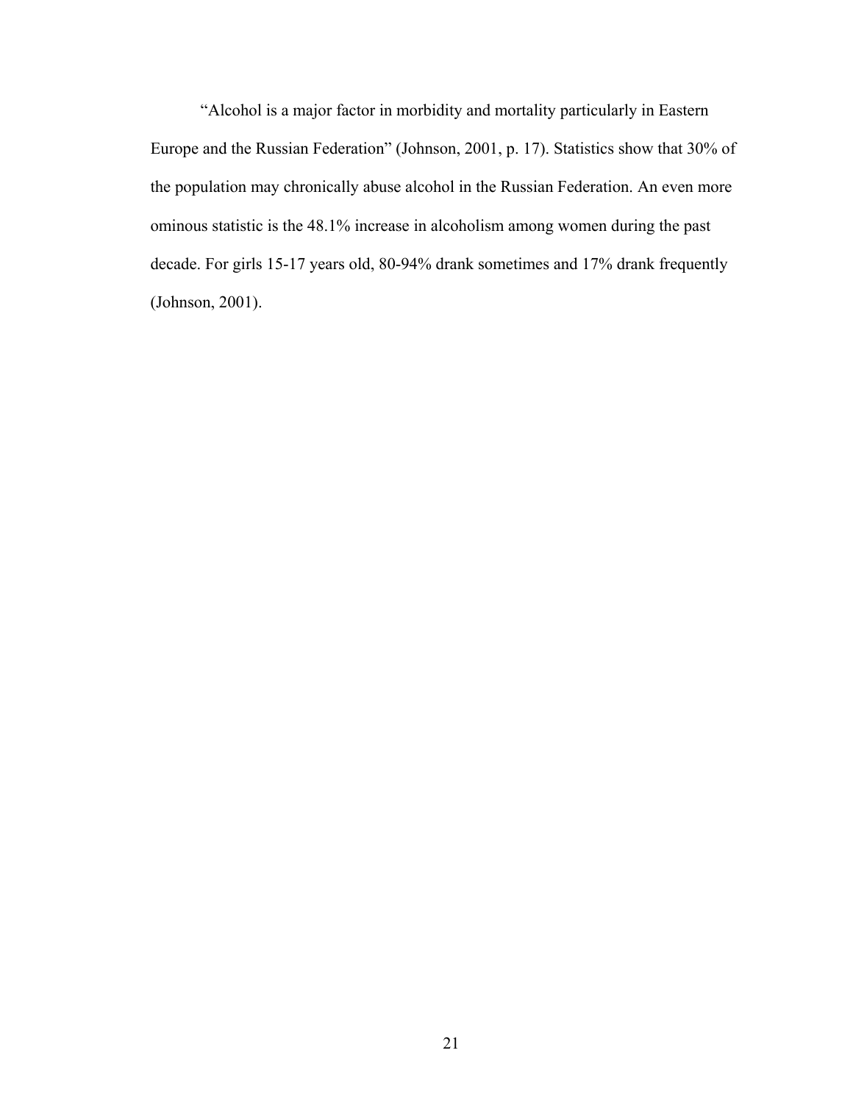"Alcohol is a major factor in morbidity and mortality particularly in Eastern Europe and the Russian Federation" (Johnson, 2001, p. 17). Statistics show that 30% of the population may chronically abuse alcohol in the Russian Federation. An even more ominous statistic is the 48.1% increase in alcoholism among women during the past decade. For girls 15-17 years old, 80-94% drank sometimes and 17% drank frequently (Johnson, 2001).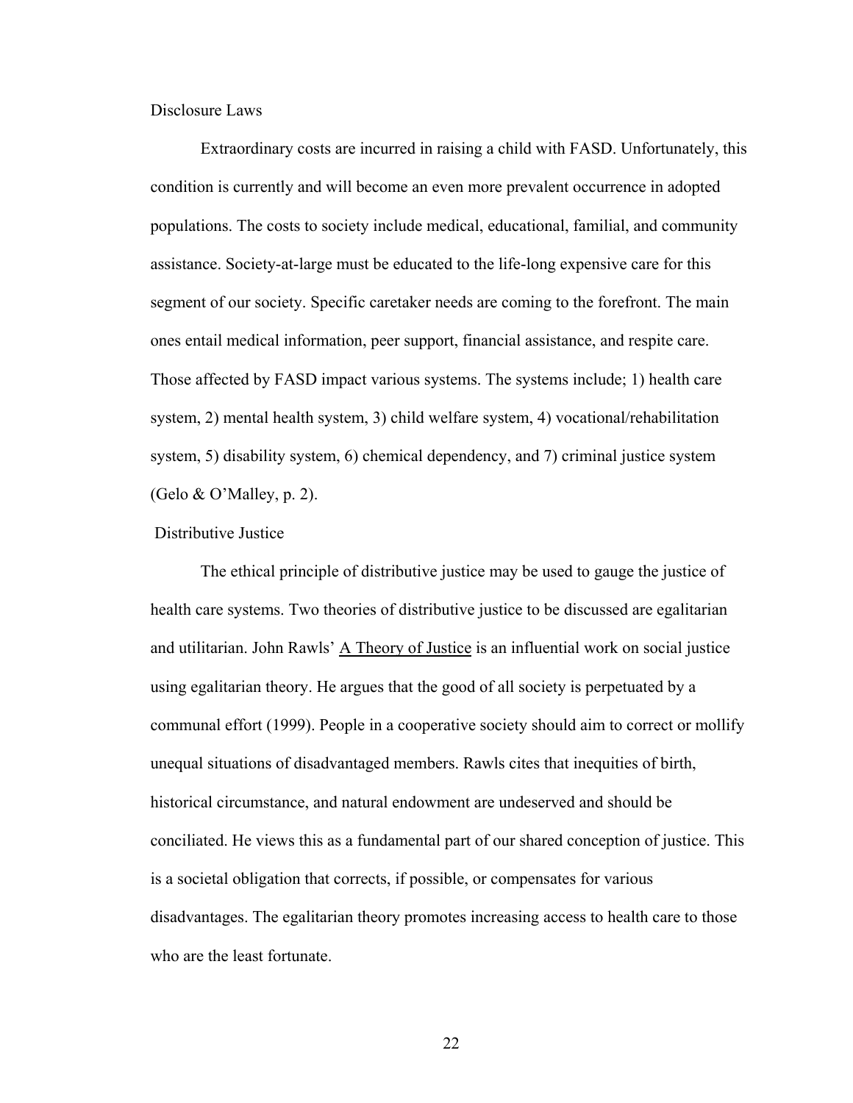Disclosure Laws

Extraordinary costs are incurred in raising a child with FASD. Unfortunately, this condition is currently and will become an even more prevalent occurrence in adopted populations. The costs to society include medical, educational, familial, and community assistance. Society-at-large must be educated to the life-long expensive care for this segment of our society. Specific caretaker needs are coming to the forefront. The main ones entail medical information, peer support, financial assistance, and respite care. Those affected by FASD impact various systems. The systems include; 1) health care system, 2) mental health system, 3) child welfare system, 4) vocational/rehabilitation system, 5) disability system, 6) chemical dependency, and 7) criminal justice system (Gelo  $& O'Malley, p. 2$ ).

#### Distributive Justice

The ethical principle of distributive justice may be used to gauge the justice of health care systems. Two theories of distributive justice to be discussed are egalitarian and utilitarian. John Rawls' A Theory of Justice is an influential work on social justice using egalitarian theory. He argues that the good of all society is perpetuated by a communal effort (1999). People in a cooperative society should aim to correct or mollify unequal situations of disadvantaged members. Rawls cites that inequities of birth, historical circumstance, and natural endowment are undeserved and should be conciliated. He views this as a fundamental part of our shared conception of justice. This is a societal obligation that corrects, if possible, or compensates for various disadvantages. The egalitarian theory promotes increasing access to health care to those who are the least fortunate.

<u>22</u>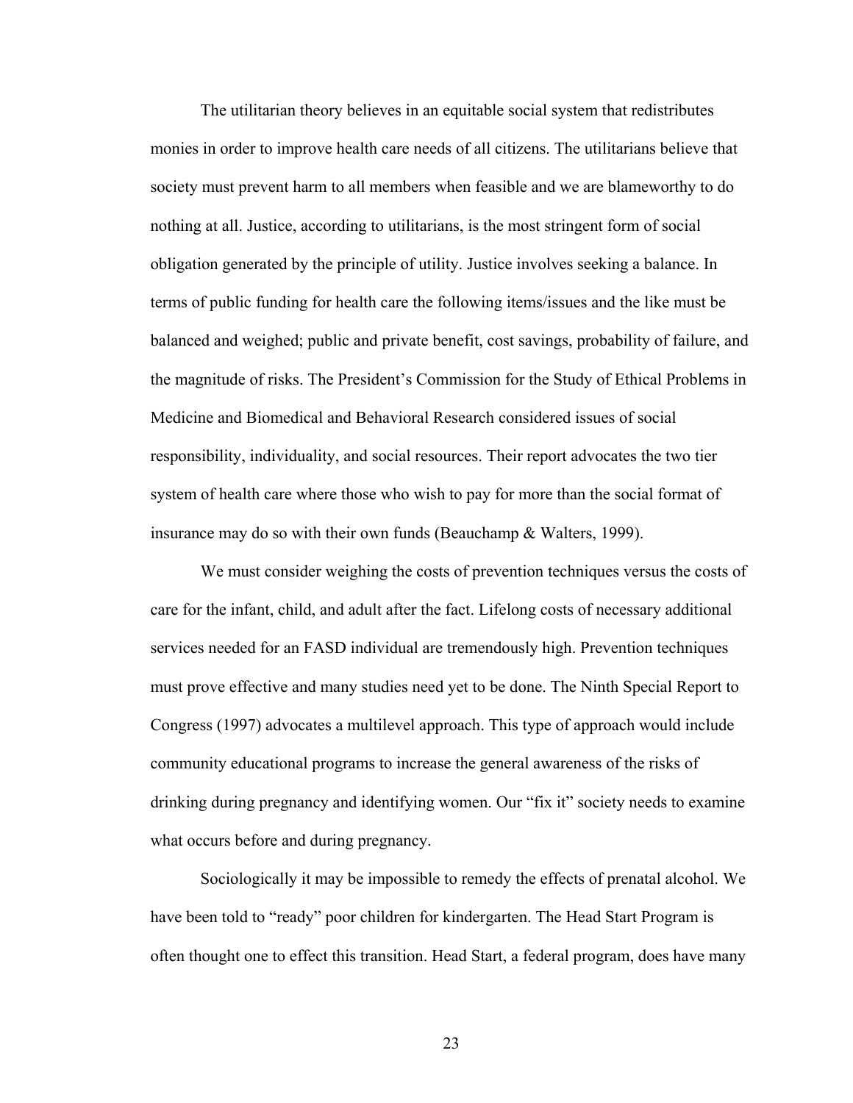The utilitarian theory believes in an equitable social system that redistributes monies in order to improve health care needs of all citizens. The utilitarians believe that society must prevent harm to all members when feasible and we are blameworthy to do nothing at all. Justice, according to utilitarians, is the most stringent form of social obligation generated by the principle of utility. Justice involves seeking a balance. In terms of public funding for health care the following items/issues and the like must be balanced and weighed; public and private benefit, cost savings, probability of failure, and the magnitude of risks. The President's Commission for the Study of Ethical Problems in Medicine and Biomedical and Behavioral Research considered issues of social responsibility, individuality, and social resources. Their report advocates the two tier system of health care where those who wish to pay for more than the social format of insurance may do so with their own funds (Beauchamp & Walters, 1999).

 We must consider weighing the costs of prevention techniques versus the costs of care for the infant, child, and adult after the fact. Lifelong costs of necessary additional services needed for an FASD individual are tremendously high. Prevention techniques must prove effective and many studies need yet to be done. The Ninth Special Report to Congress (1997) advocates a multilevel approach. This type of approach would include community educational programs to increase the general awareness of the risks of drinking during pregnancy and identifying women. Our "fix it" society needs to examine what occurs before and during pregnancy.

 Sociologically it may be impossible to remedy the effects of prenatal alcohol. We have been told to "ready" poor children for kindergarten. The Head Start Program is often thought one to effect this transition. Head Start, a federal program, does have many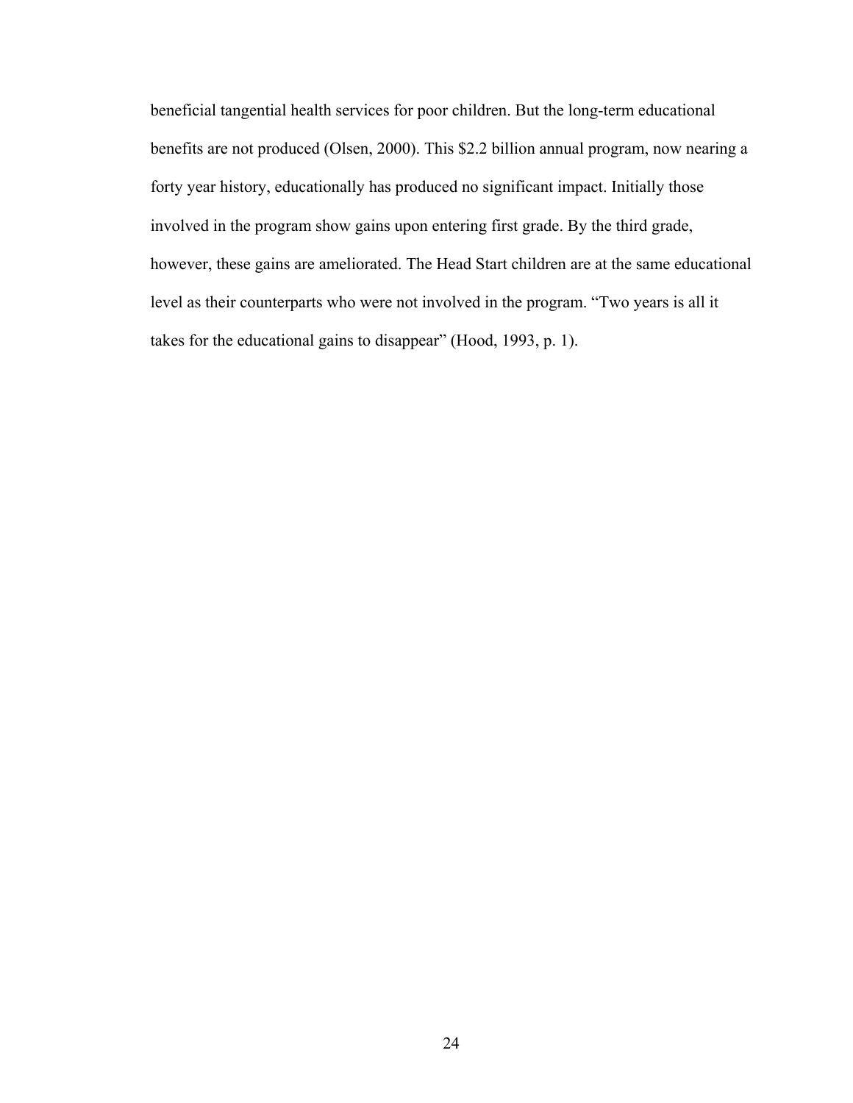beneficial tangential health services for poor children. But the long-term educational benefits are not produced (Olsen, 2000). This \$2.2 billion annual program, now nearing a forty year history, educationally has produced no significant impact. Initially those involved in the program show gains upon entering first grade. By the third grade, however, these gains are ameliorated. The Head Start children are at the same educational level as their counterparts who were not involved in the program. "Two years is all it takes for the educational gains to disappear" (Hood, 1993, p. 1).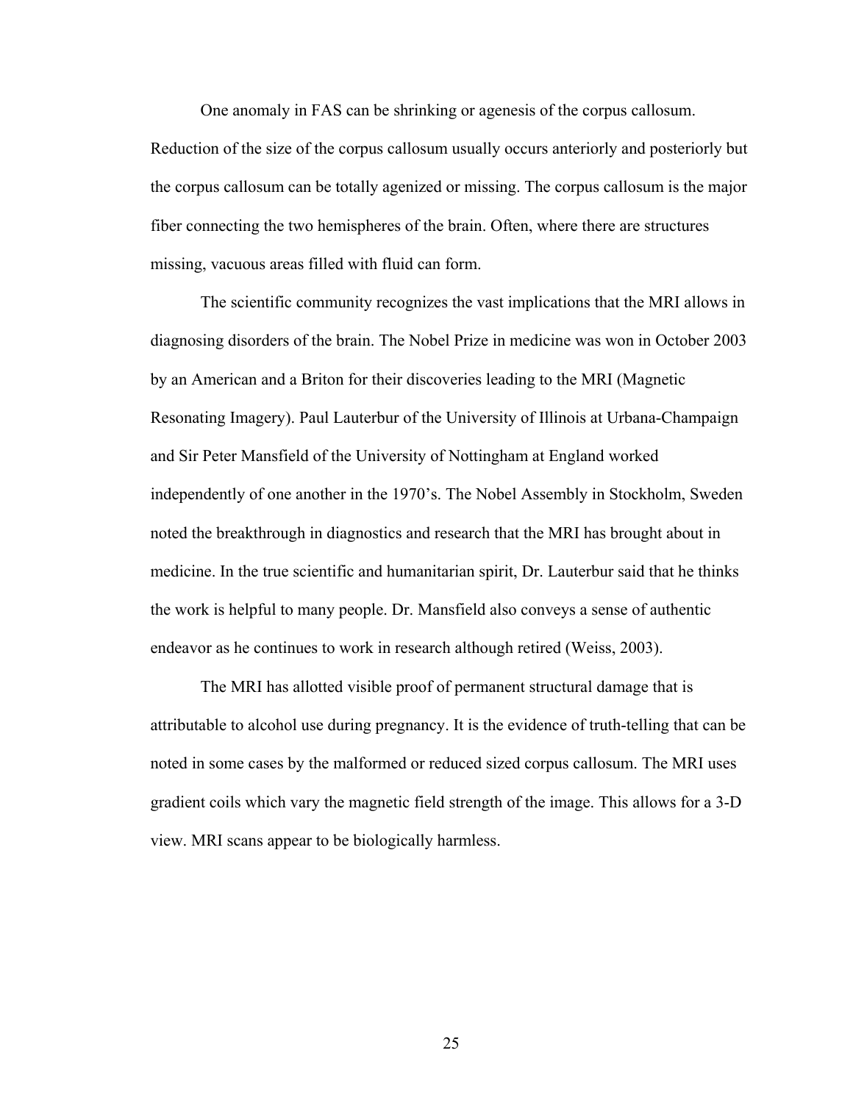One anomaly in FAS can be shrinking or agenesis of the corpus callosum. Reduction of the size of the corpus callosum usually occurs anteriorly and posteriorly but the corpus callosum can be totally agenized or missing. The corpus callosum is the major fiber connecting the two hemispheres of the brain. Often, where there are structures missing, vacuous areas filled with fluid can form.

The scientific community recognizes the vast implications that the MRI allows in diagnosing disorders of the brain. The Nobel Prize in medicine was won in October 2003 by an American and a Briton for their discoveries leading to the MRI (Magnetic Resonating Imagery). Paul Lauterbur of the University of Illinois at Urbana-Champaign and Sir Peter Mansfield of the University of Nottingham at England worked independently of one another in the 1970's. The Nobel Assembly in Stockholm, Sweden noted the breakthrough in diagnostics and research that the MRI has brought about in medicine. In the true scientific and humanitarian spirit, Dr. Lauterbur said that he thinks the work is helpful to many people. Dr. Mansfield also conveys a sense of authentic endeavor as he continues to work in research although retired (Weiss, 2003).

The MRI has allotted visible proof of permanent structural damage that is attributable to alcohol use during pregnancy. It is the evidence of truth-telling that can be noted in some cases by the malformed or reduced sized corpus callosum. The MRI uses gradient coils which vary the magnetic field strength of the image. This allows for a 3-D view. MRI scans appear to be biologically harmless.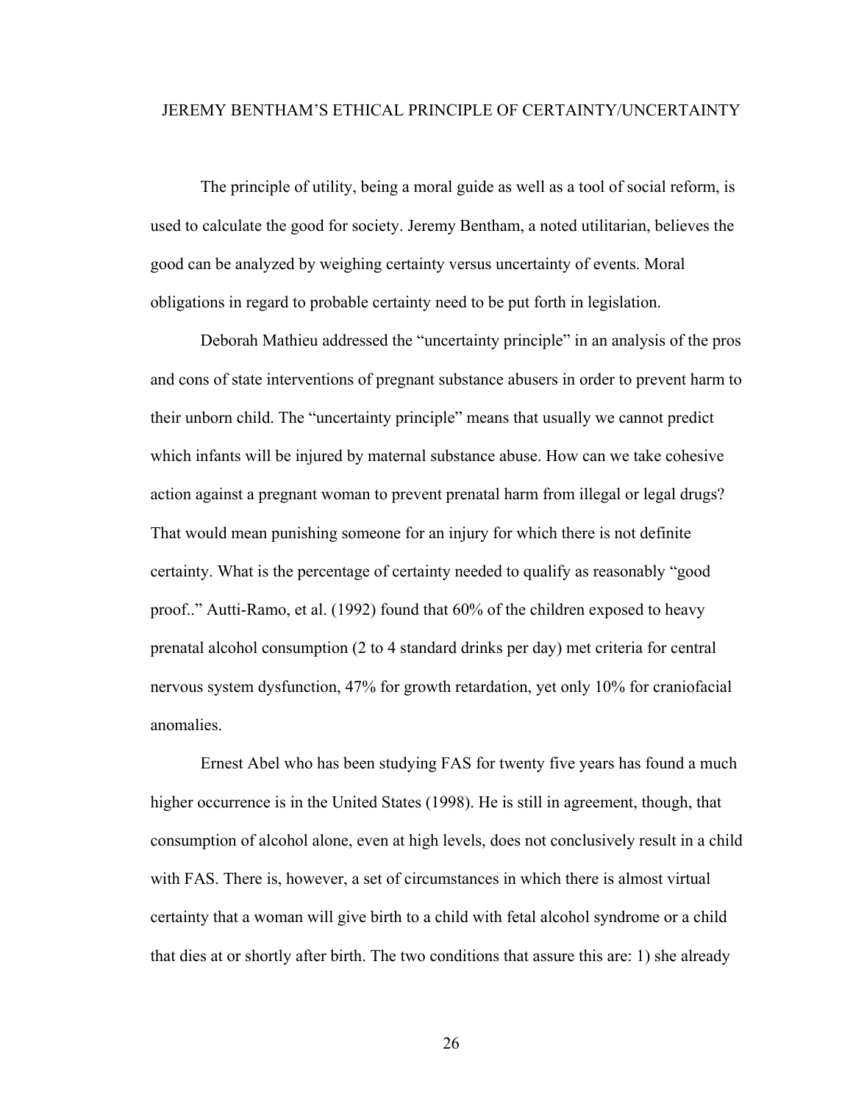### JEREMY BENTHAM'S ETHICAL PRINCIPLE OF CERTAINTY/UNCERTAINTY

The principle of utility, being a moral guide as well as a tool of social reform, is used to calculate the good for society. Jeremy Bentham, a noted utilitarian, believes the good can be analyzed by weighing certainty versus uncertainty of events. Moral obligations in regard to probable certainty need to be put forth in legislation.

 Deborah Mathieu addressed the "uncertainty principle" in an analysis of the pros and cons of state interventions of pregnant substance abusers in order to prevent harm to their unborn child. The "uncertainty principle" means that usually we cannot predict which infants will be injured by maternal substance abuse. How can we take cohesive action against a pregnant woman to prevent prenatal harm from illegal or legal drugs? That would mean punishing someone for an injury for which there is not definite certainty. What is the percentage of certainty needed to qualify as reasonably "good proof.." Autti-Ramo, et al. (1992) found that 60% of the children exposed to heavy prenatal alcohol consumption (2 to 4 standard drinks per day) met criteria for central nervous system dysfunction, 47% for growth retardation, yet only 10% for craniofacial anomalies.

 Ernest Abel who has been studying FAS for twenty five years has found a much higher occurrence is in the United States (1998). He is still in agreement, though, that consumption of alcohol alone, even at high levels, does not conclusively result in a child with FAS. There is, however, a set of circumstances in which there is almost virtual certainty that a woman will give birth to a child with fetal alcohol syndrome or a child that dies at or shortly after birth. The two conditions that assure this are: 1) she already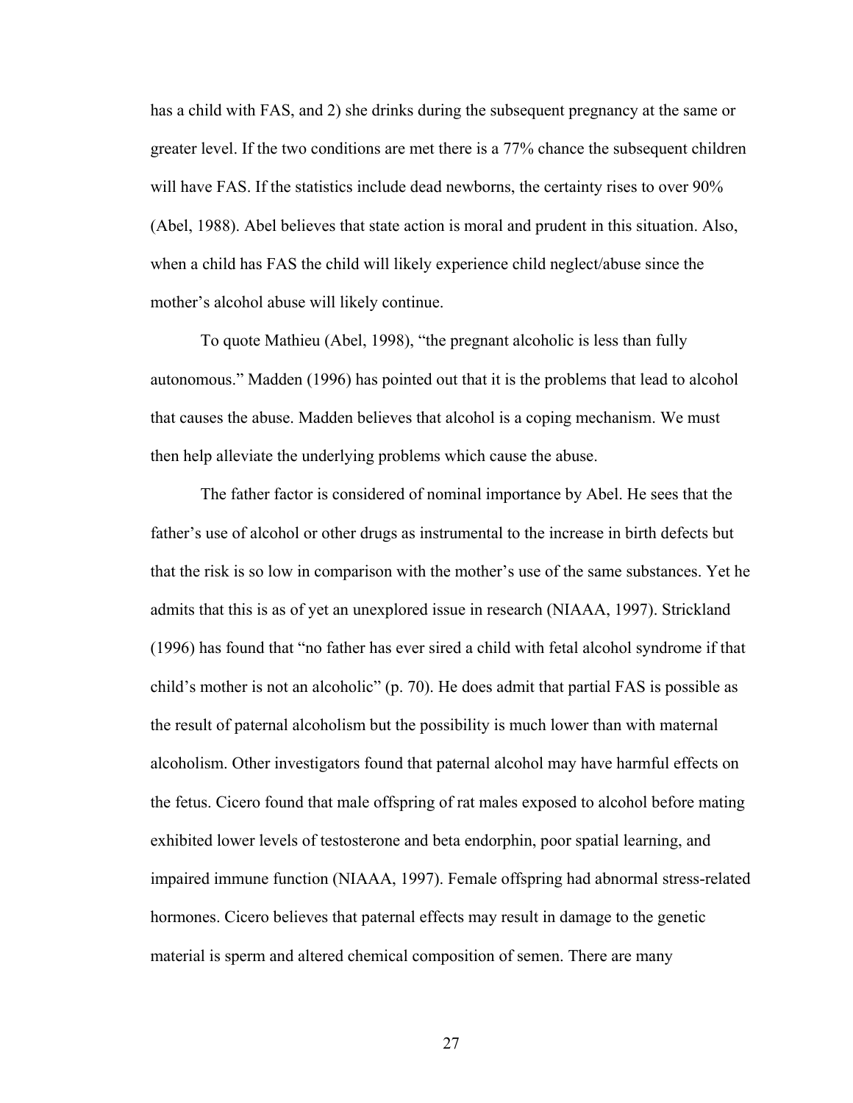has a child with FAS, and 2) she drinks during the subsequent pregnancy at the same or greater level. If the two conditions are met there is a 77% chance the subsequent children will have FAS. If the statistics include dead newborns, the certainty rises to over 90% (Abel, 1988). Abel believes that state action is moral and prudent in this situation. Also, when a child has FAS the child will likely experience child neglect/abuse since the mother's alcohol abuse will likely continue.

 To quote Mathieu (Abel, 1998), "the pregnant alcoholic is less than fully autonomous." Madden (1996) has pointed out that it is the problems that lead to alcohol that causes the abuse. Madden believes that alcohol is a coping mechanism. We must then help alleviate the underlying problems which cause the abuse.

 The father factor is considered of nominal importance by Abel. He sees that the father's use of alcohol or other drugs as instrumental to the increase in birth defects but that the risk is so low in comparison with the mother's use of the same substances. Yet he admits that this is as of yet an unexplored issue in research (NIAAA, 1997). Strickland (1996) has found that "no father has ever sired a child with fetal alcohol syndrome if that child's mother is not an alcoholic" (p. 70). He does admit that partial FAS is possible as the result of paternal alcoholism but the possibility is much lower than with maternal alcoholism. Other investigators found that paternal alcohol may have harmful effects on the fetus. Cicero found that male offspring of rat males exposed to alcohol before mating exhibited lower levels of testosterone and beta endorphin, poor spatial learning, and impaired immune function (NIAAA, 1997). Female offspring had abnormal stress-related hormones. Cicero believes that paternal effects may result in damage to the genetic material is sperm and altered chemical composition of semen. There are many

<u>27</u>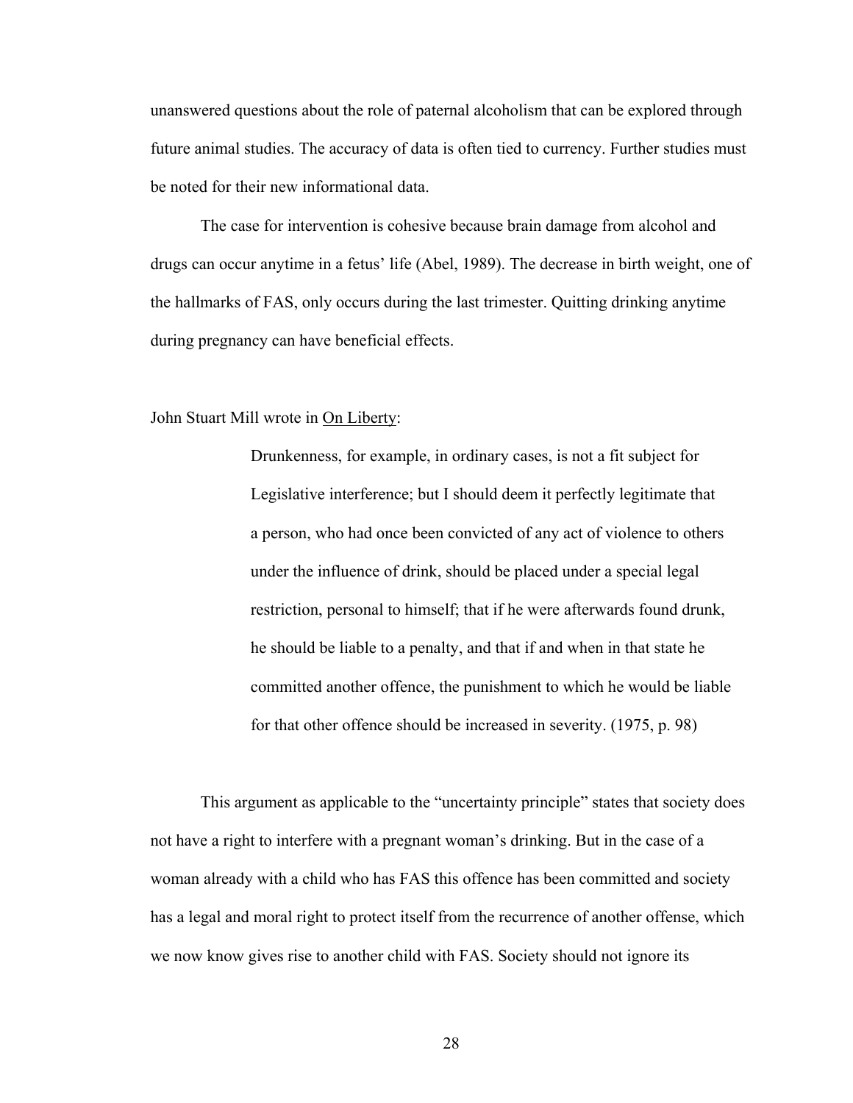unanswered questions about the role of paternal alcoholism that can be explored through future animal studies. The accuracy of data is often tied to currency. Further studies must be noted for their new informational data.

 The case for intervention is cohesive because brain damage from alcohol and drugs can occur anytime in a fetus' life (Abel, 1989). The decrease in birth weight, one of the hallmarks of FAS, only occurs during the last trimester. Quitting drinking anytime during pregnancy can have beneficial effects.

John Stuart Mill wrote in On Liberty:

 Drunkenness, for example, in ordinary cases, is not a fit subject for Legislative interference; but I should deem it perfectly legitimate that a person, who had once been convicted of any act of violence to others under the influence of drink, should be placed under a special legal restriction, personal to himself; that if he were afterwards found drunk, he should be liable to a penalty, and that if and when in that state he committed another offence, the punishment to which he would be liable for that other offence should be increased in severity. (1975, p. 98)

This argument as applicable to the "uncertainty principle" states that society does not have a right to interfere with a pregnant woman's drinking. But in the case of a woman already with a child who has FAS this offence has been committed and society has a legal and moral right to protect itself from the recurrence of another offense, which we now know gives rise to another child with FAS. Society should not ignore its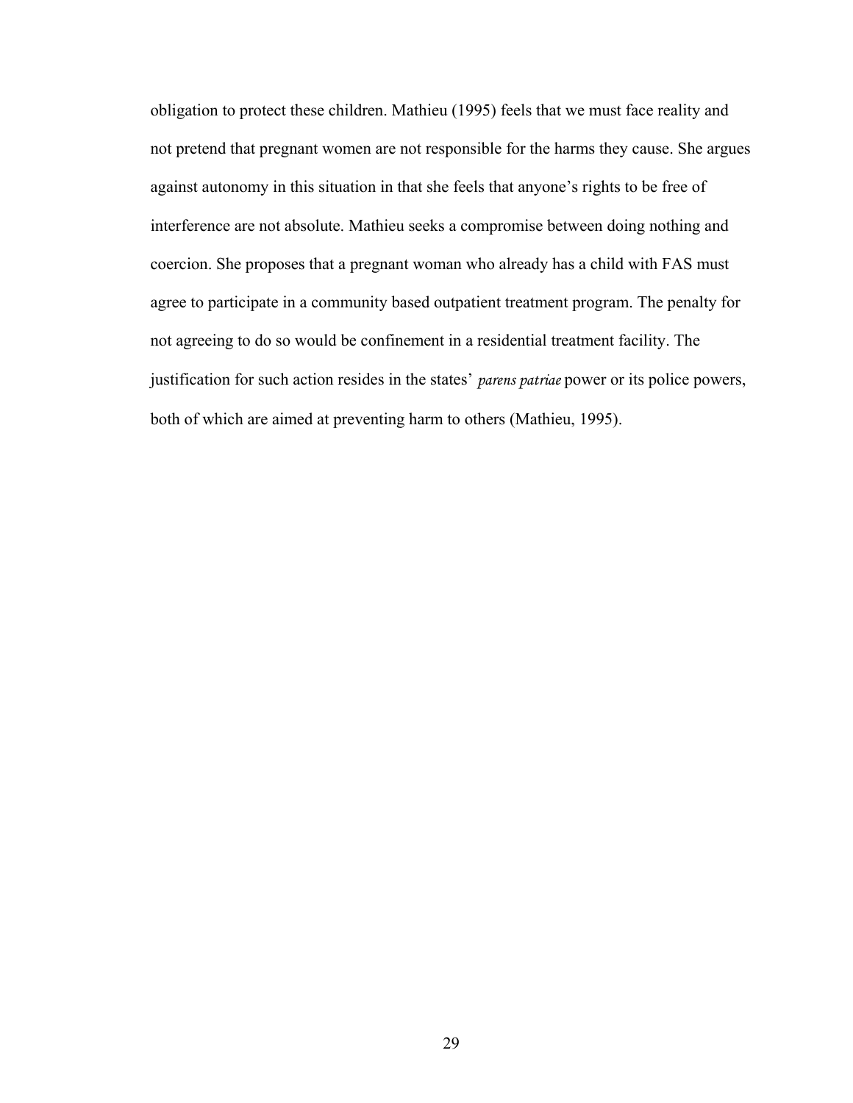obligation to protect these children. Mathieu (1995) feels that we must face reality and not pretend that pregnant women are not responsible for the harms they cause. She argues against autonomy in this situation in that she feels that anyone's rights to be free of interference are not absolute. Mathieu seeks a compromise between doing nothing and coercion. She proposes that a pregnant woman who already has a child with FAS must agree to participate in a community based outpatient treatment program. The penalty for not agreeing to do so would be confinement in a residential treatment facility. The justification for such action resides in the states' *parens patriae* power or its police powers, both of which are aimed at preventing harm to others (Mathieu, 1995).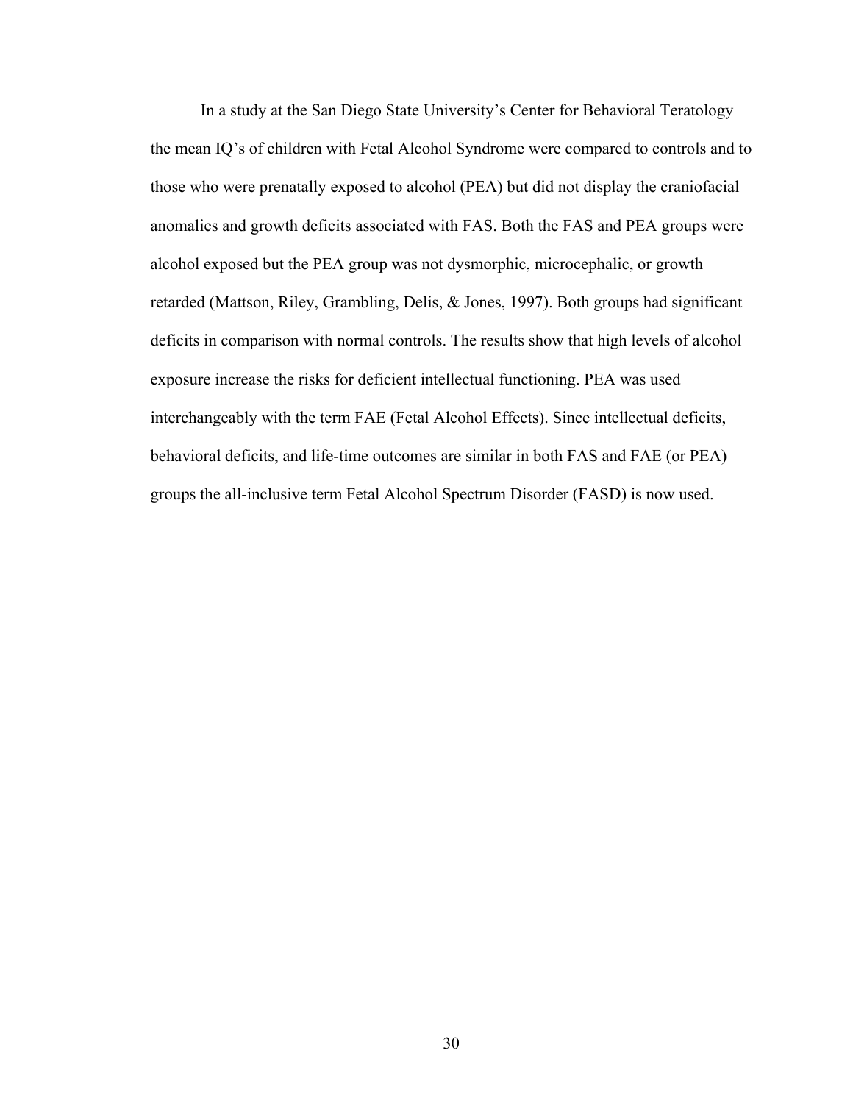In a study at the San Diego State University's Center for Behavioral Teratology the mean IQ's of children with Fetal Alcohol Syndrome were compared to controls and to those who were prenatally exposed to alcohol (PEA) but did not display the craniofacial anomalies and growth deficits associated with FAS. Both the FAS and PEA groups were alcohol exposed but the PEA group was not dysmorphic, microcephalic, or growth retarded (Mattson, Riley, Grambling, Delis, & Jones, 1997). Both groups had significant deficits in comparison with normal controls. The results show that high levels of alcohol exposure increase the risks for deficient intellectual functioning. PEA was used interchangeably with the term FAE (Fetal Alcohol Effects). Since intellectual deficits, behavioral deficits, and life-time outcomes are similar in both FAS and FAE (or PEA) groups the all-inclusive term Fetal Alcohol Spectrum Disorder (FASD) is now used.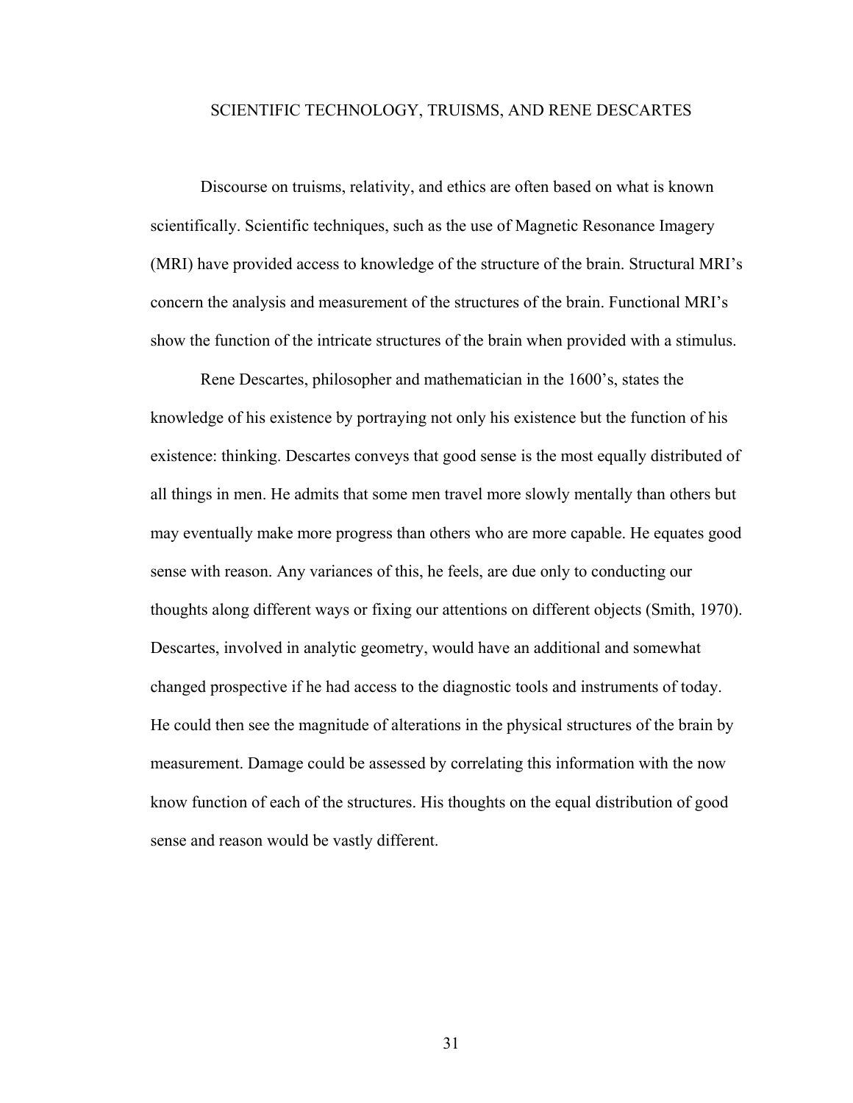#### SCIENTIFIC TECHNOLOGY, TRUISMS, AND RENE DESCARTES

Discourse on truisms, relativity, and ethics are often based on what is known scientifically. Scientific techniques, such as the use of Magnetic Resonance Imagery (MRI) have provided access to knowledge of the structure of the brain. Structural MRI's concern the analysis and measurement of the structures of the brain. Functional MRI's show the function of the intricate structures of the brain when provided with a stimulus.

 Rene Descartes, philosopher and mathematician in the 1600's, states the knowledge of his existence by portraying not only his existence but the function of his existence: thinking. Descartes conveys that good sense is the most equally distributed of all things in men. He admits that some men travel more slowly mentally than others but may eventually make more progress than others who are more capable. He equates good sense with reason. Any variances of this, he feels, are due only to conducting our thoughts along different ways or fixing our attentions on different objects (Smith, 1970). Descartes, involved in analytic geometry, would have an additional and somewhat changed prospective if he had access to the diagnostic tools and instruments of today. He could then see the magnitude of alterations in the physical structures of the brain by measurement. Damage could be assessed by correlating this information with the now know function of each of the structures. His thoughts on the equal distribution of good sense and reason would be vastly different.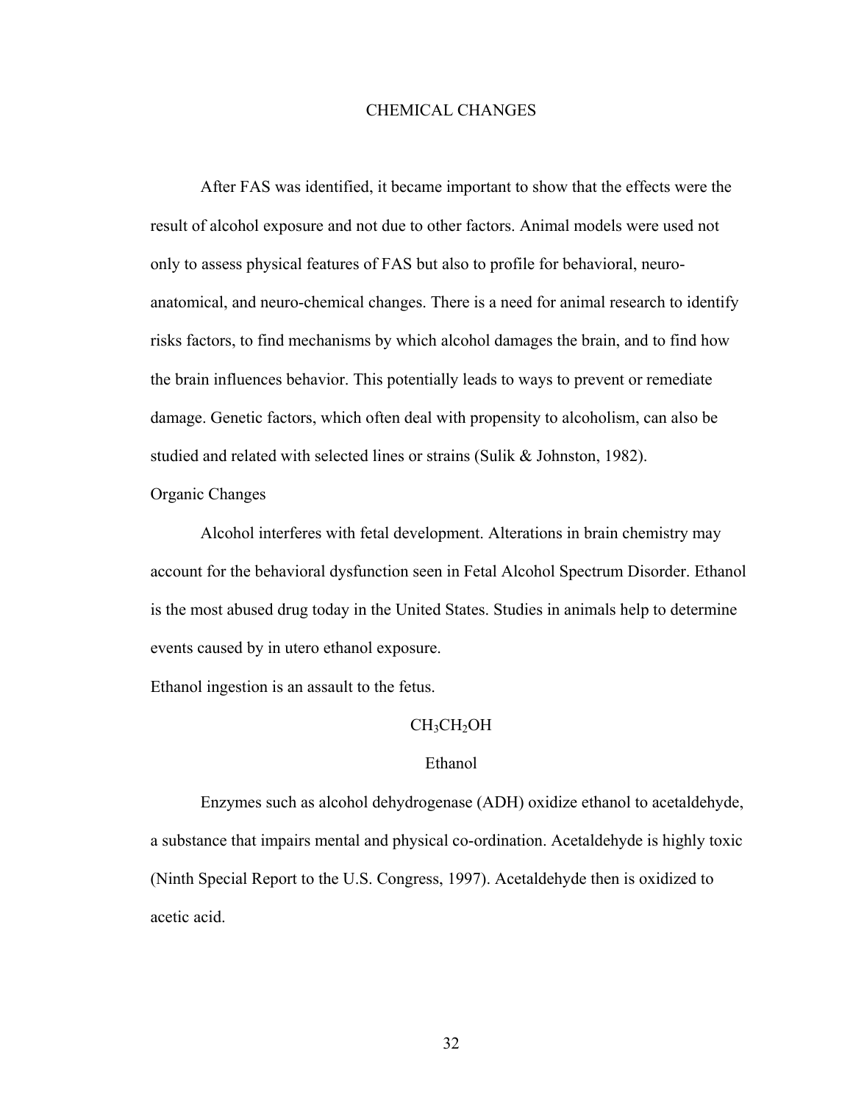### CHEMICAL CHANGES

After FAS was identified, it became important to show that the effects were the result of alcohol exposure and not due to other factors. Animal models were used not only to assess physical features of FAS but also to profile for behavioral, neuroanatomical, and neuro-chemical changes. There is a need for animal research to identify risks factors, to find mechanisms by which alcohol damages the brain, and to find how the brain influences behavior. This potentially leads to ways to prevent or remediate damage. Genetic factors, which often deal with propensity to alcoholism, can also be studied and related with selected lines or strains (Sulik & Johnston, 1982).

Organic Changes

Alcohol interferes with fetal development. Alterations in brain chemistry may account for the behavioral dysfunction seen in Fetal Alcohol Spectrum Disorder. Ethanol is the most abused drug today in the United States. Studies in animals help to determine events caused by in utero ethanol exposure.

Ethanol ingestion is an assault to the fetus.

#### $CH<sub>3</sub>CH<sub>2</sub>OH$

## Ethanol

Enzymes such as alcohol dehydrogenase (ADH) oxidize ethanol to acetaldehyde, a substance that impairs mental and physical co-ordination. Acetaldehyde is highly toxic (Ninth Special Report to the U.S. Congress, 1997). Acetaldehyde then is oxidized to acetic acid.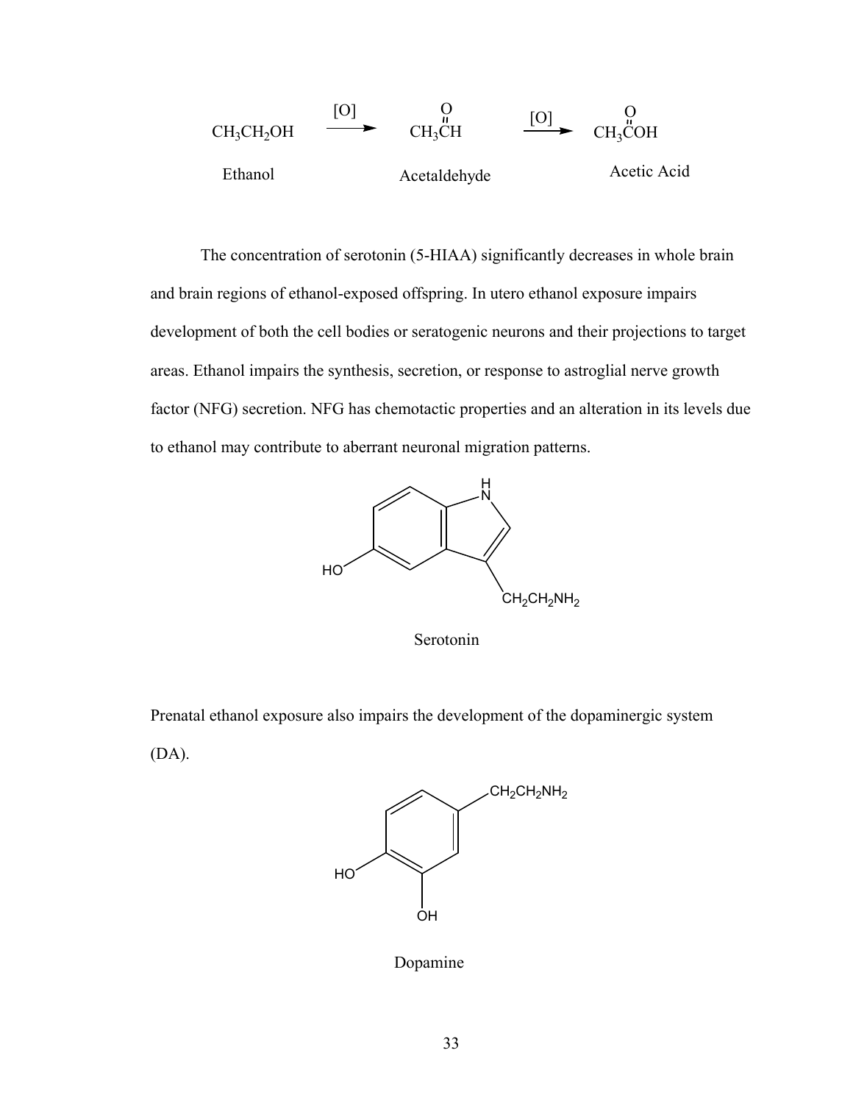

The concentration of serotonin (5-HIAA) significantly decreases in whole brain and brain regions of ethanol-exposed offspring. In utero ethanol exposure impairs development of both the cell bodies or seratogenic neurons and their projections to target areas. Ethanol impairs the synthesis, secretion, or response to astroglial nerve growth factor (NFG) secretion. NFG has chemotactic properties and an alteration in its levels due to ethanol may contribute to aberrant neuronal migration patterns.



Serotonin

Prenatal ethanol exposure also impairs the development of the dopaminergic system (DA).



Dopamine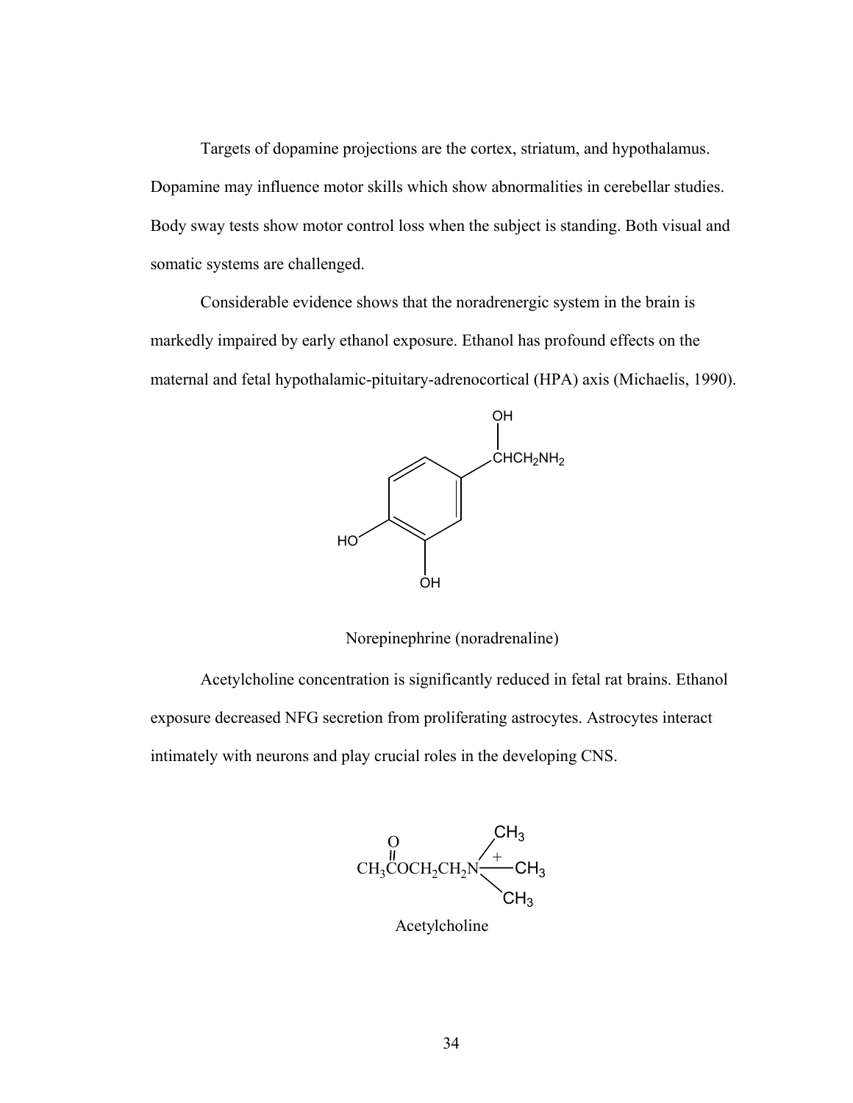Targets of dopamine projections are the cortex, striatum, and hypothalamus. Dopamine may influence motor skills which show abnormalities in cerebellar studies. Body sway tests show motor control loss when the subject is standing. Both visual and somatic systems are challenged.

Considerable evidence shows that the noradrenergic system in the brain is markedly impaired by early ethanol exposure. Ethanol has profound effects on the maternal and fetal hypothalamic-pituitary-adrenocortical (HPA) axis (Michaelis, 1990).



Norepinephrine (noradrenaline)

 Acetylcholine concentration is significantly reduced in fetal rat brains. Ethanol exposure decreased NFG secretion from proliferating astrocytes. Astrocytes interact intimately with neurons and play crucial roles in the developing CNS.

CH<sub>3</sub>COCH<sub>2</sub>CH<sub>2</sub>N  $CH<sub>3</sub>$  $CH<sub>3</sub>$  $CH<sub>3</sub>$ +  $\ddot{\Omega}$ 

Acetylcholine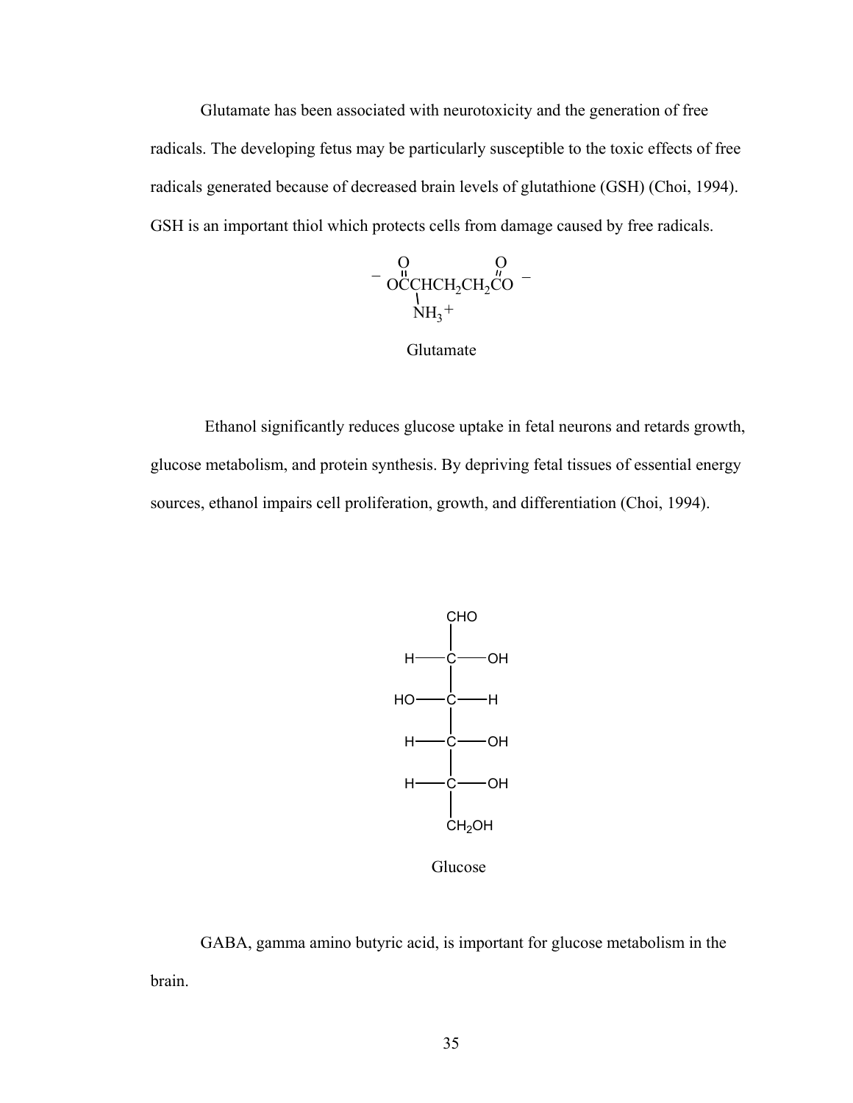Glutamate has been associated with neurotoxicity and the generation of free radicals. The developing fetus may be particularly susceptible to the toxic effects of free radicals generated because of decreased brain levels of glutathione (GSH) (Choi, 1994). GSH is an important thiol which protects cells from damage caused by free radicals.



Glutamate

 Ethanol significantly reduces glucose uptake in fetal neurons and retards growth, glucose metabolism, and protein synthesis. By depriving fetal tissues of essential energy sources, ethanol impairs cell proliferation, growth, and differentiation (Choi, 1994).



Glucose

 GABA, gamma amino butyric acid, is important for glucose metabolism in the brain.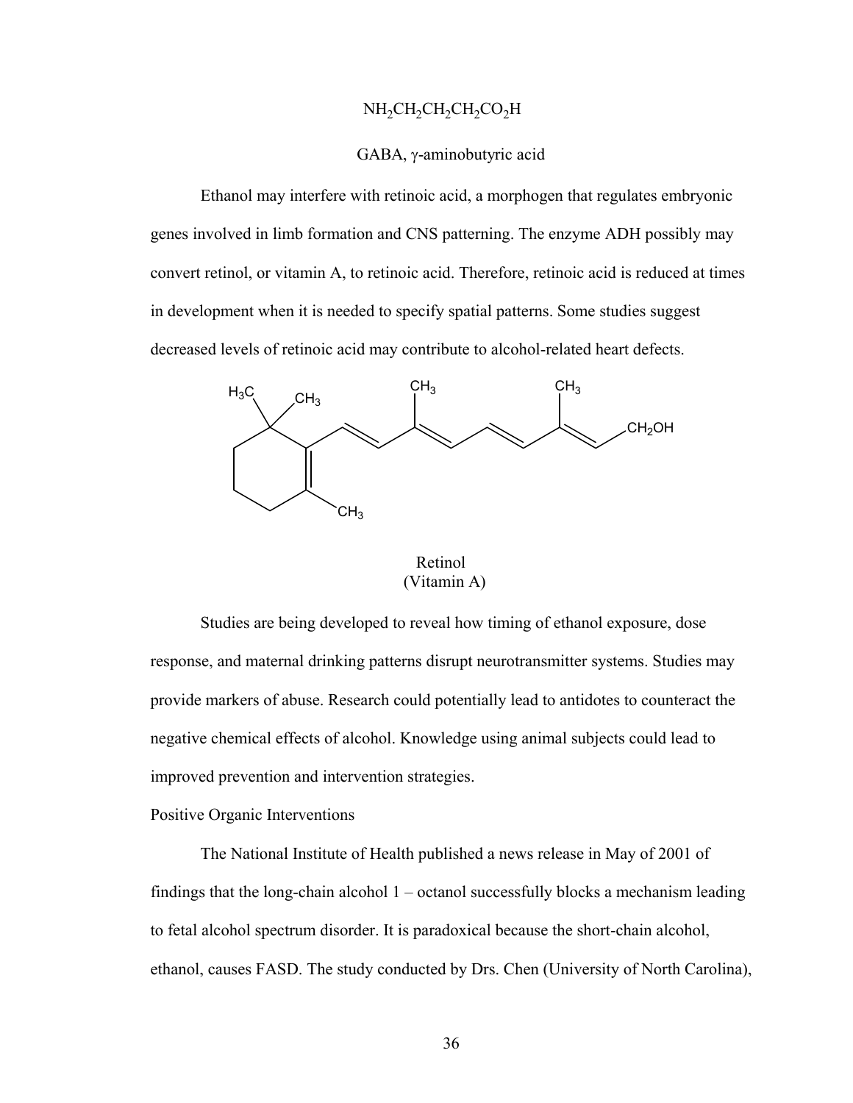## $NH<sub>2</sub>CH<sub>2</sub>CH<sub>2</sub>CH<sub>2</sub>CO<sub>2</sub>H$

#### GABA, γ-aminobutyric acid

 Ethanol may interfere with retinoic acid, a morphogen that regulates embryonic genes involved in limb formation and CNS patterning. The enzyme ADH possibly may convert retinol, or vitamin A, to retinoic acid. Therefore, retinoic acid is reduced at times in development when it is needed to specify spatial patterns. Some studies suggest decreased levels of retinoic acid may contribute to alcohol-related heart defects.



 Retinol (Vitamin A)

 Studies are being developed to reveal how timing of ethanol exposure, dose response, and maternal drinking patterns disrupt neurotransmitter systems. Studies may provide markers of abuse. Research could potentially lead to antidotes to counteract the negative chemical effects of alcohol. Knowledge using animal subjects could lead to improved prevention and intervention strategies.

Positive Organic Interventions

The National Institute of Health published a news release in May of 2001 of findings that the long-chain alcohol 1 – octanol successfully blocks a mechanism leading to fetal alcohol spectrum disorder. It is paradoxical because the short-chain alcohol, ethanol, causes FASD. The study conducted by Drs. Chen (University of North Carolina),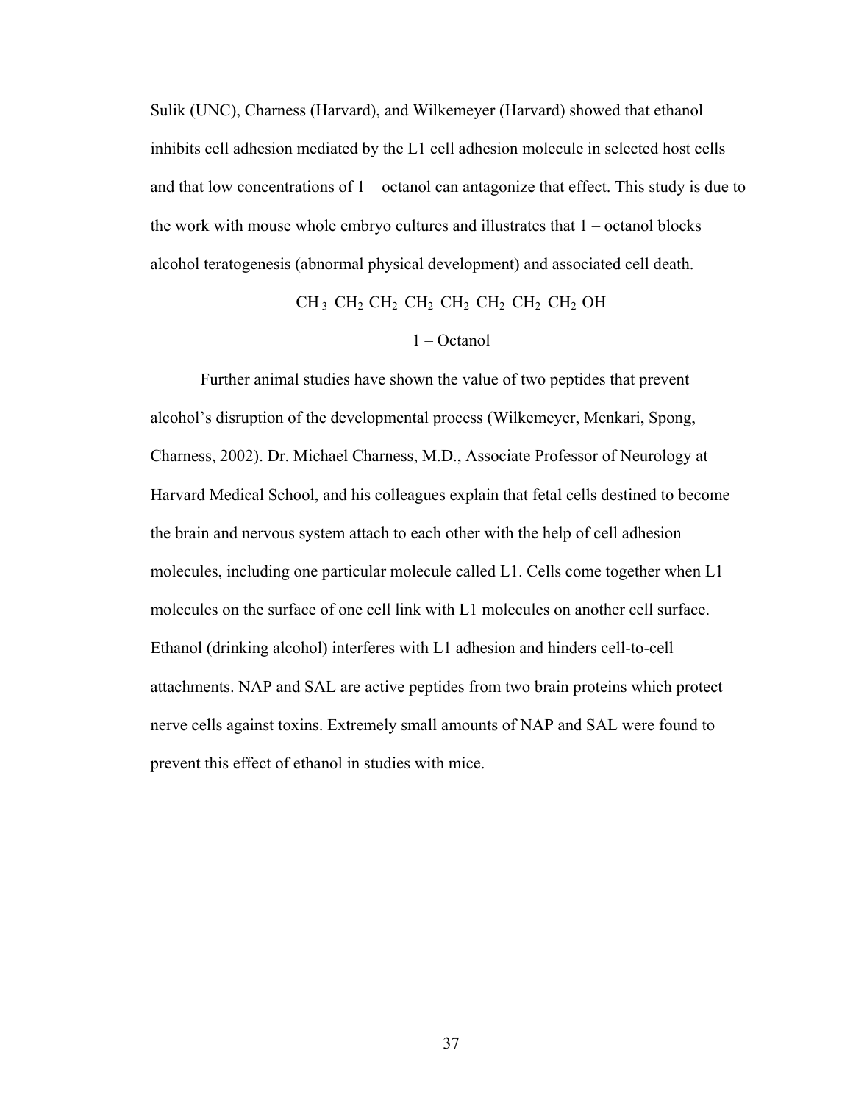Sulik (UNC), Charness (Harvard), and Wilkemeyer (Harvard) showed that ethanol inhibits cell adhesion mediated by the L1 cell adhesion molecule in selected host cells and that low concentrations of 1 – octanol can antagonize that effect. This study is due to the work with mouse whole embryo cultures and illustrates that 1 – octanol blocks alcohol teratogenesis (abnormal physical development) and associated cell death.

 $CH_3 CH_2 CH_2 CH_2 CH_2 CH_2 CH_2 CH_2 CH_2 OH$ 

## 1 – Octanol

 Further animal studies have shown the value of two peptides that prevent alcohol's disruption of the developmental process (Wilkemeyer, Menkari, Spong, Charness, 2002). Dr. Michael Charness, M.D., Associate Professor of Neurology at Harvard Medical School, and his colleagues explain that fetal cells destined to become the brain and nervous system attach to each other with the help of cell adhesion molecules, including one particular molecule called L1. Cells come together when L1 molecules on the surface of one cell link with L1 molecules on another cell surface. Ethanol (drinking alcohol) interferes with L1 adhesion and hinders cell-to-cell attachments. NAP and SAL are active peptides from two brain proteins which protect nerve cells against toxins. Extremely small amounts of NAP and SAL were found to prevent this effect of ethanol in studies with mice.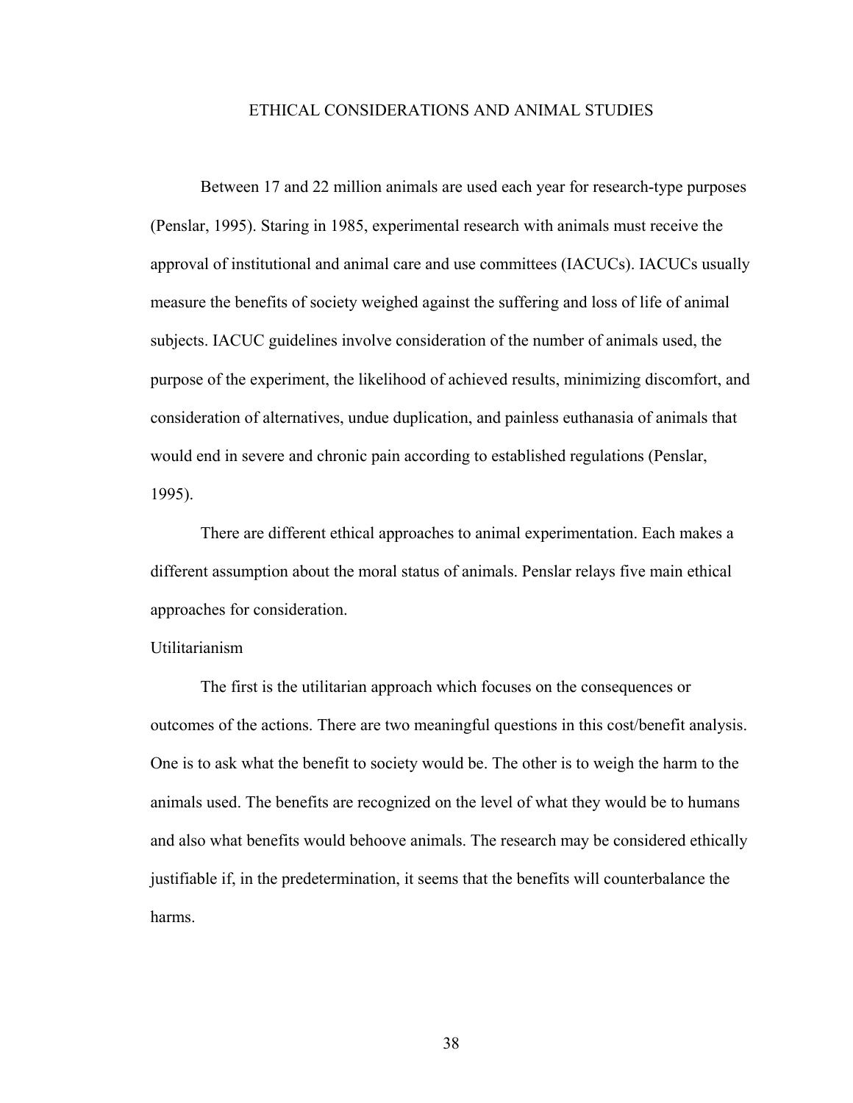### ETHICAL CONSIDERATIONS AND ANIMAL STUDIES

Between 17 and 22 million animals are used each year for research-type purposes (Penslar, 1995). Staring in 1985, experimental research with animals must receive the approval of institutional and animal care and use committees (IACUCs). IACUCs usually measure the benefits of society weighed against the suffering and loss of life of animal subjects. IACUC guidelines involve consideration of the number of animals used, the purpose of the experiment, the likelihood of achieved results, minimizing discomfort, and consideration of alternatives, undue duplication, and painless euthanasia of animals that would end in severe and chronic pain according to established regulations (Penslar, 1995).

 There are different ethical approaches to animal experimentation. Each makes a different assumption about the moral status of animals. Penslar relays five main ethical approaches for consideration.

## Utilitarianism

The first is the utilitarian approach which focuses on the consequences or outcomes of the actions. There are two meaningful questions in this cost/benefit analysis. One is to ask what the benefit to society would be. The other is to weigh the harm to the animals used. The benefits are recognized on the level of what they would be to humans and also what benefits would behoove animals. The research may be considered ethically justifiable if, in the predetermination, it seems that the benefits will counterbalance the harms.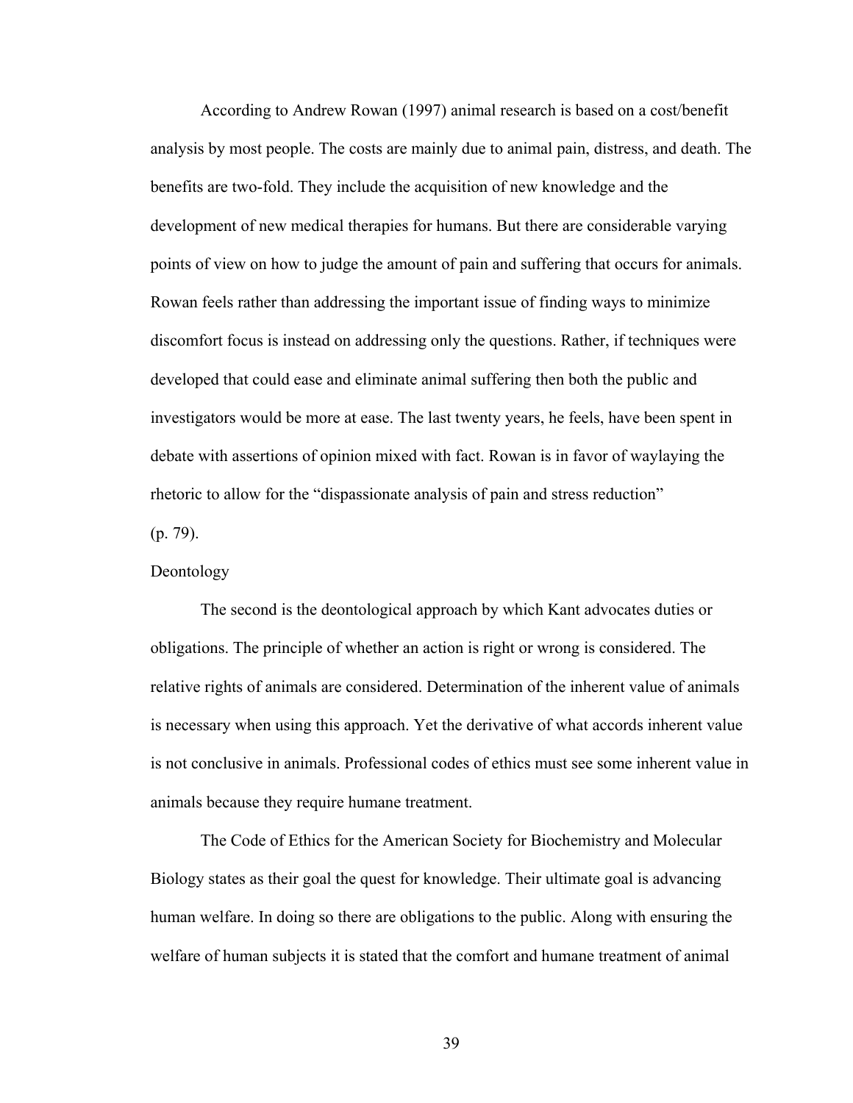According to Andrew Rowan (1997) animal research is based on a cost/benefit analysis by most people. The costs are mainly due to animal pain, distress, and death. The benefits are two-fold. They include the acquisition of new knowledge and the development of new medical therapies for humans. But there are considerable varying points of view on how to judge the amount of pain and suffering that occurs for animals. Rowan feels rather than addressing the important issue of finding ways to minimize discomfort focus is instead on addressing only the questions. Rather, if techniques were developed that could ease and eliminate animal suffering then both the public and investigators would be more at ease. The last twenty years, he feels, have been spent in debate with assertions of opinion mixed with fact. Rowan is in favor of waylaying the rhetoric to allow for the "dispassionate analysis of pain and stress reduction"

(p. 79).

# Deontology

The second is the deontological approach by which Kant advocates duties or obligations. The principle of whether an action is right or wrong is considered. The relative rights of animals are considered. Determination of the inherent value of animals is necessary when using this approach. Yet the derivative of what accords inherent value is not conclusive in animals. Professional codes of ethics must see some inherent value in animals because they require humane treatment.

 The Code of Ethics for the American Society for Biochemistry and Molecular Biology states as their goal the quest for knowledge. Their ultimate goal is advancing human welfare. In doing so there are obligations to the public. Along with ensuring the welfare of human subjects it is stated that the comfort and humane treatment of animal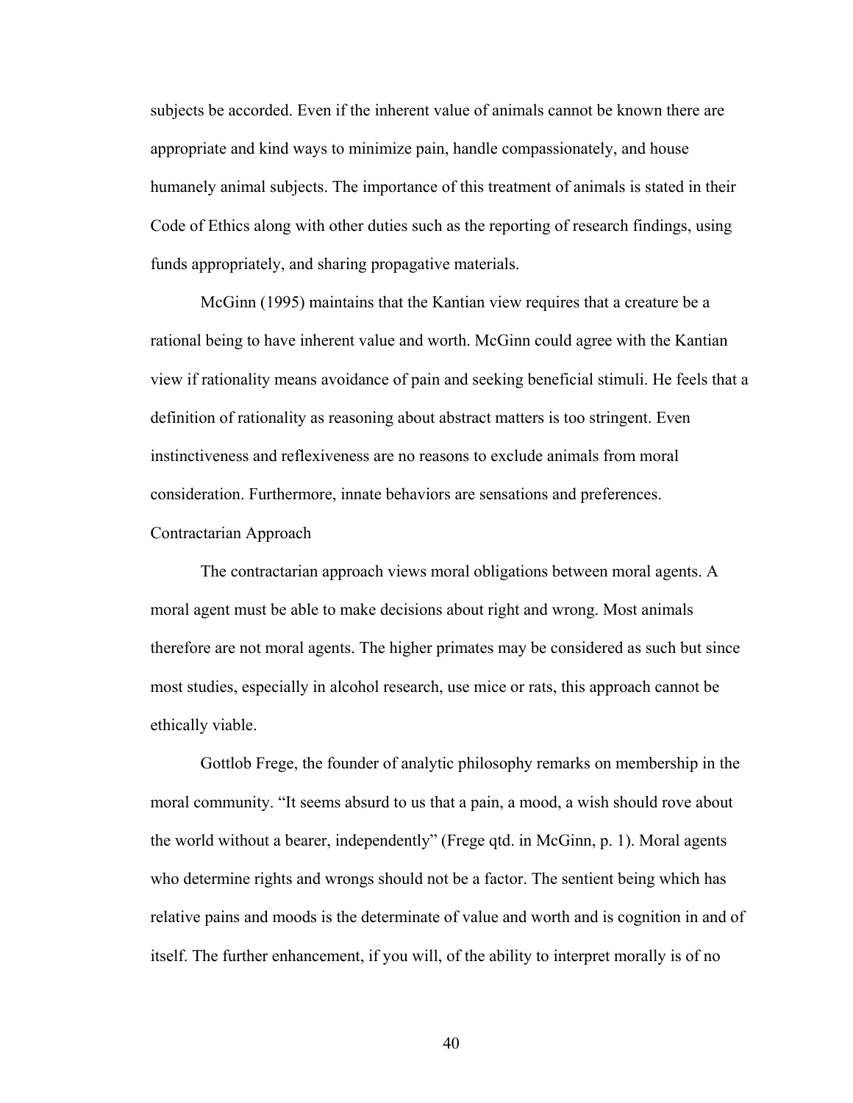subjects be accorded. Even if the inherent value of animals cannot be known there are appropriate and kind ways to minimize pain, handle compassionately, and house humanely animal subjects. The importance of this treatment of animals is stated in their Code of Ethics along with other duties such as the reporting of research findings, using funds appropriately, and sharing propagative materials.

 McGinn (1995) maintains that the Kantian view requires that a creature be a rational being to have inherent value and worth. McGinn could agree with the Kantian view if rationality means avoidance of pain and seeking beneficial stimuli. He feels that a definition of rationality as reasoning about abstract matters is too stringent. Even instinctiveness and reflexiveness are no reasons to exclude animals from moral consideration. Furthermore, innate behaviors are sensations and preferences. Contractarian Approach

The contractarian approach views moral obligations between moral agents. A moral agent must be able to make decisions about right and wrong. Most animals therefore are not moral agents. The higher primates may be considered as such but since most studies, especially in alcohol research, use mice or rats, this approach cannot be ethically viable.

 Gottlob Frege, the founder of analytic philosophy remarks on membership in the moral community. "It seems absurd to us that a pain, a mood, a wish should rove about the world without a bearer, independently" (Frege qtd. in McGinn, p. 1). Moral agents who determine rights and wrongs should not be a factor. The sentient being which has relative pains and moods is the determinate of value and worth and is cognition in and of itself. The further enhancement, if you will, of the ability to interpret morally is of no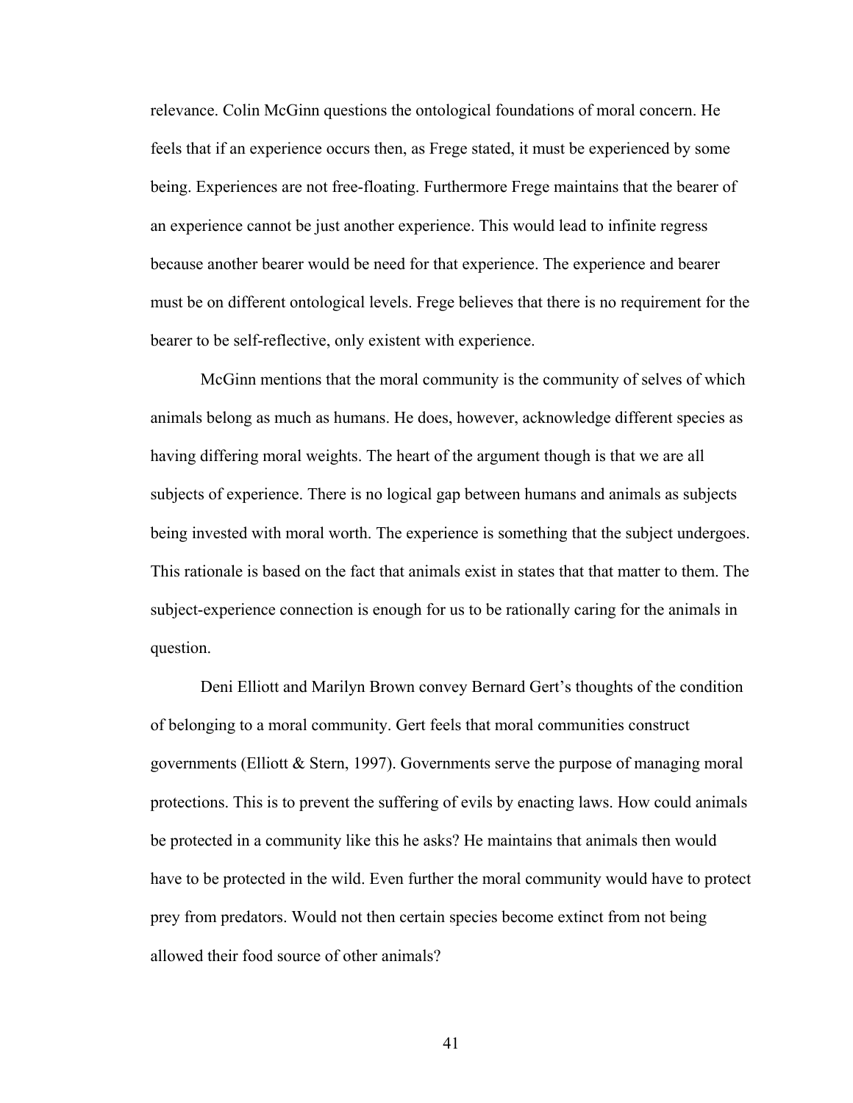relevance. Colin McGinn questions the ontological foundations of moral concern. He feels that if an experience occurs then, as Frege stated, it must be experienced by some being. Experiences are not free-floating. Furthermore Frege maintains that the bearer of an experience cannot be just another experience. This would lead to infinite regress because another bearer would be need for that experience. The experience and bearer must be on different ontological levels. Frege believes that there is no requirement for the bearer to be self-reflective, only existent with experience.

McGinn mentions that the moral community is the community of selves of which animals belong as much as humans. He does, however, acknowledge different species as having differing moral weights. The heart of the argument though is that we are all subjects of experience. There is no logical gap between humans and animals as subjects being invested with moral worth. The experience is something that the subject undergoes. This rationale is based on the fact that animals exist in states that that matter to them. The subject-experience connection is enough for us to be rationally caring for the animals in question.

Deni Elliott and Marilyn Brown convey Bernard Gert's thoughts of the condition of belonging to a moral community. Gert feels that moral communities construct governments (Elliott & Stern, 1997). Governments serve the purpose of managing moral protections. This is to prevent the suffering of evils by enacting laws. How could animals be protected in a community like this he asks? He maintains that animals then would have to be protected in the wild. Even further the moral community would have to protect prey from predators. Would not then certain species become extinct from not being allowed their food source of other animals?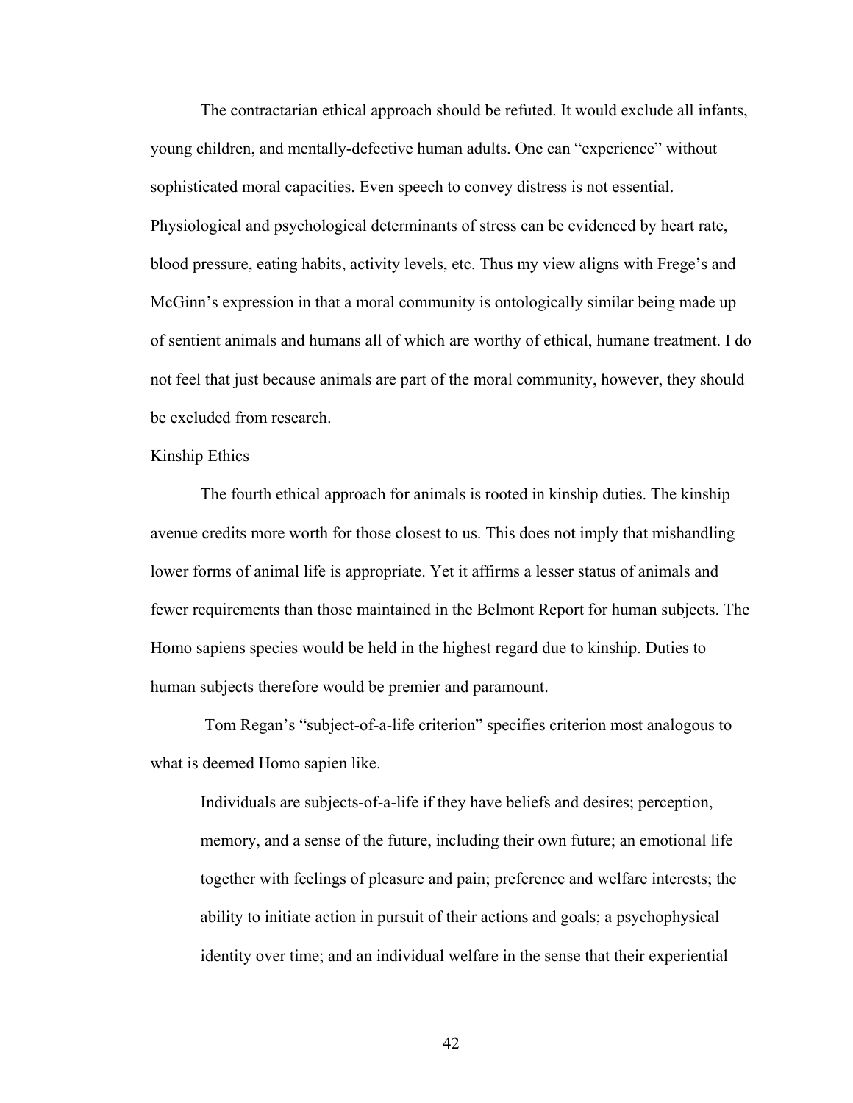The contractarian ethical approach should be refuted. It would exclude all infants, young children, and mentally-defective human adults. One can "experience" without sophisticated moral capacities. Even speech to convey distress is not essential. Physiological and psychological determinants of stress can be evidenced by heart rate, blood pressure, eating habits, activity levels, etc. Thus my view aligns with Frege's and McGinn's expression in that a moral community is ontologically similar being made up of sentient animals and humans all of which are worthy of ethical, humane treatment. I do not feel that just because animals are part of the moral community, however, they should be excluded from research.

### Kinship Ethics

The fourth ethical approach for animals is rooted in kinship duties. The kinship avenue credits more worth for those closest to us. This does not imply that mishandling lower forms of animal life is appropriate. Yet it affirms a lesser status of animals and fewer requirements than those maintained in the Belmont Report for human subjects. The Homo sapiens species would be held in the highest regard due to kinship. Duties to human subjects therefore would be premier and paramount.

 Tom Regan's "subject-of-a-life criterion" specifies criterion most analogous to what is deemed Homo sapien like.

Individuals are subjects-of-a-life if they have beliefs and desires; perception, memory, and a sense of the future, including their own future; an emotional life together with feelings of pleasure and pain; preference and welfare interests; the ability to initiate action in pursuit of their actions and goals; a psychophysical identity over time; and an individual welfare in the sense that their experiential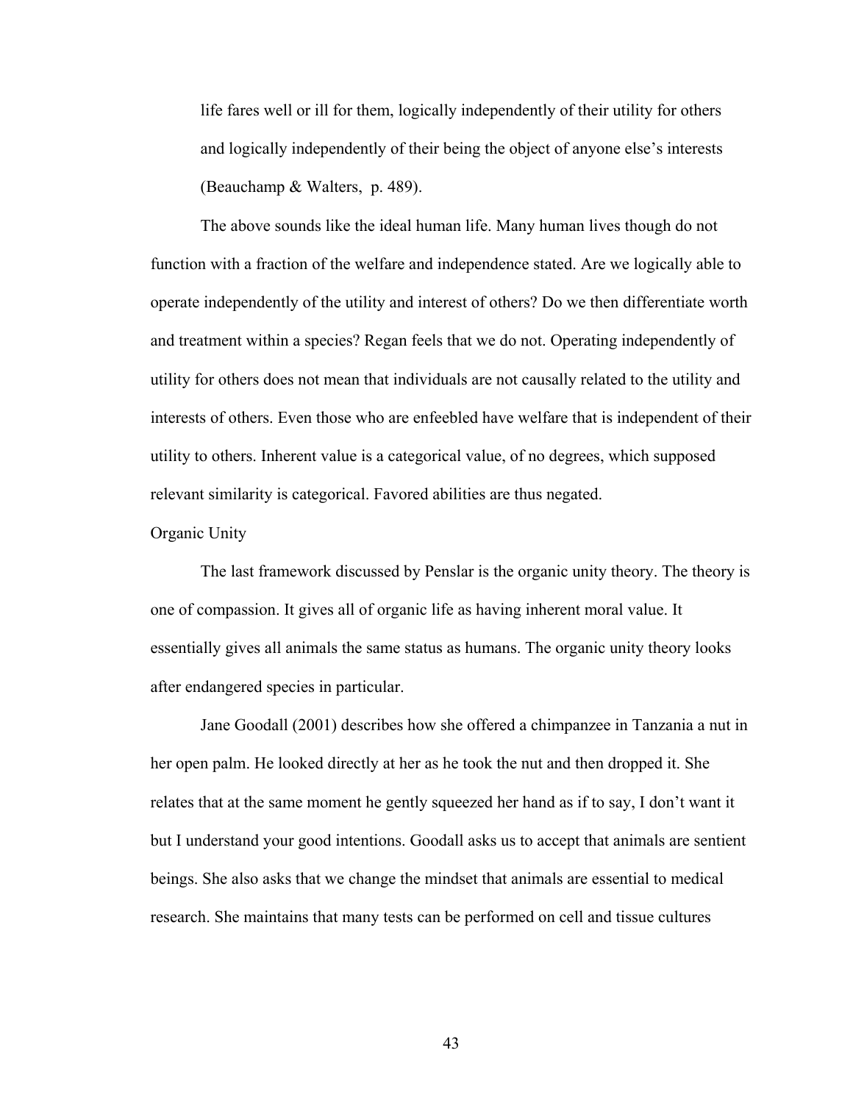life fares well or ill for them, logically independently of their utility for others and logically independently of their being the object of anyone else's interests (Beauchamp & Walters, p. 489).

The above sounds like the ideal human life. Many human lives though do not function with a fraction of the welfare and independence stated. Are we logically able to operate independently of the utility and interest of others? Do we then differentiate worth and treatment within a species? Regan feels that we do not. Operating independently of utility for others does not mean that individuals are not causally related to the utility and interests of others. Even those who are enfeebled have welfare that is independent of their utility to others. Inherent value is a categorical value, of no degrees, which supposed relevant similarity is categorical. Favored abilities are thus negated.

#### Organic Unity

The last framework discussed by Penslar is the organic unity theory. The theory is one of compassion. It gives all of organic life as having inherent moral value. It essentially gives all animals the same status as humans. The organic unity theory looks after endangered species in particular.

 Jane Goodall (2001) describes how she offered a chimpanzee in Tanzania a nut in her open palm. He looked directly at her as he took the nut and then dropped it. She relates that at the same moment he gently squeezed her hand as if to say, I don't want it but I understand your good intentions. Goodall asks us to accept that animals are sentient beings. She also asks that we change the mindset that animals are essential to medical research. She maintains that many tests can be performed on cell and tissue cultures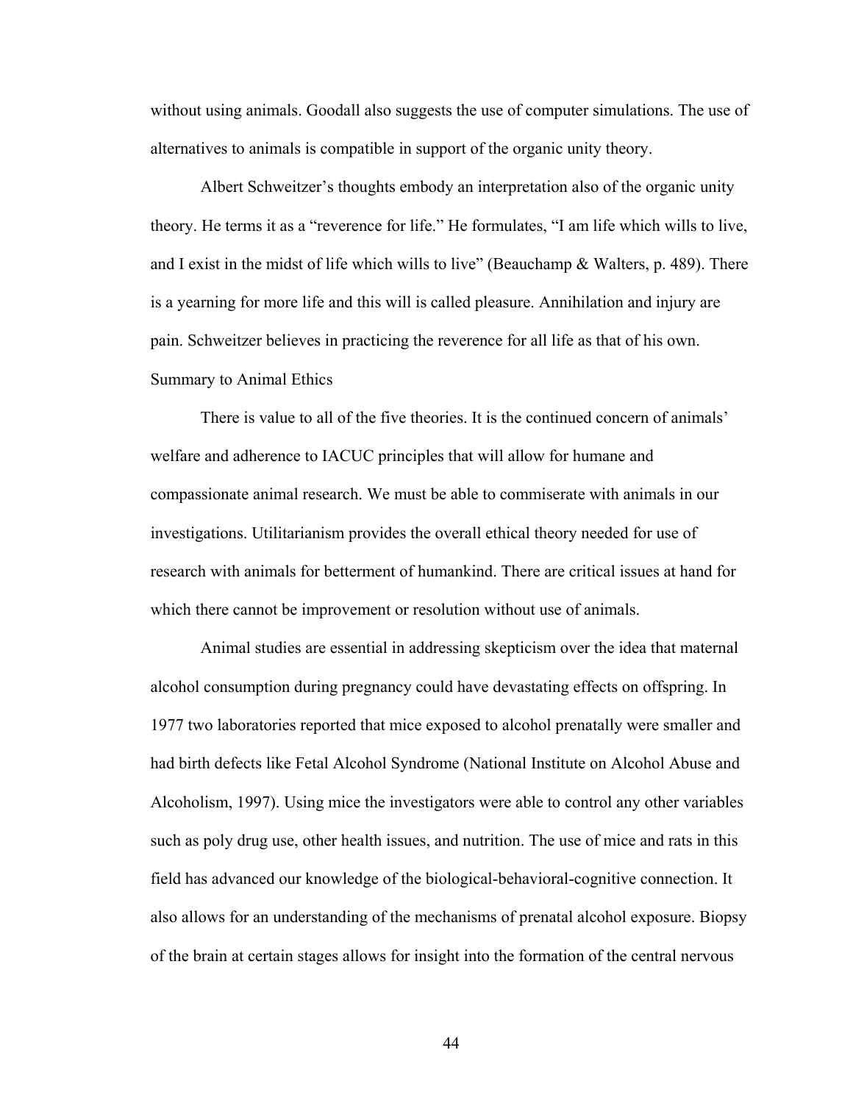without using animals. Goodall also suggests the use of computer simulations. The use of alternatives to animals is compatible in support of the organic unity theory.

 Albert Schweitzer's thoughts embody an interpretation also of the organic unity theory. He terms it as a "reverence for life." He formulates, "I am life which wills to live, and I exist in the midst of life which wills to live" (Beauchamp & Walters, p. 489). There is a yearning for more life and this will is called pleasure. Annihilation and injury are pain. Schweitzer believes in practicing the reverence for all life as that of his own. Summary to Animal Ethics

There is value to all of the five theories. It is the continued concern of animals' welfare and adherence to IACUC principles that will allow for humane and compassionate animal research. We must be able to commiserate with animals in our investigations. Utilitarianism provides the overall ethical theory needed for use of research with animals for betterment of humankind. There are critical issues at hand for which there cannot be improvement or resolution without use of animals.

 Animal studies are essential in addressing skepticism over the idea that maternal alcohol consumption during pregnancy could have devastating effects on offspring. In 1977 two laboratories reported that mice exposed to alcohol prenatally were smaller and had birth defects like Fetal Alcohol Syndrome (National Institute on Alcohol Abuse and Alcoholism, 1997). Using mice the investigators were able to control any other variables such as poly drug use, other health issues, and nutrition. The use of mice and rats in this field has advanced our knowledge of the biological-behavioral-cognitive connection. It also allows for an understanding of the mechanisms of prenatal alcohol exposure. Biopsy of the brain at certain stages allows for insight into the formation of the central nervous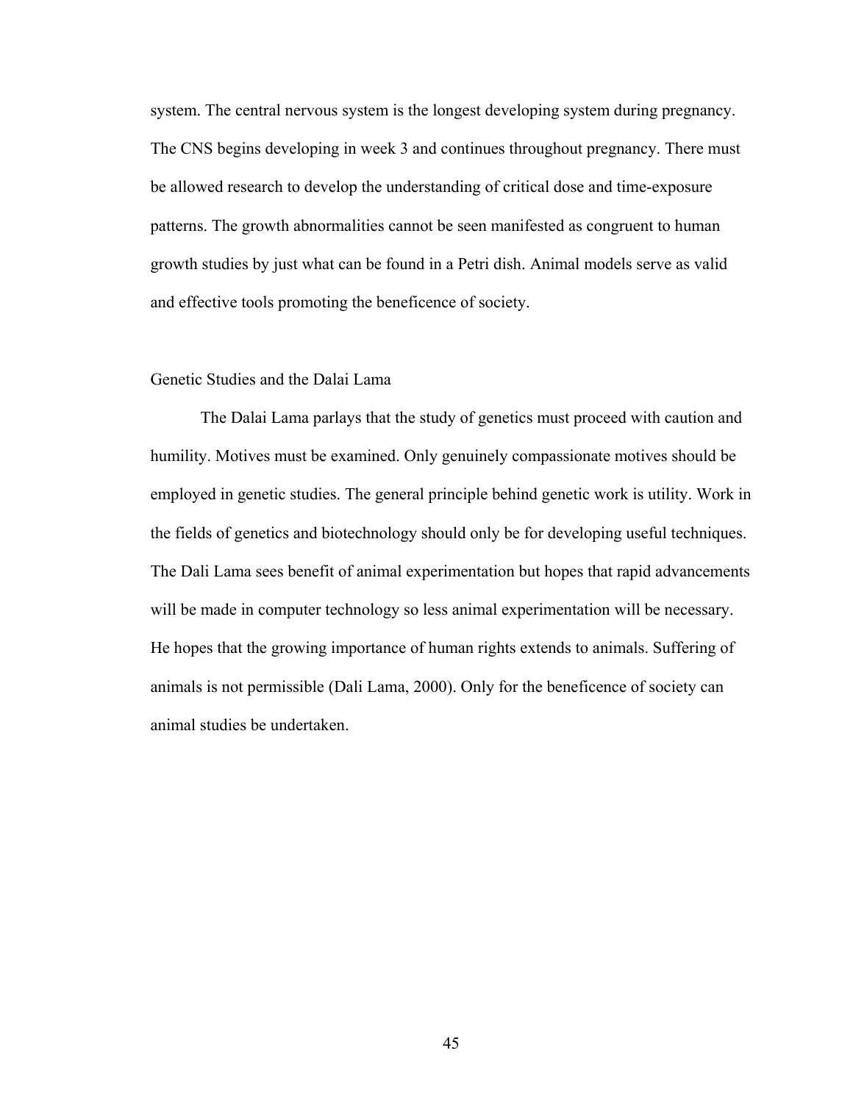system. The central nervous system is the longest developing system during pregnancy. The CNS begins developing in week 3 and continues throughout pregnancy. There must be allowed research to develop the understanding of critical dose and time-exposure patterns. The growth abnormalities cannot be seen manifested as congruent to human growth studies by just what can be found in a Petri dish. Animal models serve as valid and effective tools promoting the beneficence of society.

### Genetic Studies and the Dalai Lama

The Dalai Lama parlays that the study of genetics must proceed with caution and humility. Motives must be examined. Only genuinely compassionate motives should be employed in genetic studies. The general principle behind genetic work is utility. Work in the fields of genetics and biotechnology should only be for developing useful techniques. The Dali Lama sees benefit of animal experimentation but hopes that rapid advancements will be made in computer technology so less animal experimentation will be necessary. He hopes that the growing importance of human rights extends to animals. Suffering of animals is not permissible (Dali Lama, 2000). Only for the beneficence of society can animal studies be undertaken.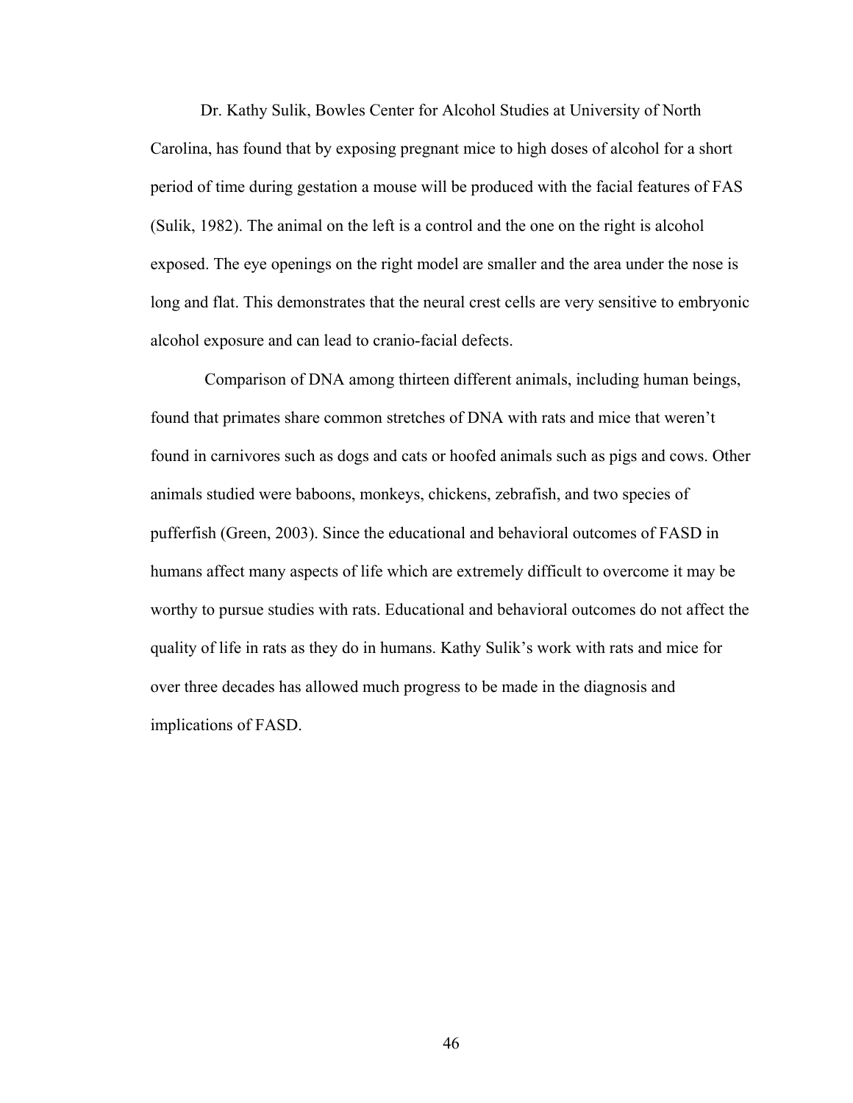Dr. Kathy Sulik, Bowles Center for Alcohol Studies at University of North Carolina, has found that by exposing pregnant mice to high doses of alcohol for a short period of time during gestation a mouse will be produced with the facial features of FAS (Sulik, 1982). The animal on the left is a control and the one on the right is alcohol exposed. The eye openings on the right model are smaller and the area under the nose is long and flat. This demonstrates that the neural crest cells are very sensitive to embryonic alcohol exposure and can lead to cranio-facial defects.

 Comparison of DNA among thirteen different animals, including human beings, found that primates share common stretches of DNA with rats and mice that weren't found in carnivores such as dogs and cats or hoofed animals such as pigs and cows. Other animals studied were baboons, monkeys, chickens, zebrafish, and two species of pufferfish (Green, 2003). Since the educational and behavioral outcomes of FASD in humans affect many aspects of life which are extremely difficult to overcome it may be worthy to pursue studies with rats. Educational and behavioral outcomes do not affect the quality of life in rats as they do in humans. Kathy Sulik's work with rats and mice for over three decades has allowed much progress to be made in the diagnosis and implications of FASD.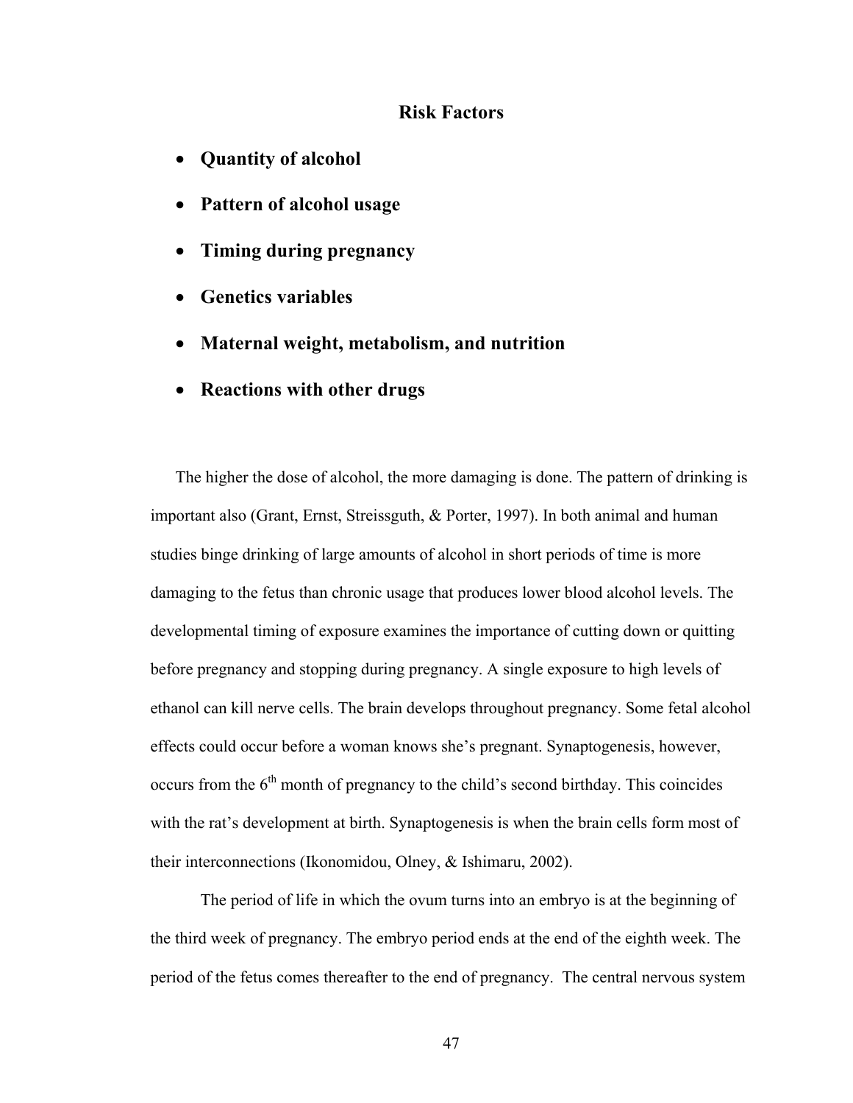# **Risk Factors**

- **Quantity of alcohol**
- **Pattern of alcohol usage**
- **Timing during pregnancy**
- **Genetics variables**
- **Maternal weight, metabolism, and nutrition**
- **Reactions with other drugs**

The higher the dose of alcohol, the more damaging is done. The pattern of drinking is important also (Grant, Ernst, Streissguth, & Porter, 1997). In both animal and human studies binge drinking of large amounts of alcohol in short periods of time is more damaging to the fetus than chronic usage that produces lower blood alcohol levels. The developmental timing of exposure examines the importance of cutting down or quitting before pregnancy and stopping during pregnancy. A single exposure to high levels of ethanol can kill nerve cells. The brain develops throughout pregnancy. Some fetal alcohol effects could occur before a woman knows she's pregnant. Synaptogenesis, however, occurs from the  $6<sup>th</sup>$  month of pregnancy to the child's second birthday. This coincides with the rat's development at birth. Synaptogenesis is when the brain cells form most of their interconnections (Ikonomidou, Olney, & Ishimaru, 2002).

 The period of life in which the ovum turns into an embryo is at the beginning of the third week of pregnancy. The embryo period ends at the end of the eighth week. The period of the fetus comes thereafter to the end of pregnancy. The central nervous system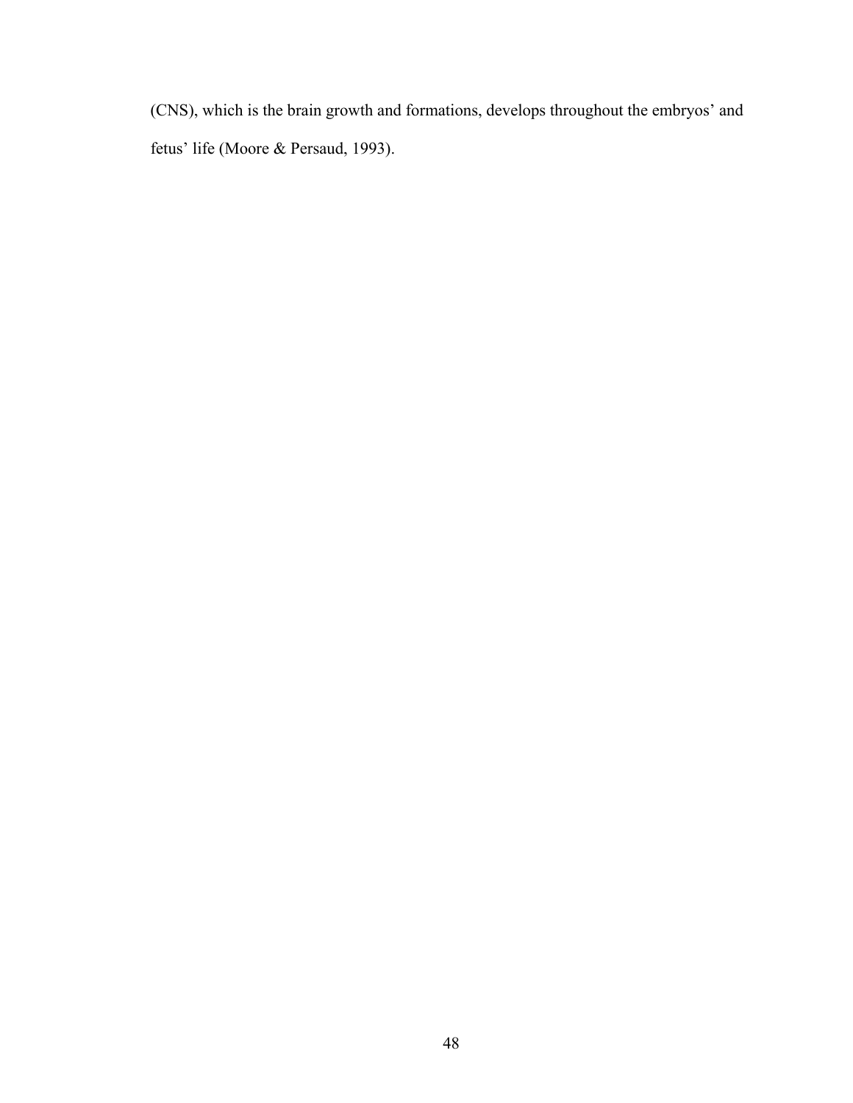(CNS), which is the brain growth and formations, develops throughout the embryos' and fetus' life (Moore & Persaud, 1993).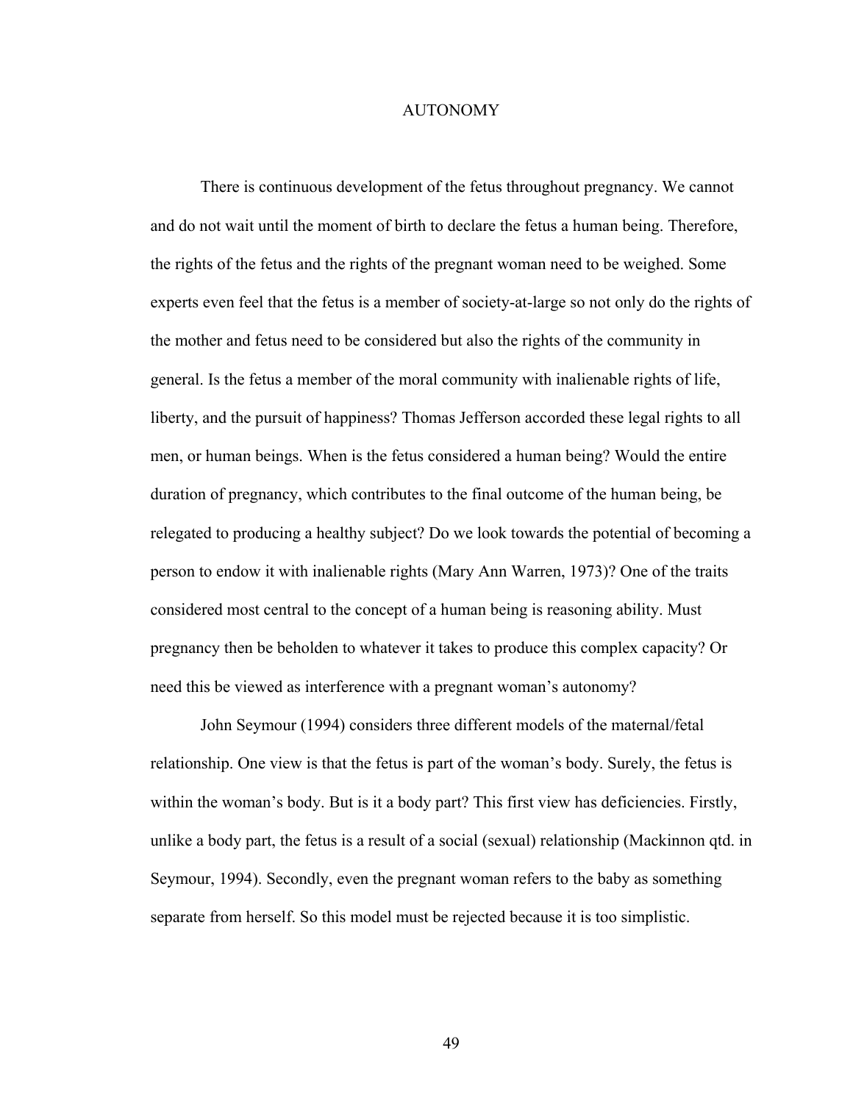### AUTONOMY

There is continuous development of the fetus throughout pregnancy. We cannot and do not wait until the moment of birth to declare the fetus a human being. Therefore, the rights of the fetus and the rights of the pregnant woman need to be weighed. Some experts even feel that the fetus is a member of society-at-large so not only do the rights of the mother and fetus need to be considered but also the rights of the community in general. Is the fetus a member of the moral community with inalienable rights of life, liberty, and the pursuit of happiness? Thomas Jefferson accorded these legal rights to all men, or human beings. When is the fetus considered a human being? Would the entire duration of pregnancy, which contributes to the final outcome of the human being, be relegated to producing a healthy subject? Do we look towards the potential of becoming a person to endow it with inalienable rights (Mary Ann Warren, 1973)? One of the traits considered most central to the concept of a human being is reasoning ability. Must pregnancy then be beholden to whatever it takes to produce this complex capacity? Or need this be viewed as interference with a pregnant woman's autonomy?

 John Seymour (1994) considers three different models of the maternal/fetal relationship. One view is that the fetus is part of the woman's body. Surely, the fetus is within the woman's body. But is it a body part? This first view has deficiencies. Firstly, unlike a body part, the fetus is a result of a social (sexual) relationship (Mackinnon qtd. in Seymour, 1994). Secondly, even the pregnant woman refers to the baby as something separate from herself. So this model must be rejected because it is too simplistic.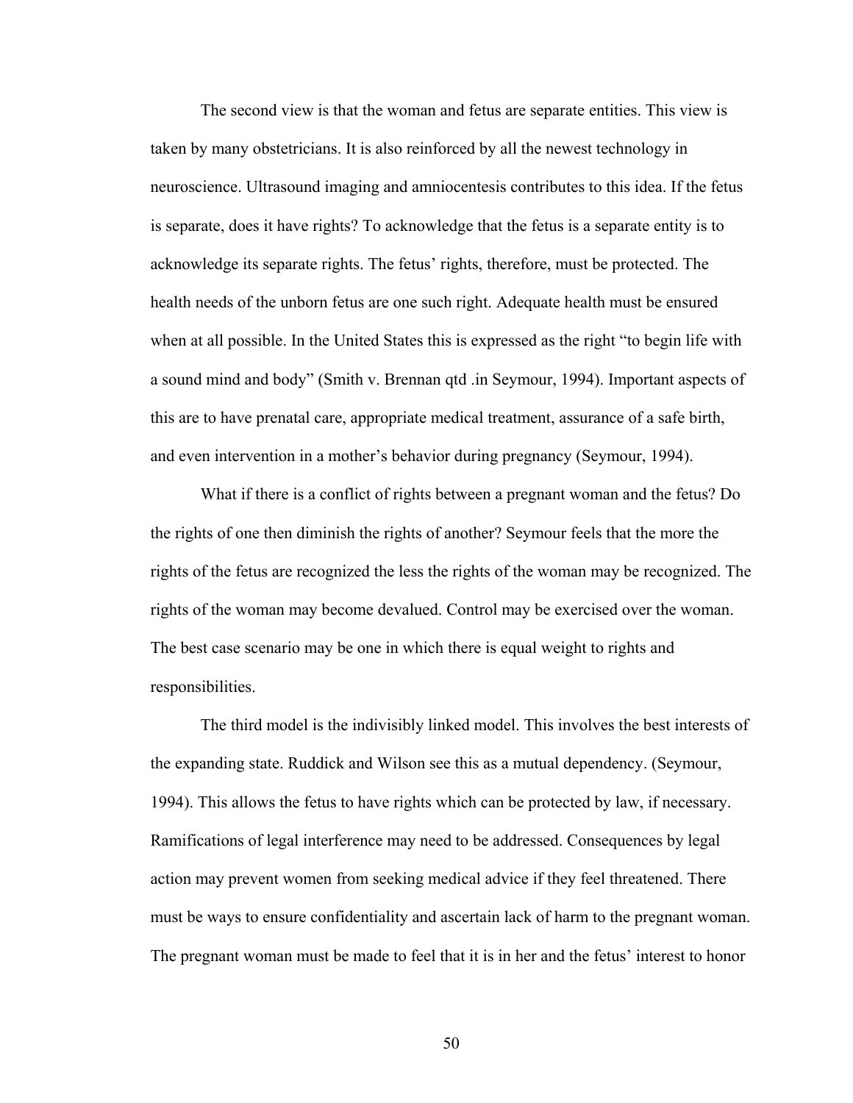The second view is that the woman and fetus are separate entities. This view is taken by many obstetricians. It is also reinforced by all the newest technology in neuroscience. Ultrasound imaging and amniocentesis contributes to this idea. If the fetus is separate, does it have rights? To acknowledge that the fetus is a separate entity is to acknowledge its separate rights. The fetus' rights, therefore, must be protected. The health needs of the unborn fetus are one such right. Adequate health must be ensured when at all possible. In the United States this is expressed as the right "to begin life with a sound mind and body" (Smith v. Brennan qtd .in Seymour, 1994). Important aspects of this are to have prenatal care, appropriate medical treatment, assurance of a safe birth, and even intervention in a mother's behavior during pregnancy (Seymour, 1994).

 What if there is a conflict of rights between a pregnant woman and the fetus? Do the rights of one then diminish the rights of another? Seymour feels that the more the rights of the fetus are recognized the less the rights of the woman may be recognized. The rights of the woman may become devalued. Control may be exercised over the woman. The best case scenario may be one in which there is equal weight to rights and responsibilities.

 The third model is the indivisibly linked model. This involves the best interests of the expanding state. Ruddick and Wilson see this as a mutual dependency. (Seymour, 1994). This allows the fetus to have rights which can be protected by law, if necessary. Ramifications of legal interference may need to be addressed. Consequences by legal action may prevent women from seeking medical advice if they feel threatened. There must be ways to ensure confidentiality and ascertain lack of harm to the pregnant woman. The pregnant woman must be made to feel that it is in her and the fetus' interest to honor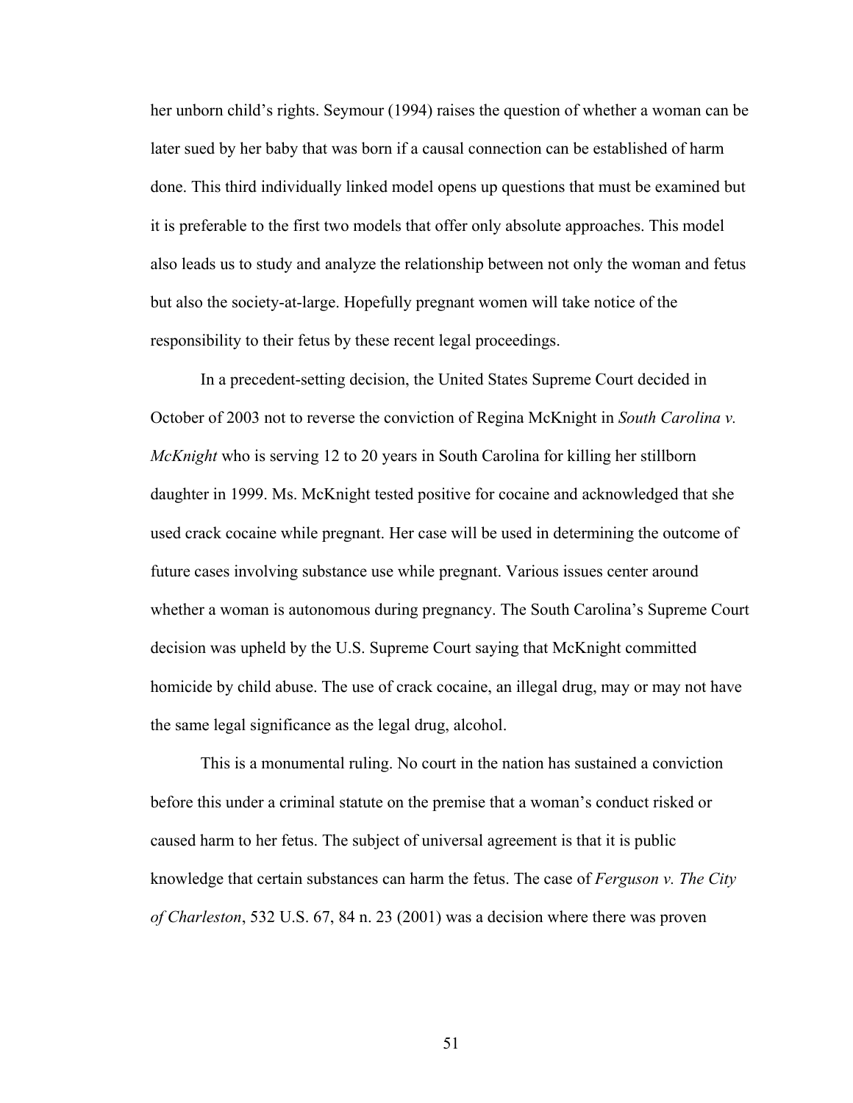her unborn child's rights. Seymour (1994) raises the question of whether a woman can be later sued by her baby that was born if a causal connection can be established of harm done. This third individually linked model opens up questions that must be examined but it is preferable to the first two models that offer only absolute approaches. This model also leads us to study and analyze the relationship between not only the woman and fetus but also the society-at-large. Hopefully pregnant women will take notice of the responsibility to their fetus by these recent legal proceedings.

 In a precedent-setting decision, the United States Supreme Court decided in October of 2003 not to reverse the conviction of Regina McKnight in *South Carolina v. McKnight* who is serving 12 to 20 years in South Carolina for killing her stillborn daughter in 1999. Ms. McKnight tested positive for cocaine and acknowledged that she used crack cocaine while pregnant. Her case will be used in determining the outcome of future cases involving substance use while pregnant. Various issues center around whether a woman is autonomous during pregnancy. The South Carolina's Supreme Court decision was upheld by the U.S. Supreme Court saying that McKnight committed homicide by child abuse. The use of crack cocaine, an illegal drug, may or may not have the same legal significance as the legal drug, alcohol.

 This is a monumental ruling. No court in the nation has sustained a conviction before this under a criminal statute on the premise that a woman's conduct risked or caused harm to her fetus. The subject of universal agreement is that it is public knowledge that certain substances can harm the fetus. The case of *Ferguson v. The City of Charleston*, 532 U.S. 67, 84 n. 23 (2001) was a decision where there was proven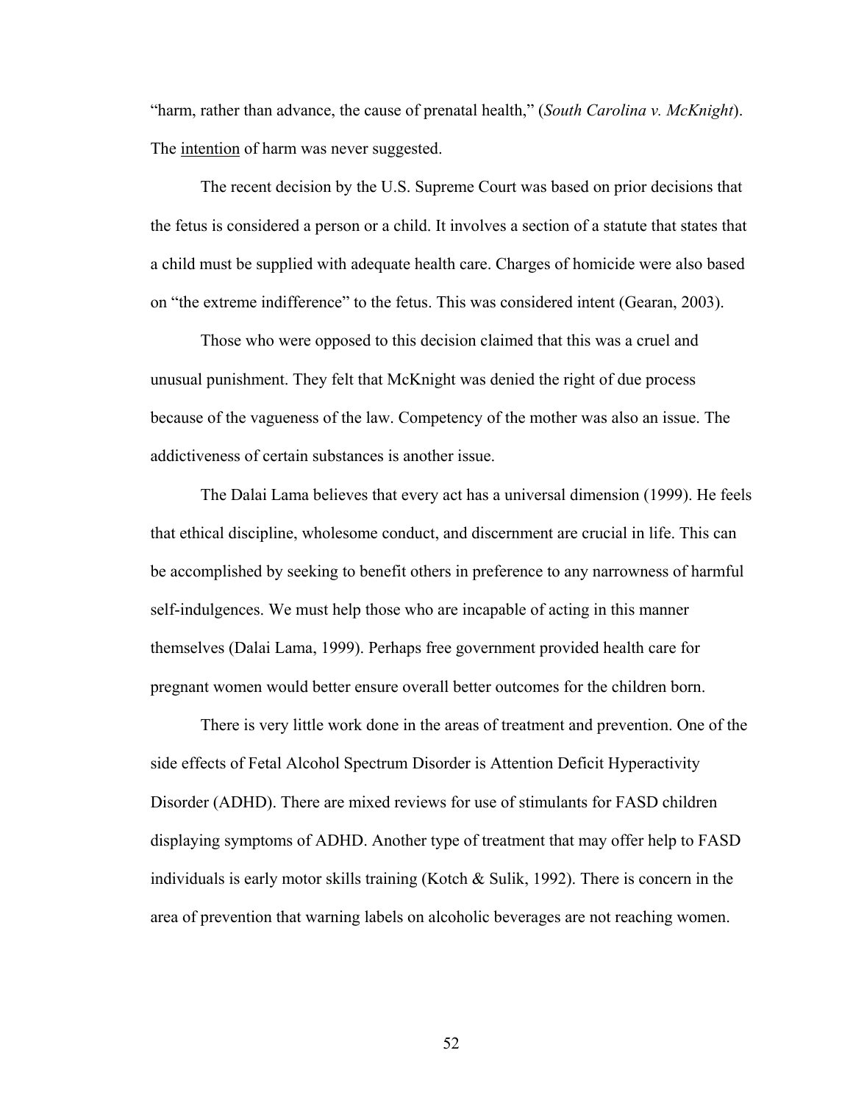"harm, rather than advance, the cause of prenatal health," (*South Carolina v. McKnight*). The intention of harm was never suggested.

 The recent decision by the U.S. Supreme Court was based on prior decisions that the fetus is considered a person or a child. It involves a section of a statute that states that a child must be supplied with adequate health care. Charges of homicide were also based on "the extreme indifference" to the fetus. This was considered intent (Gearan, 2003).

 Those who were opposed to this decision claimed that this was a cruel and unusual punishment. They felt that McKnight was denied the right of due process because of the vagueness of the law. Competency of the mother was also an issue. The addictiveness of certain substances is another issue.

 The Dalai Lama believes that every act has a universal dimension (1999). He feels that ethical discipline, wholesome conduct, and discernment are crucial in life. This can be accomplished by seeking to benefit others in preference to any narrowness of harmful self-indulgences. We must help those who are incapable of acting in this manner themselves (Dalai Lama, 1999). Perhaps free government provided health care for pregnant women would better ensure overall better outcomes for the children born.

There is very little work done in the areas of treatment and prevention. One of the side effects of Fetal Alcohol Spectrum Disorder is Attention Deficit Hyperactivity Disorder (ADHD). There are mixed reviews for use of stimulants for FASD children displaying symptoms of ADHD. Another type of treatment that may offer help to FASD individuals is early motor skills training (Kotch  $\&$  Sulik, 1992). There is concern in the area of prevention that warning labels on alcoholic beverages are not reaching women.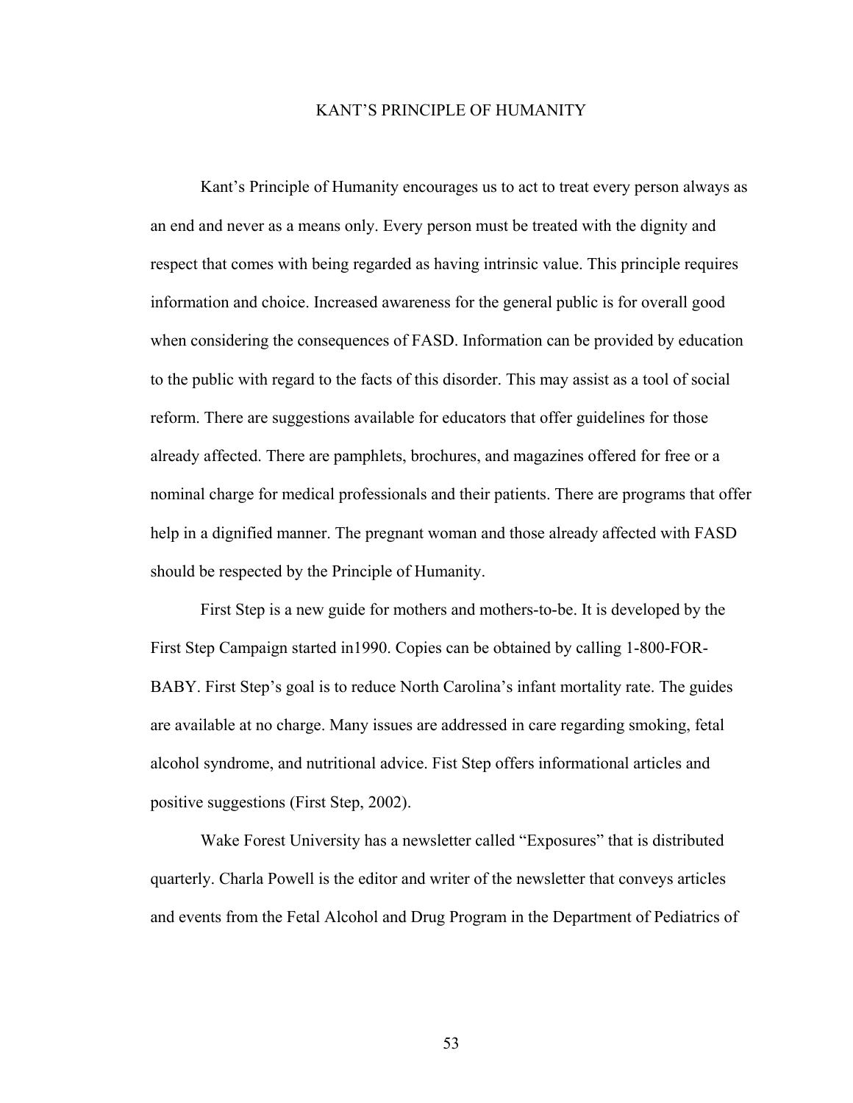#### KANT'S PRINCIPLE OF HUMANITY

 Kant's Principle of Humanity encourages us to act to treat every person always as an end and never as a means only. Every person must be treated with the dignity and respect that comes with being regarded as having intrinsic value. This principle requires information and choice. Increased awareness for the general public is for overall good when considering the consequences of FASD. Information can be provided by education to the public with regard to the facts of this disorder. This may assist as a tool of social reform. There are suggestions available for educators that offer guidelines for those already affected. There are pamphlets, brochures, and magazines offered for free or a nominal charge for medical professionals and their patients. There are programs that offer help in a dignified manner. The pregnant woman and those already affected with FASD should be respected by the Principle of Humanity.

 First Step is a new guide for mothers and mothers-to-be. It is developed by the First Step Campaign started in1990. Copies can be obtained by calling 1-800-FOR-BABY. First Step's goal is to reduce North Carolina's infant mortality rate. The guides are available at no charge. Many issues are addressed in care regarding smoking, fetal alcohol syndrome, and nutritional advice. Fist Step offers informational articles and positive suggestions (First Step, 2002).

Wake Forest University has a newsletter called "Exposures" that is distributed quarterly. Charla Powell is the editor and writer of the newsletter that conveys articles and events from the Fetal Alcohol and Drug Program in the Department of Pediatrics of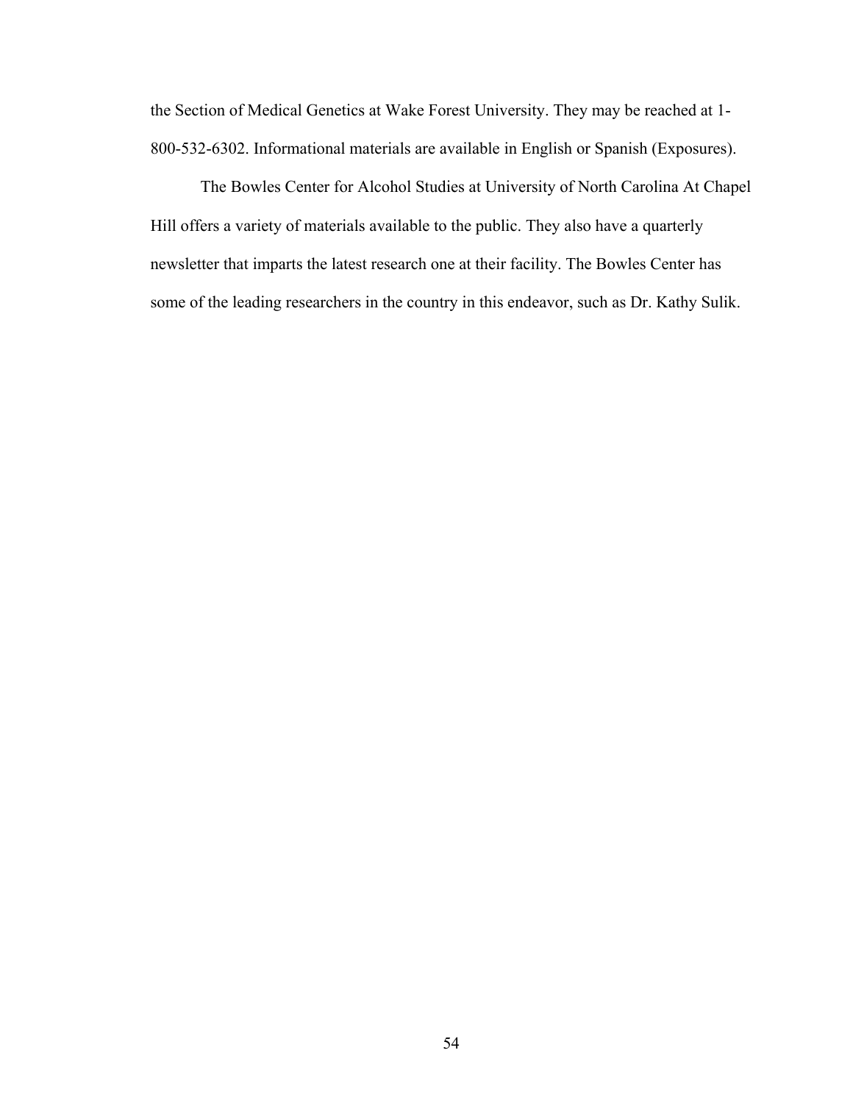the Section of Medical Genetics at Wake Forest University. They may be reached at 1- 800-532-6302. Informational materials are available in English or Spanish (Exposures).

 The Bowles Center for Alcohol Studies at University of North Carolina At Chapel Hill offers a variety of materials available to the public. They also have a quarterly newsletter that imparts the latest research one at their facility. The Bowles Center has some of the leading researchers in the country in this endeavor, such as Dr. Kathy Sulik.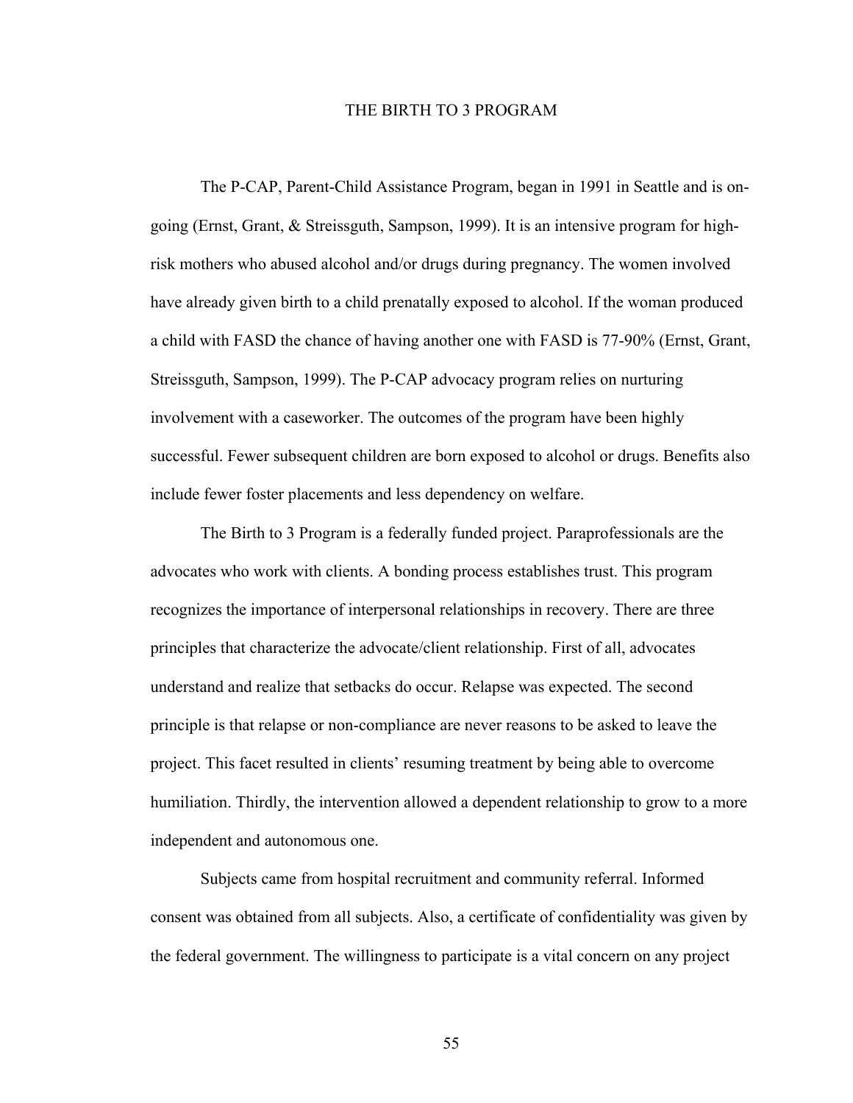### THE BIRTH TO 3 PROGRAM

 The P-CAP, Parent-Child Assistance Program, began in 1991 in Seattle and is ongoing (Ernst, Grant, & Streissguth, Sampson, 1999). It is an intensive program for highrisk mothers who abused alcohol and/or drugs during pregnancy. The women involved have already given birth to a child prenatally exposed to alcohol. If the woman produced a child with FASD the chance of having another one with FASD is 77-90% (Ernst, Grant, Streissguth, Sampson, 1999). The P-CAP advocacy program relies on nurturing involvement with a caseworker. The outcomes of the program have been highly successful. Fewer subsequent children are born exposed to alcohol or drugs. Benefits also include fewer foster placements and less dependency on welfare.

 The Birth to 3 Program is a federally funded project. Paraprofessionals are the advocates who work with clients. A bonding process establishes trust. This program recognizes the importance of interpersonal relationships in recovery. There are three principles that characterize the advocate/client relationship. First of all, advocates understand and realize that setbacks do occur. Relapse was expected. The second principle is that relapse or non-compliance are never reasons to be asked to leave the project. This facet resulted in clients' resuming treatment by being able to overcome humiliation. Thirdly, the intervention allowed a dependent relationship to grow to a more independent and autonomous one.

 Subjects came from hospital recruitment and community referral. Informed consent was obtained from all subjects. Also, a certificate of confidentiality was given by the federal government. The willingness to participate is a vital concern on any project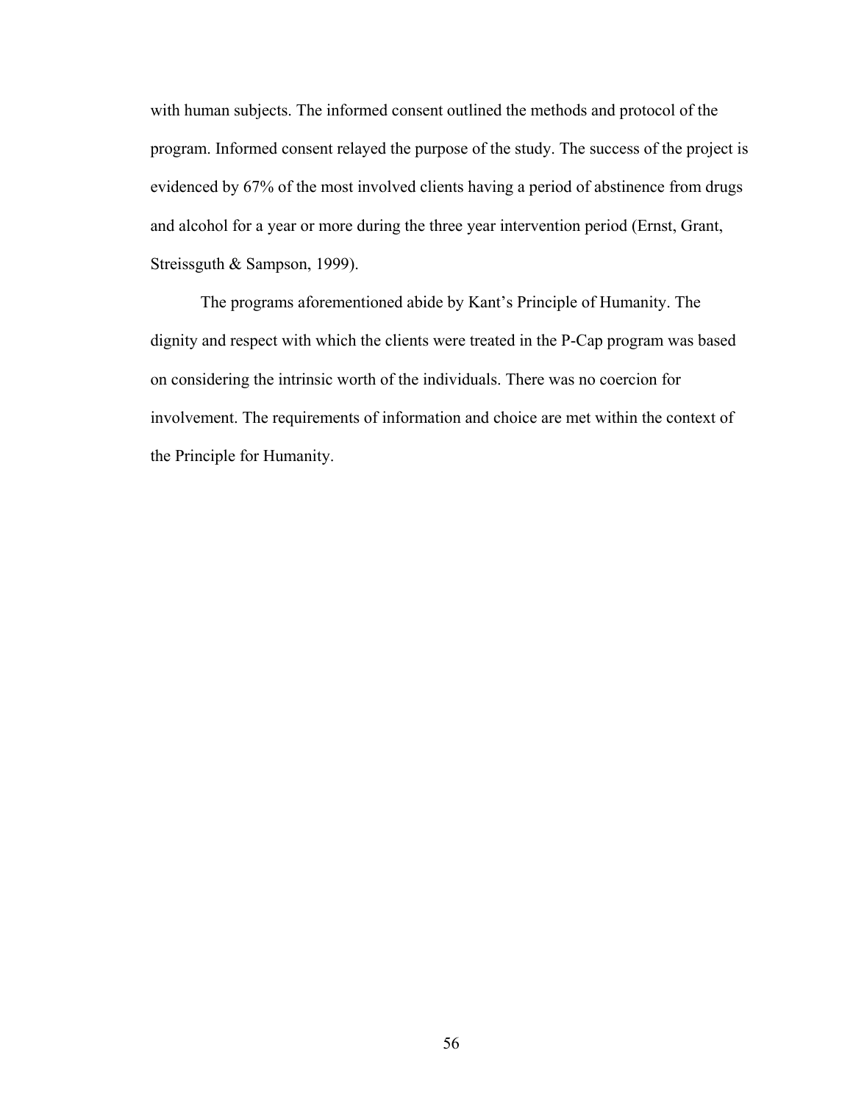with human subjects. The informed consent outlined the methods and protocol of the program. Informed consent relayed the purpose of the study. The success of the project is evidenced by 67% of the most involved clients having a period of abstinence from drugs and alcohol for a year or more during the three year intervention period (Ernst, Grant, Streissguth & Sampson, 1999).

The programs aforementioned abide by Kant's Principle of Humanity. The dignity and respect with which the clients were treated in the P-Cap program was based on considering the intrinsic worth of the individuals. There was no coercion for involvement. The requirements of information and choice are met within the context of the Principle for Humanity.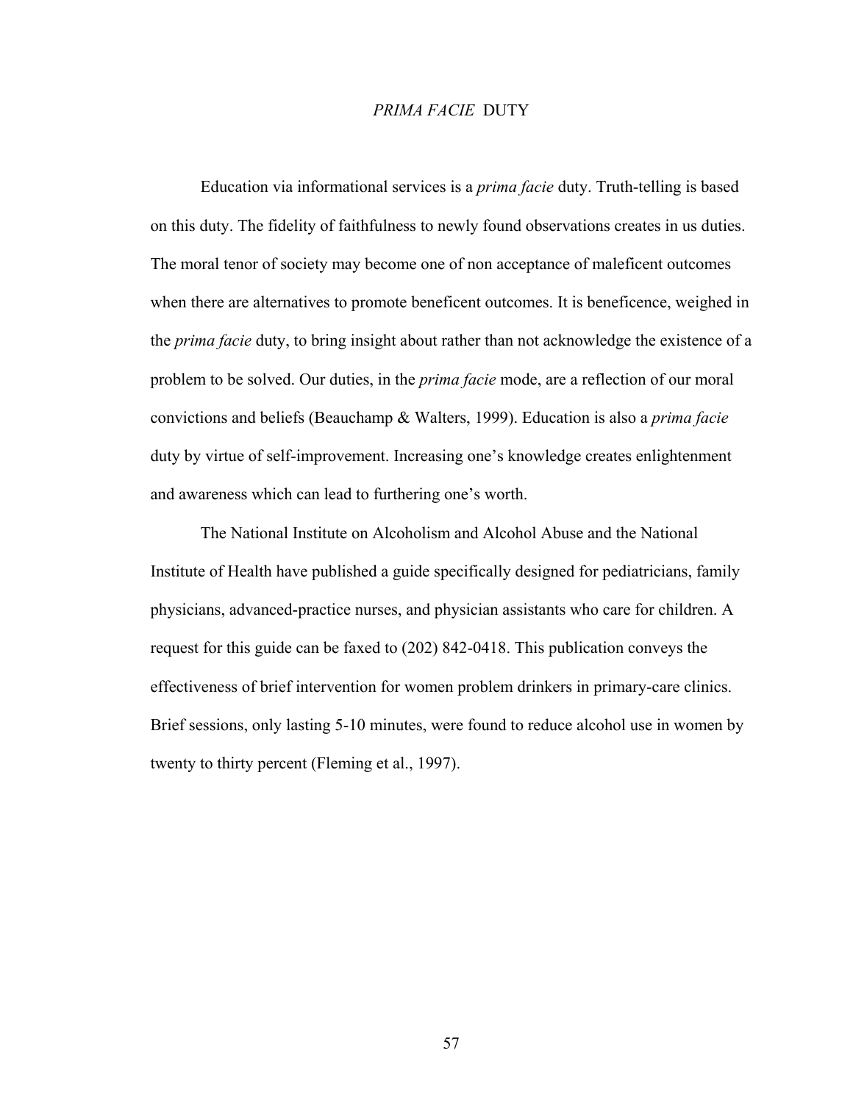### *PRIMA FACIE* DUTY

Education via informational services is a *prima facie* duty. Truth-telling is based on this duty. The fidelity of faithfulness to newly found observations creates in us duties. The moral tenor of society may become one of non acceptance of maleficent outcomes when there are alternatives to promote beneficent outcomes. It is beneficence, weighed in the *prima facie* duty, to bring insight about rather than not acknowledge the existence of a problem to be solved. Our duties, in the *prima facie* mode, are a reflection of our moral convictions and beliefs (Beauchamp & Walters, 1999). Education is also a *prima facie* duty by virtue of self-improvement. Increasing one's knowledge creates enlightenment and awareness which can lead to furthering one's worth.

 The National Institute on Alcoholism and Alcohol Abuse and the National Institute of Health have published a guide specifically designed for pediatricians, family physicians, advanced-practice nurses, and physician assistants who care for children. A request for this guide can be faxed to (202) 842-0418. This publication conveys the effectiveness of brief intervention for women problem drinkers in primary-care clinics. Brief sessions, only lasting 5-10 minutes, were found to reduce alcohol use in women by twenty to thirty percent (Fleming et al., 1997).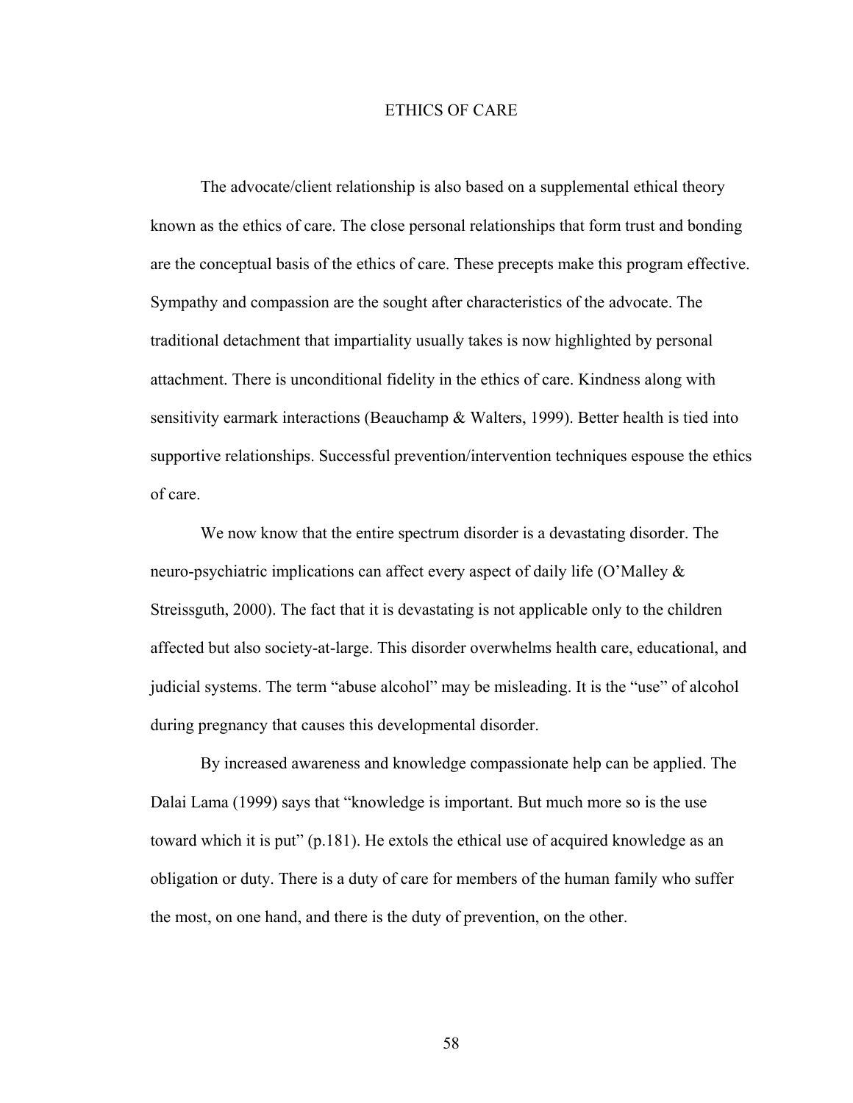### ETHICS OF CARE

The advocate/client relationship is also based on a supplemental ethical theory known as the ethics of care. The close personal relationships that form trust and bonding are the conceptual basis of the ethics of care. These precepts make this program effective. Sympathy and compassion are the sought after characteristics of the advocate. The traditional detachment that impartiality usually takes is now highlighted by personal attachment. There is unconditional fidelity in the ethics of care. Kindness along with sensitivity earmark interactions (Beauchamp & Walters, 1999). Better health is tied into supportive relationships. Successful prevention/intervention techniques espouse the ethics of care.

We now know that the entire spectrum disorder is a devastating disorder. The neuro-psychiatric implications can affect every aspect of daily life (O'Malley & Streissguth, 2000). The fact that it is devastating is not applicable only to the children affected but also society-at-large. This disorder overwhelms health care, educational, and judicial systems. The term "abuse alcohol" may be misleading. It is the "use" of alcohol during pregnancy that causes this developmental disorder.

 By increased awareness and knowledge compassionate help can be applied. The Dalai Lama (1999) says that "knowledge is important. But much more so is the use toward which it is put" (p.181). He extols the ethical use of acquired knowledge as an obligation or duty. There is a duty of care for members of the human family who suffer the most, on one hand, and there is the duty of prevention, on the other.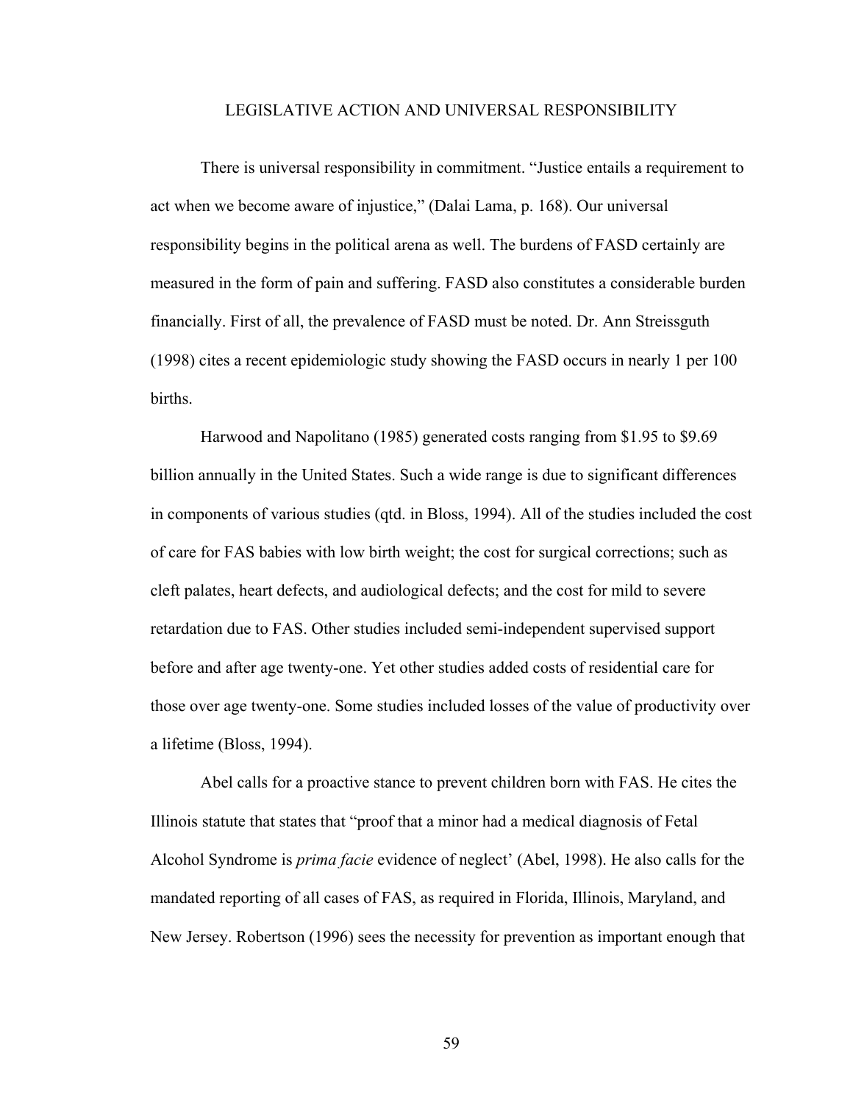#### LEGISLATIVE ACTION AND UNIVERSAL RESPONSIBILITY

There is universal responsibility in commitment. "Justice entails a requirement to act when we become aware of injustice," (Dalai Lama, p. 168). Our universal responsibility begins in the political arena as well. The burdens of FASD certainly are measured in the form of pain and suffering. FASD also constitutes a considerable burden financially. First of all, the prevalence of FASD must be noted. Dr. Ann Streissguth (1998) cites a recent epidemiologic study showing the FASD occurs in nearly 1 per 100 births.

 Harwood and Napolitano (1985) generated costs ranging from \$1.95 to \$9.69 billion annually in the United States. Such a wide range is due to significant differences in components of various studies (qtd. in Bloss, 1994). All of the studies included the cost of care for FAS babies with low birth weight; the cost for surgical corrections; such as cleft palates, heart defects, and audiological defects; and the cost for mild to severe retardation due to FAS. Other studies included semi-independent supervised support before and after age twenty-one. Yet other studies added costs of residential care for those over age twenty-one. Some studies included losses of the value of productivity over a lifetime (Bloss, 1994).

 Abel calls for a proactive stance to prevent children born with FAS. He cites the Illinois statute that states that "proof that a minor had a medical diagnosis of Fetal Alcohol Syndrome is *prima facie* evidence of neglect' (Abel, 1998). He also calls for the mandated reporting of all cases of FAS, as required in Florida, Illinois, Maryland, and New Jersey. Robertson (1996) sees the necessity for prevention as important enough that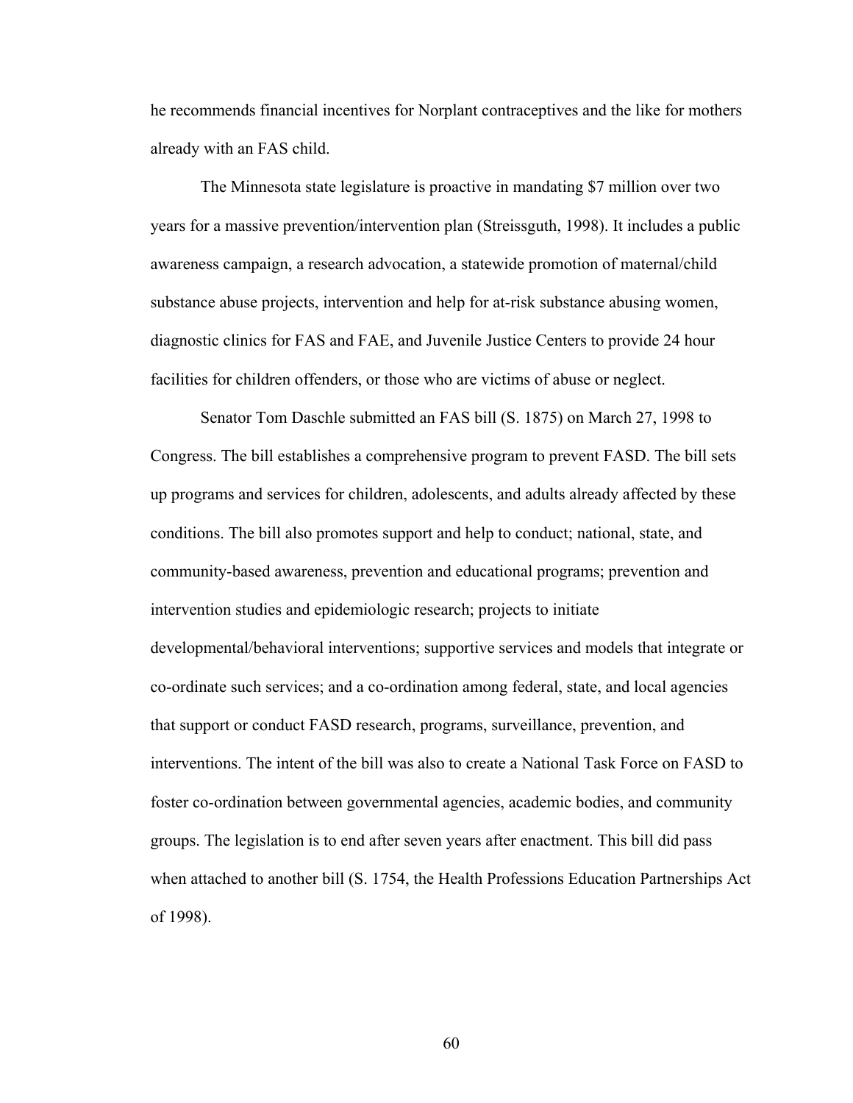he recommends financial incentives for Norplant contraceptives and the like for mothers already with an FAS child.

 The Minnesota state legislature is proactive in mandating \$7 million over two years for a massive prevention/intervention plan (Streissguth, 1998). It includes a public awareness campaign, a research advocation, a statewide promotion of maternal/child substance abuse projects, intervention and help for at-risk substance abusing women, diagnostic clinics for FAS and FAE, and Juvenile Justice Centers to provide 24 hour facilities for children offenders, or those who are victims of abuse or neglect.

 Senator Tom Daschle submitted an FAS bill (S. 1875) on March 27, 1998 to Congress. The bill establishes a comprehensive program to prevent FASD. The bill sets up programs and services for children, adolescents, and adults already affected by these conditions. The bill also promotes support and help to conduct; national, state, and community-based awareness, prevention and educational programs; prevention and intervention studies and epidemiologic research; projects to initiate developmental/behavioral interventions; supportive services and models that integrate or co-ordinate such services; and a co-ordination among federal, state, and local agencies that support or conduct FASD research, programs, surveillance, prevention, and interventions. The intent of the bill was also to create a National Task Force on FASD to foster co-ordination between governmental agencies, academic bodies, and community groups. The legislation is to end after seven years after enactment. This bill did pass when attached to another bill (S. 1754, the Health Professions Education Partnerships Act of 1998).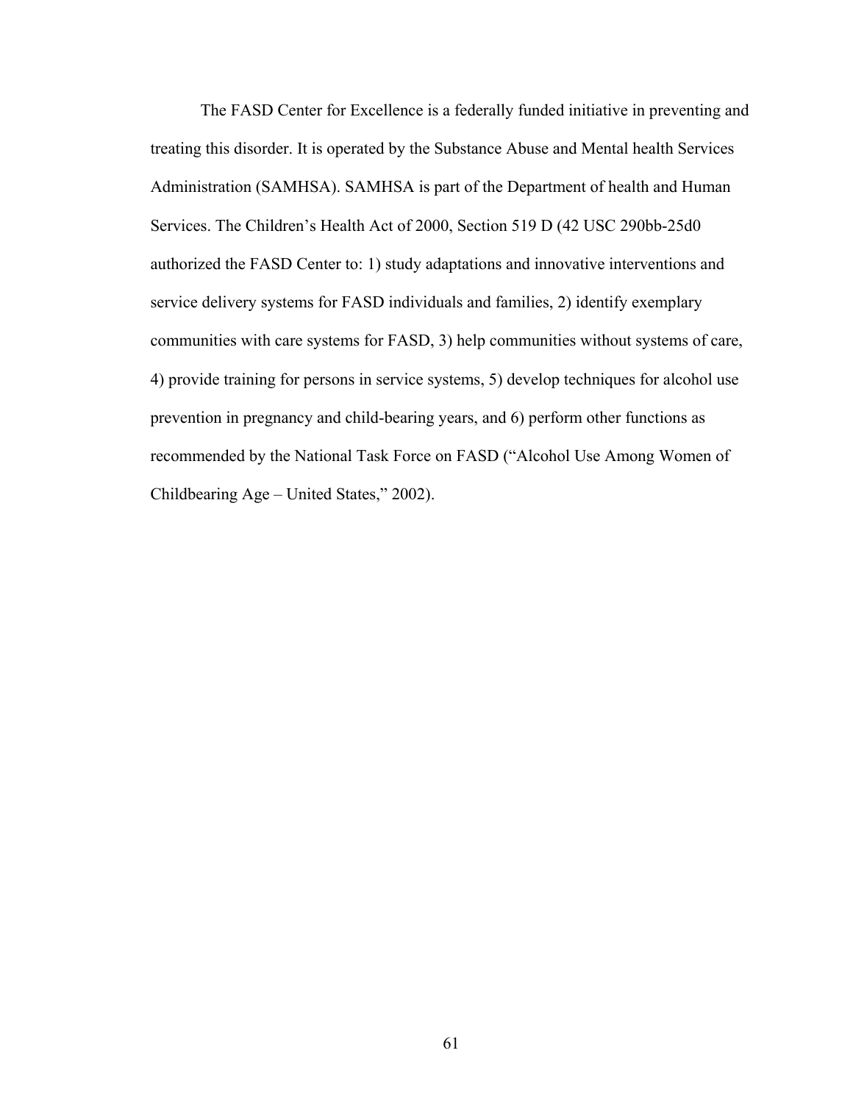The FASD Center for Excellence is a federally funded initiative in preventing and treating this disorder. It is operated by the Substance Abuse and Mental health Services Administration (SAMHSA). SAMHSA is part of the Department of health and Human Services. The Children's Health Act of 2000, Section 519 D (42 USC 290bb-25d0 authorized the FASD Center to: 1) study adaptations and innovative interventions and service delivery systems for FASD individuals and families, 2) identify exemplary communities with care systems for FASD, 3) help communities without systems of care, 4) provide training for persons in service systems, 5) develop techniques for alcohol use prevention in pregnancy and child-bearing years, and 6) perform other functions as recommended by the National Task Force on FASD ("Alcohol Use Among Women of Childbearing Age – United States," 2002).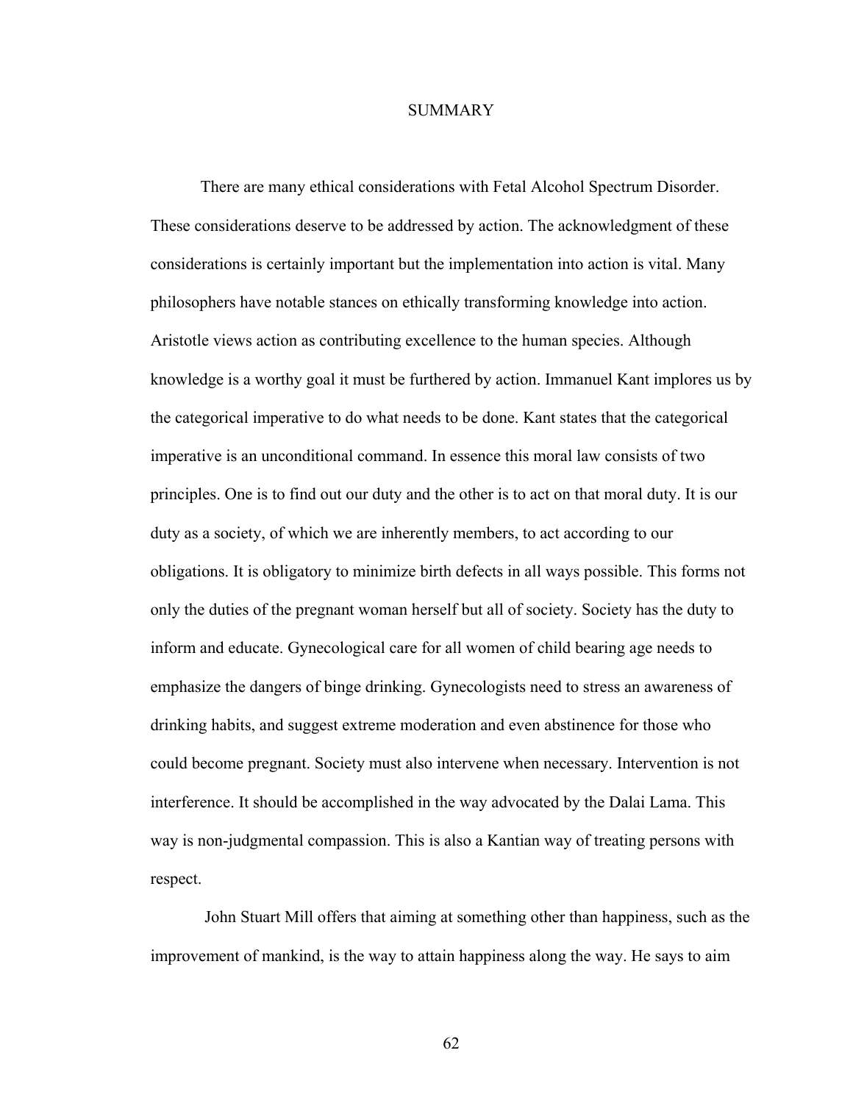#### SUMMARY

There are many ethical considerations with Fetal Alcohol Spectrum Disorder. These considerations deserve to be addressed by action. The acknowledgment of these considerations is certainly important but the implementation into action is vital. Many philosophers have notable stances on ethically transforming knowledge into action. Aristotle views action as contributing excellence to the human species. Although knowledge is a worthy goal it must be furthered by action. Immanuel Kant implores us by the categorical imperative to do what needs to be done. Kant states that the categorical imperative is an unconditional command. In essence this moral law consists of two principles. One is to find out our duty and the other is to act on that moral duty. It is our duty as a society, of which we are inherently members, to act according to our obligations. It is obligatory to minimize birth defects in all ways possible. This forms not only the duties of the pregnant woman herself but all of society. Society has the duty to inform and educate. Gynecological care for all women of child bearing age needs to emphasize the dangers of binge drinking. Gynecologists need to stress an awareness of drinking habits, and suggest extreme moderation and even abstinence for those who could become pregnant. Society must also intervene when necessary. Intervention is not interference. It should be accomplished in the way advocated by the Dalai Lama. This way is non-judgmental compassion. This is also a Kantian way of treating persons with respect.

 John Stuart Mill offers that aiming at something other than happiness, such as the improvement of mankind, is the way to attain happiness along the way. He says to aim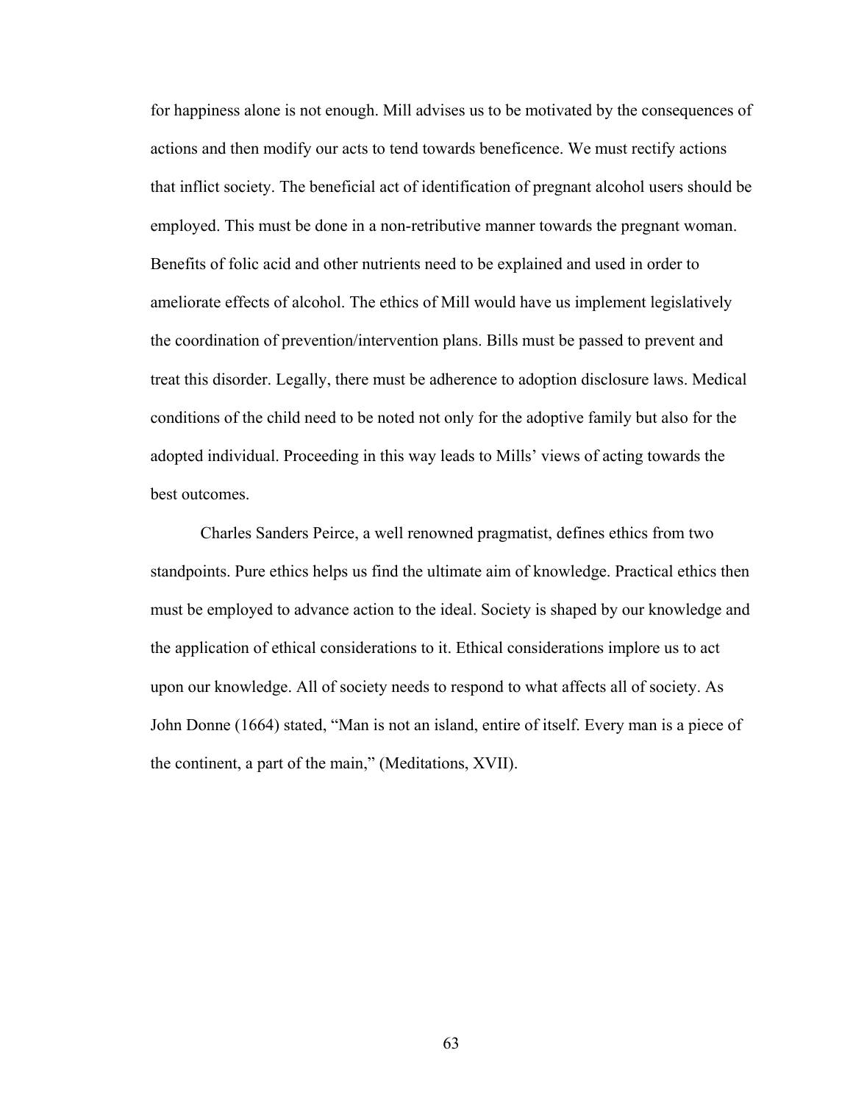for happiness alone is not enough. Mill advises us to be motivated by the consequences of actions and then modify our acts to tend towards beneficence. We must rectify actions that inflict society. The beneficial act of identification of pregnant alcohol users should be employed. This must be done in a non-retributive manner towards the pregnant woman. Benefits of folic acid and other nutrients need to be explained and used in order to ameliorate effects of alcohol. The ethics of Mill would have us implement legislatively the coordination of prevention/intervention plans. Bills must be passed to prevent and treat this disorder. Legally, there must be adherence to adoption disclosure laws. Medical conditions of the child need to be noted not only for the adoptive family but also for the adopted individual. Proceeding in this way leads to Mills' views of acting towards the best outcomes.

Charles Sanders Peirce, a well renowned pragmatist, defines ethics from two standpoints. Pure ethics helps us find the ultimate aim of knowledge. Practical ethics then must be employed to advance action to the ideal. Society is shaped by our knowledge and the application of ethical considerations to it. Ethical considerations implore us to act upon our knowledge. All of society needs to respond to what affects all of society. As John Donne (1664) stated, "Man is not an island, entire of itself. Every man is a piece of the continent, a part of the main," (Meditations, XVII).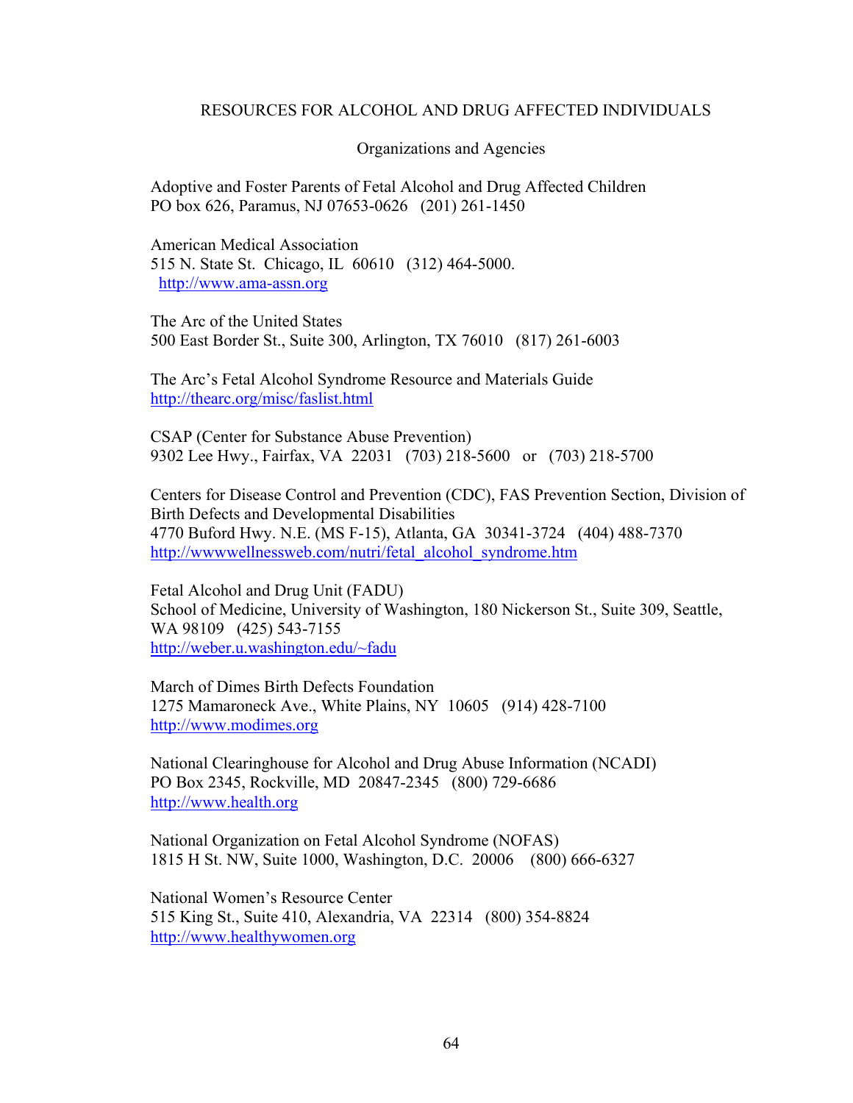## RESOURCES FOR ALCOHOL AND DRUG AFFECTED INDIVIDUALS

Organizations and Agencies

Adoptive and Foster Parents of Fetal Alcohol and Drug Affected Children PO box 626, Paramus, NJ 07653-0626 (201) 261-1450

American Medical Association 515 N. State St. Chicago, IL 60610 (312) 464-5000. http://www.ama-assn.org

The Arc of the United States 500 East Border St., Suite 300, Arlington, TX 76010 (817) 261-6003

The Arc's Fetal Alcohol Syndrome Resource and Materials Guide http://thearc.org/misc/faslist.html

CSAP (Center for Substance Abuse Prevention) 9302 Lee Hwy., Fairfax, VA 22031 (703) 218-5600 or (703) 218-5700

Centers for Disease Control and Prevention (CDC), FAS Prevention Section, Division of Birth Defects and Developmental Disabilities 4770 Buford Hwy. N.E. (MS F-15), Atlanta, GA 30341-3724 (404) 488-7370 http://wwwwellnessweb.com/nutri/fetal\_alcohol\_syndrome.htm

Fetal Alcohol and Drug Unit (FADU) School of Medicine, University of Washington, 180 Nickerson St., Suite 309, Seattle, WA 98109 (425) 543-7155 http://weber.u.washington.edu/~fadu

March of Dimes Birth Defects Foundation 1275 Mamaroneck Ave., White Plains, NY 10605 (914) 428-7100 http://www.modimes.org

National Clearinghouse for Alcohol and Drug Abuse Information (NCADI) PO Box 2345, Rockville, MD 20847-2345 (800) 729-6686 http://www.health.org

National Organization on Fetal Alcohol Syndrome (NOFAS) 1815 H St. NW, Suite 1000, Washington, D.C. 20006 (800) 666-6327

National Women's Resource Center 515 King St., Suite 410, Alexandria, VA 22314 (800) 354-8824 http://www.healthywomen.org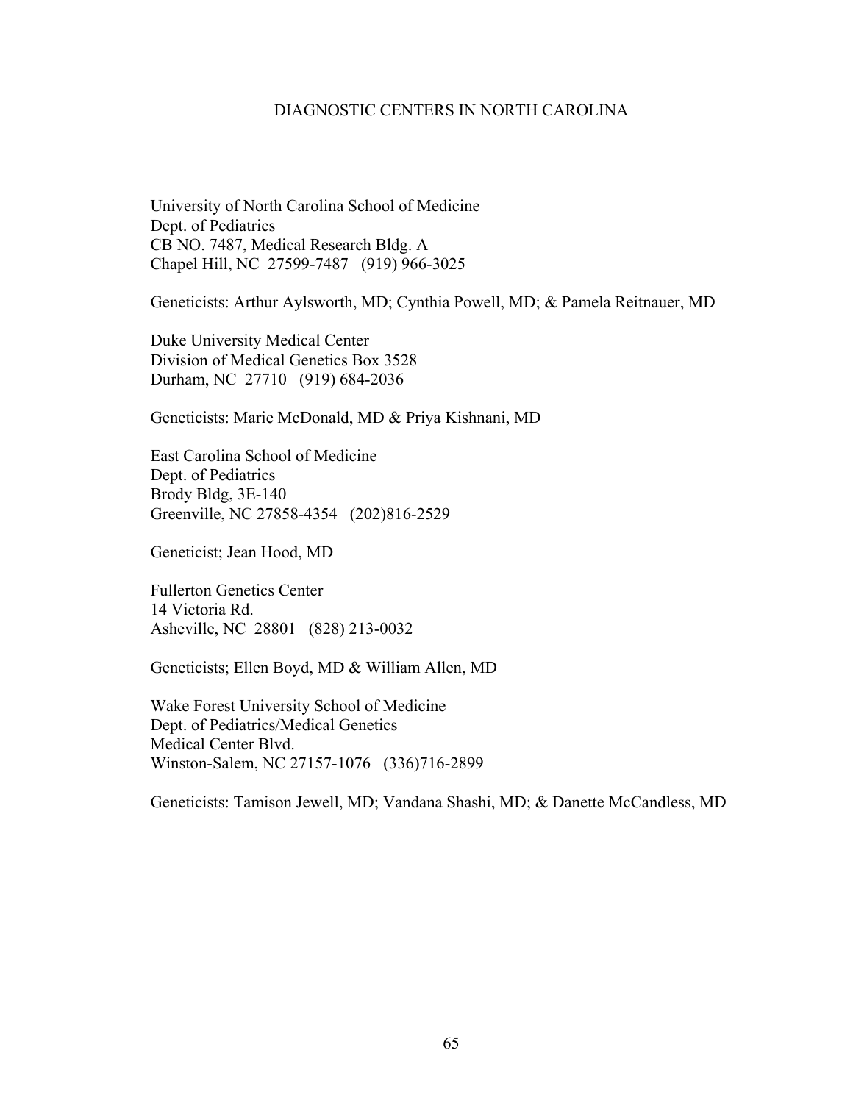### DIAGNOSTIC CENTERS IN NORTH CAROLINA

University of North Carolina School of Medicine Dept. of Pediatrics CB NO. 7487, Medical Research Bldg. A Chapel Hill, NC 27599-7487 (919) 966-3025

Geneticists: Arthur Aylsworth, MD; Cynthia Powell, MD; & Pamela Reitnauer, MD

Duke University Medical Center Division of Medical Genetics Box 3528 Durham, NC 27710 (919) 684-2036

Geneticists: Marie McDonald, MD & Priya Kishnani, MD

East Carolina School of Medicine Dept. of Pediatrics Brody Bldg, 3E-140 Greenville, NC 27858-4354 (202)816-2529

Geneticist; Jean Hood, MD

Fullerton Genetics Center 14 Victoria Rd. Asheville, NC 28801 (828) 213-0032

Geneticists; Ellen Boyd, MD & William Allen, MD

Wake Forest University School of Medicine Dept. of Pediatrics/Medical Genetics Medical Center Blvd. Winston-Salem, NC 27157-1076 (336)716-2899

Geneticists: Tamison Jewell, MD; Vandana Shashi, MD; & Danette McCandless, MD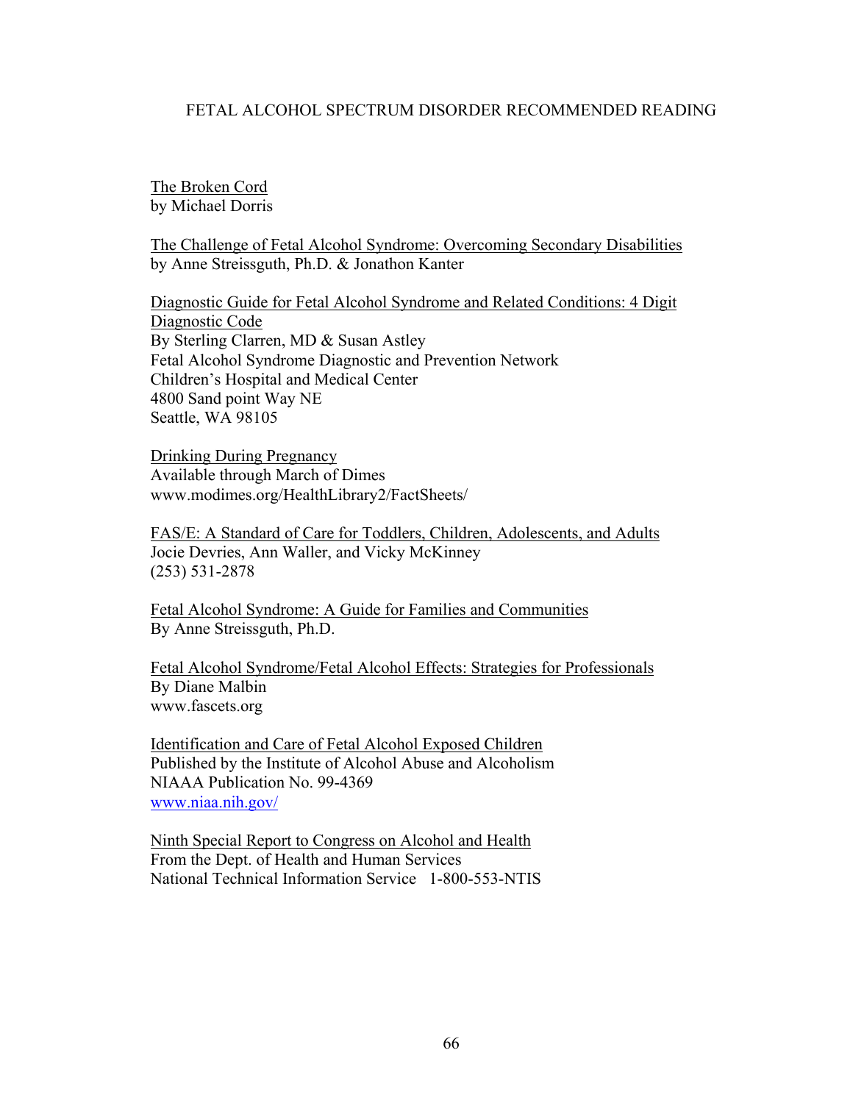# FETAL ALCOHOL SPECTRUM DISORDER RECOMMENDED READING

The Broken Cord by Michael Dorris

The Challenge of Fetal Alcohol Syndrome: Overcoming Secondary Disabilities by Anne Streissguth, Ph.D. & Jonathon Kanter

Diagnostic Guide for Fetal Alcohol Syndrome and Related Conditions: 4 Digit Diagnostic Code By Sterling Clarren, MD & Susan Astley Fetal Alcohol Syndrome Diagnostic and Prevention Network Children's Hospital and Medical Center 4800 Sand point Way NE Seattle, WA 98105

Drinking During Pregnancy Available through March of Dimes www.modimes.org/HealthLibrary2/FactSheets/

FAS/E: A Standard of Care for Toddlers, Children, Adolescents, and Adults Jocie Devries, Ann Waller, and Vicky McKinney (253) 531-2878

Fetal Alcohol Syndrome: A Guide for Families and Communities By Anne Streissguth, Ph.D.

Fetal Alcohol Syndrome/Fetal Alcohol Effects: Strategies for Professionals By Diane Malbin www.fascets.org

Identification and Care of Fetal Alcohol Exposed Children Published by the Institute of Alcohol Abuse and Alcoholism NIAAA Publication No. 99-4369 www.niaa.nih.gov/

Ninth Special Report to Congress on Alcohol and Health From the Dept. of Health and Human Services National Technical Information Service 1-800-553-NTIS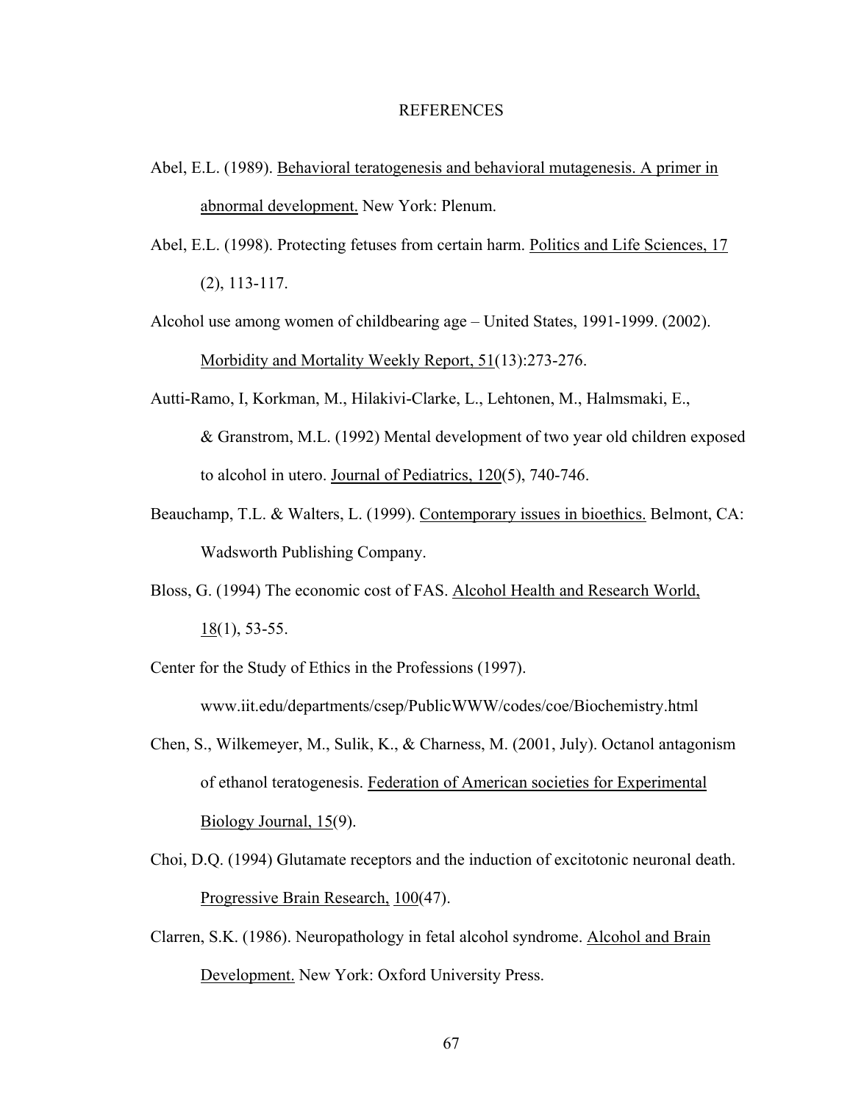#### REFERENCES

- Abel, E.L. (1989). Behavioral teratogenesis and behavioral mutagenesis. A primer in abnormal development. New York: Plenum.
- Abel, E.L. (1998). Protecting fetuses from certain harm. Politics and Life Sciences, 17 (2), 113-117.
- Alcohol use among women of childbearing age United States, 1991-1999. (2002). Morbidity and Mortality Weekly Report, 51(13):273-276.
- Autti-Ramo, I, Korkman, M., Hilakivi-Clarke, L., Lehtonen, M., Halmsmaki, E., & Granstrom, M.L. (1992) Mental development of two year old children exposed to alcohol in utero. Journal of Pediatrics, 120(5), 740-746.
- Beauchamp, T.L. & Walters, L. (1999). Contemporary issues in bioethics. Belmont, CA: Wadsworth Publishing Company.
- Bloss, G. (1994) The economic cost of FAS. Alcohol Health and Research World, 18(1), 53-55.

Center for the Study of Ethics in the Professions (1997). www.iit.edu/departments/csep/PublicWWW/codes/coe/Biochemistry.html

- Chen, S., Wilkemeyer, M., Sulik, K., & Charness, M. (2001, July). Octanol antagonism of ethanol teratogenesis. Federation of American societies for Experimental Biology Journal, 15(9).
- Choi, D.Q. (1994) Glutamate receptors and the induction of excitotonic neuronal death. Progressive Brain Research, 100(47).
- Clarren, S.K. (1986). Neuropathology in fetal alcohol syndrome. Alcohol and Brain Development. New York: Oxford University Press.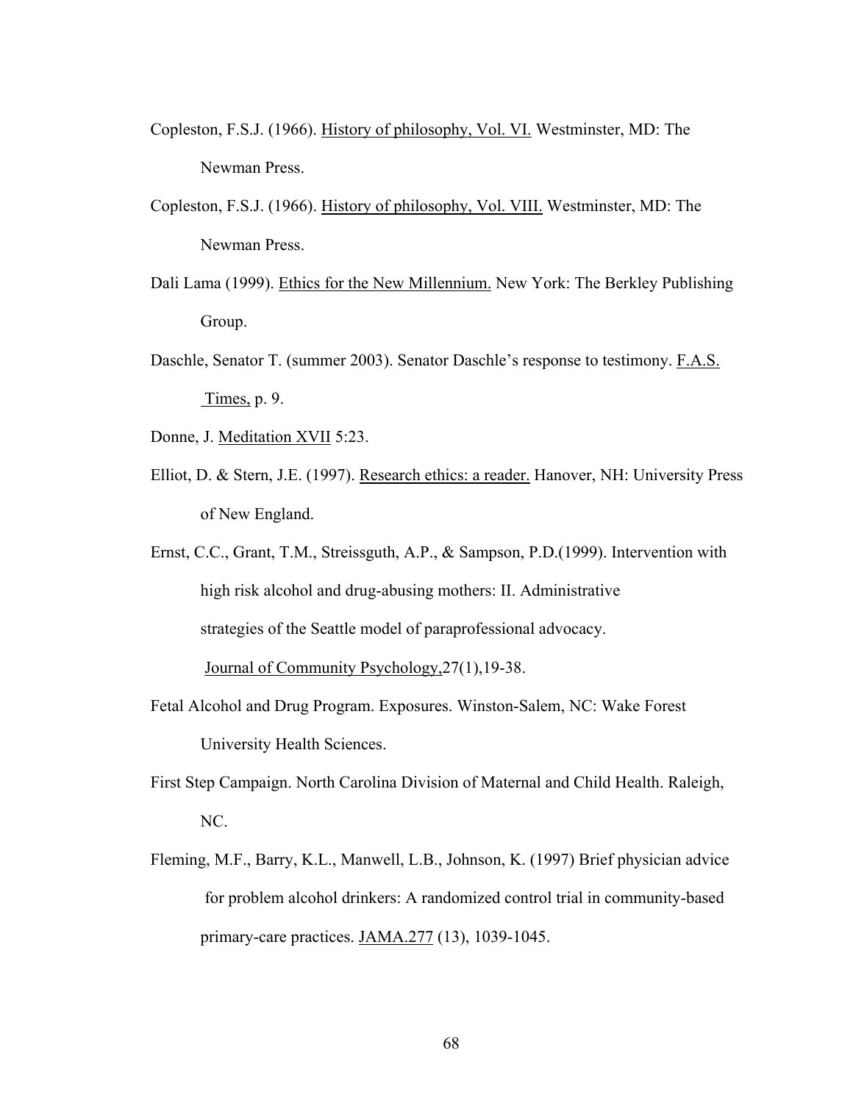- Copleston, F.S.J. (1966). History of philosophy, Vol. VI. Westminster, MD: The Newman Press.
- Copleston, F.S.J. (1966). History of philosophy, Vol. VIII. Westminster, MD: The Newman Press.
- Dali Lama (1999). Ethics for the New Millennium. New York: The Berkley Publishing Group.
- Daschle, Senator T. (summer 2003). Senator Daschle's response to testimony. F.A.S. Times, p. 9.
- Donne, J. Meditation XVII 5:23.
- Elliot, D. & Stern, J.E. (1997). Research ethics: a reader. Hanover, NH: University Press of New England.
- Ernst, C.C., Grant, T.M., Streissguth, A.P., & Sampson, P.D.(1999). Intervention with high risk alcohol and drug-abusing mothers: II. Administrative strategies of the Seattle model of paraprofessional advocacy. Journal of Community Psychology,27(1),19-38.
- Fetal Alcohol and Drug Program. Exposures. Winston-Salem, NC: Wake Forest University Health Sciences.
- First Step Campaign. North Carolina Division of Maternal and Child Health. Raleigh, NC.
- Fleming, M.F., Barry, K.L., Manwell, L.B., Johnson, K. (1997) Brief physician advice for problem alcohol drinkers: A randomized control trial in community-based primary-care practices. JAMA.277 (13), 1039-1045.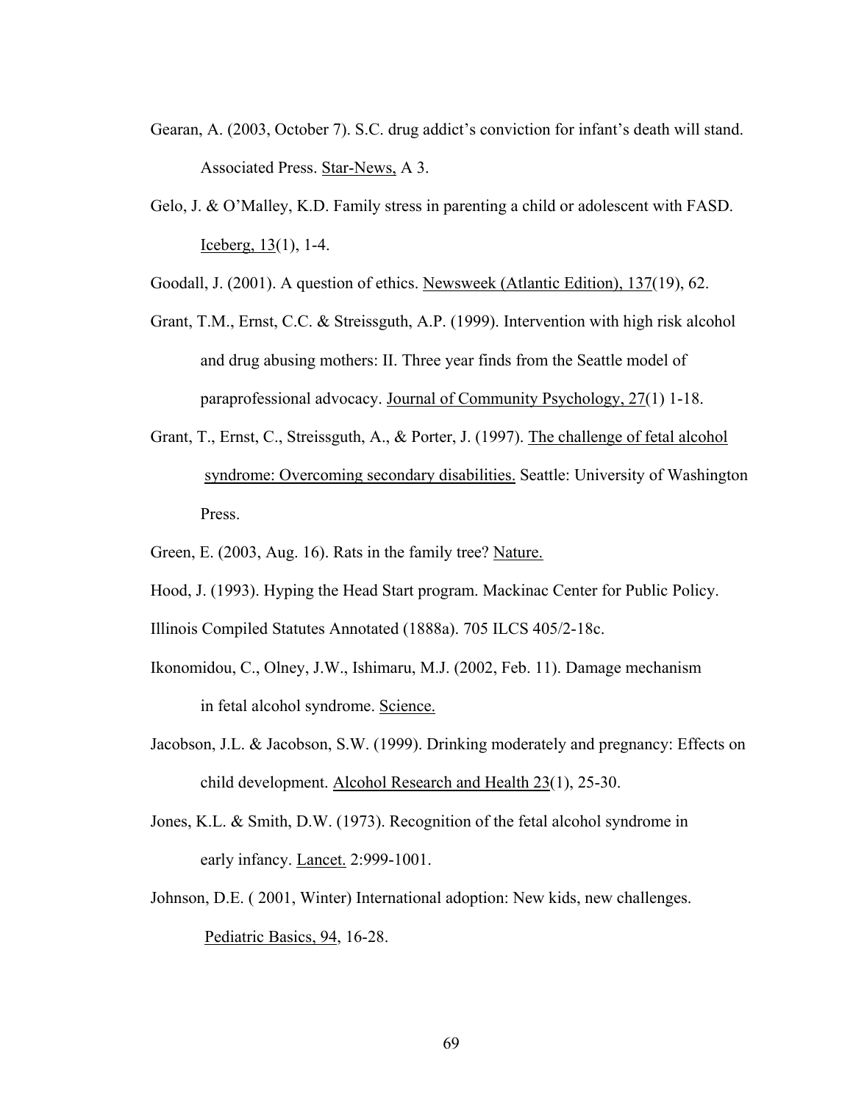- Gearan, A. (2003, October 7). S.C. drug addict's conviction for infant's death will stand. Associated Press. Star-News, A 3.
- Gelo, J. & O'Malley, K.D. Family stress in parenting a child or adolescent with FASD. Iceberg, 13(1), 1-4.

Goodall, J. (2001). A question of ethics. Newsweek (Atlantic Edition), 137(19), 62.

- Grant, T.M., Ernst, C.C. & Streissguth, A.P. (1999). Intervention with high risk alcohol and drug abusing mothers: II. Three year finds from the Seattle model of paraprofessional advocacy. Journal of Community Psychology, 27(1) 1-18.
- Grant, T., Ernst, C., Streissguth, A., & Porter, J. (1997). The challenge of fetal alcohol syndrome: Overcoming secondary disabilities. Seattle: University of Washington Press.
- Green, E. (2003, Aug. 16). Rats in the family tree? Nature.
- Hood, J. (1993). Hyping the Head Start program. Mackinac Center for Public Policy.

Illinois Compiled Statutes Annotated (1888a). 705 ILCS 405/2-18c.

- Ikonomidou, C., Olney, J.W., Ishimaru, M.J. (2002, Feb. 11). Damage mechanism in fetal alcohol syndrome. Science.
- Jacobson, J.L. & Jacobson, S.W. (1999). Drinking moderately and pregnancy: Effects on child development. Alcohol Research and Health 23(1), 25-30.
- Jones, K.L. & Smith, D.W. (1973). Recognition of the fetal alcohol syndrome in early infancy. **Lancet**. 2:999-1001.
- Johnson, D.E. ( 2001, Winter) International adoption: New kids, new challenges. Pediatric Basics, 94, 16-28.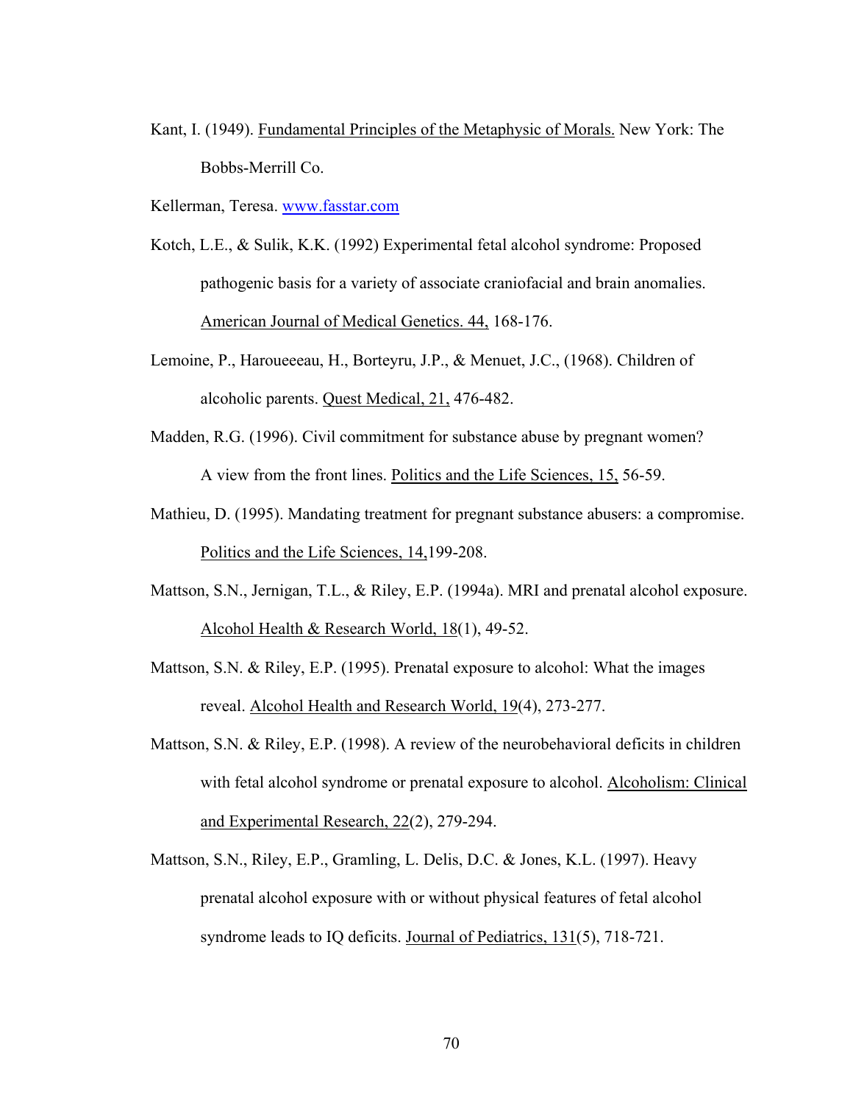Kant, I. (1949). Fundamental Principles of the Metaphysic of Morals. New York: The Bobbs-Merrill Co.

Kellerman, Teresa. www.fasstar.com

- Kotch, L.E., & Sulik, K.K. (1992) Experimental fetal alcohol syndrome: Proposed pathogenic basis for a variety of associate craniofacial and brain anomalies. American Journal of Medical Genetics. 44, 168-176.
- Lemoine, P., Haroueeeau, H., Borteyru, J.P., & Menuet, J.C., (1968). Children of alcoholic parents. Quest Medical, 21, 476-482.
- Madden, R.G. (1996). Civil commitment for substance abuse by pregnant women? A view from the front lines. Politics and the Life Sciences, 15, 56-59.
- Mathieu, D. (1995). Mandating treatment for pregnant substance abusers: a compromise. Politics and the Life Sciences, 14,199-208.
- Mattson, S.N., Jernigan, T.L., & Riley, E.P. (1994a). MRI and prenatal alcohol exposure. Alcohol Health & Research World, 18(1), 49-52.
- Mattson, S.N. & Riley, E.P. (1995). Prenatal exposure to alcohol: What the images reveal. Alcohol Health and Research World, 19(4), 273-277.
- Mattson, S.N. & Riley, E.P. (1998). A review of the neurobehavioral deficits in children with fetal alcohol syndrome or prenatal exposure to alcohol. Alcoholism: Clinical and Experimental Research, 22(2), 279-294.
- Mattson, S.N., Riley, E.P., Gramling, L. Delis, D.C. & Jones, K.L. (1997). Heavy prenatal alcohol exposure with or without physical features of fetal alcohol syndrome leads to IQ deficits. Journal of Pediatrics, 131(5), 718-721.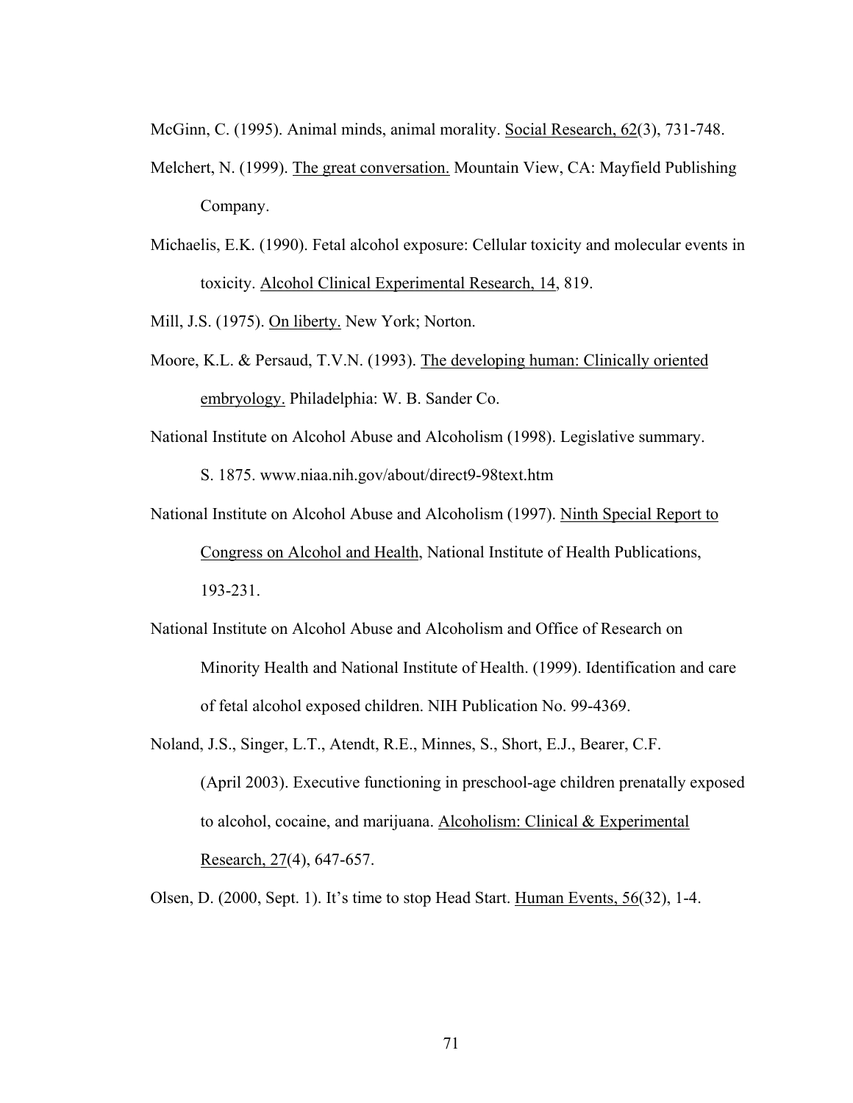McGinn, C. (1995). Animal minds, animal morality. Social Research, 62(3), 731-748.

- Melchert, N. (1999). The great conversation. Mountain View, CA: Mayfield Publishing Company.
- Michaelis, E.K. (1990). Fetal alcohol exposure: Cellular toxicity and molecular events in toxicity. Alcohol Clinical Experimental Research, 14, 819.

Mill, J.S. (1975). On liberty. New York; Norton.

Moore, K.L. & Persaud, T.V.N. (1993). The developing human: Clinically oriented embryology. Philadelphia: W. B. Sander Co.

National Institute on Alcohol Abuse and Alcoholism (1998). Legislative summary.

S. 1875. www.niaa.nih.gov/about/direct9-98text.htm

- National Institute on Alcohol Abuse and Alcoholism (1997). Ninth Special Report to Congress on Alcohol and Health, National Institute of Health Publications, 193-231.
- National Institute on Alcohol Abuse and Alcoholism and Office of Research on Minority Health and National Institute of Health. (1999). Identification and care of fetal alcohol exposed children. NIH Publication No. 99-4369.
- Noland, J.S., Singer, L.T., Atendt, R.E., Minnes, S., Short, E.J., Bearer, C.F. (April 2003). Executive functioning in preschool-age children prenatally exposed to alcohol, cocaine, and marijuana. Alcoholism: Clinical & Experimental Research, 27(4), 647-657.

Olsen, D. (2000, Sept. 1). It's time to stop Head Start. Human Events, 56(32), 1-4.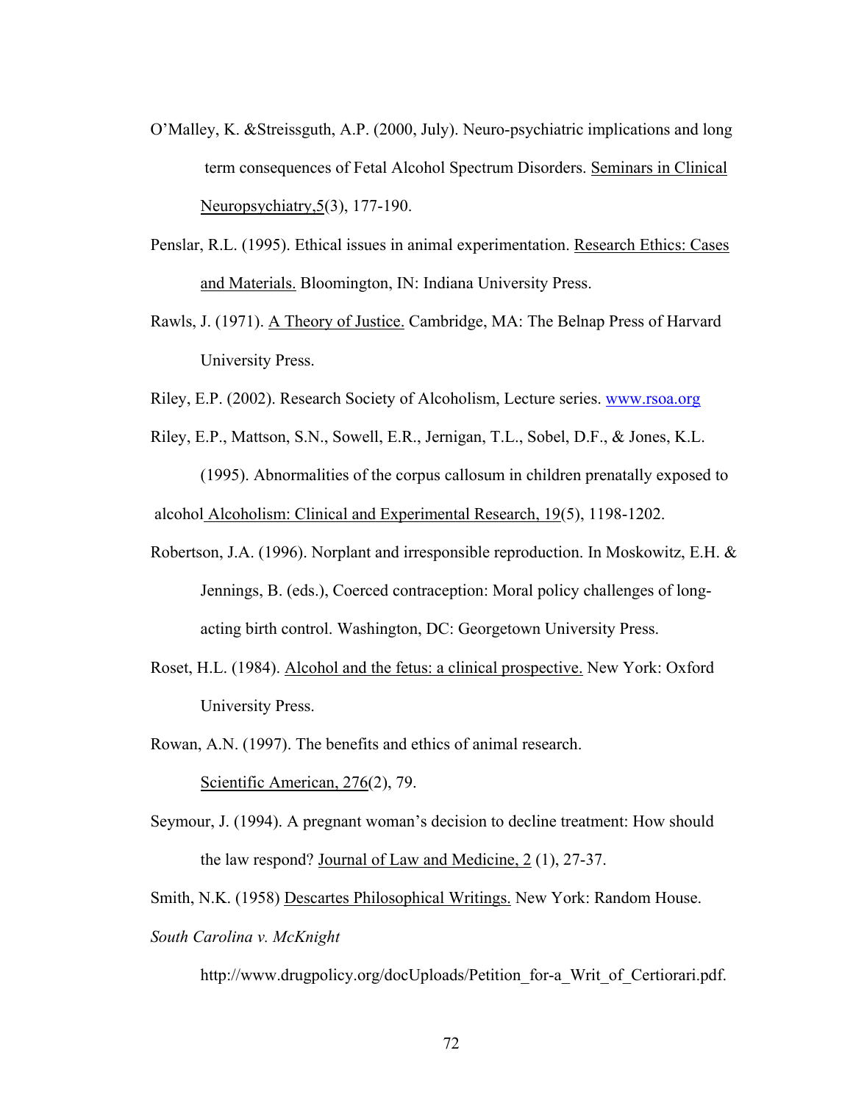- O'Malley, K. &Streissguth, A.P. (2000, July). Neuro-psychiatric implications and long term consequences of Fetal Alcohol Spectrum Disorders. Seminars in Clinical Neuropsychiatry,5(3), 177-190.
- Penslar, R.L. (1995). Ethical issues in animal experimentation. Research Ethics: Cases and Materials. Bloomington, IN: Indiana University Press.
- Rawls, J. (1971). A Theory of Justice. Cambridge, MA: The Belnap Press of Harvard University Press.
- Riley, E.P. (2002). Research Society of Alcoholism, Lecture series. www.rsoa.org
- Riley, E.P., Mattson, S.N., Sowell, E.R., Jernigan, T.L., Sobel, D.F., & Jones, K.L. (1995). Abnormalities of the corpus callosum in children prenatally exposed to alcohol Alcoholism: Clinical and Experimental Research, 19(5), 1198-1202.
- Robertson, J.A. (1996). Norplant and irresponsible reproduction. In Moskowitz, E.H. & Jennings, B. (eds.), Coerced contraception: Moral policy challenges of long acting birth control. Washington, DC: Georgetown University Press.
- Roset, H.L. (1984). Alcohol and the fetus: a clinical prospective. New York: Oxford University Press.
- Rowan, A.N. (1997). The benefits and ethics of animal research.

Scientific American, 276(2), 79.

- Seymour, J. (1994). A pregnant woman's decision to decline treatment: How should the law respond? Journal of Law and Medicine, 2 (1), 27-37.
- Smith, N.K. (1958) Descartes Philosophical Writings. New York: Random House. *South Carolina v. McKnight*

http://www.drugpolicy.org/docUploads/Petition for-a Writ of Certiorari.pdf.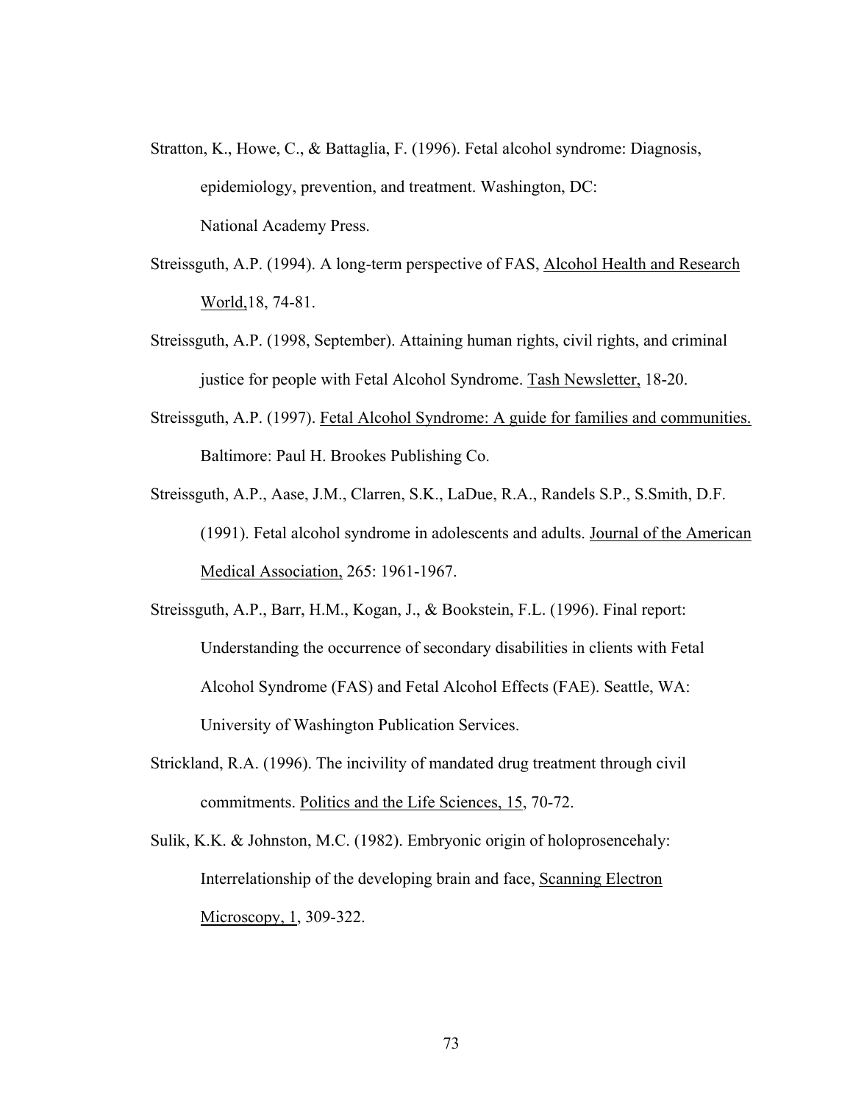- Stratton, K., Howe, C., & Battaglia, F. (1996). Fetal alcohol syndrome: Diagnosis, epidemiology, prevention, and treatment. Washington, DC: National Academy Press.
- Streissguth, A.P. (1994). A long-term perspective of FAS, Alcohol Health and Research World,18, 74-81.
- Streissguth, A.P. (1998, September). Attaining human rights, civil rights, and criminal justice for people with Fetal Alcohol Syndrome. Tash Newsletter, 18-20.
- Streissguth, A.P. (1997). Fetal Alcohol Syndrome: A guide for families and communities. Baltimore: Paul H. Brookes Publishing Co.
- Streissguth, A.P., Aase, J.M., Clarren, S.K., LaDue, R.A., Randels S.P., S.Smith, D.F. (1991). Fetal alcohol syndrome in adolescents and adults. Journal of the American Medical Association, 265: 1961-1967.
- Streissguth, A.P., Barr, H.M., Kogan, J., & Bookstein, F.L. (1996). Final report: Understanding the occurrence of secondary disabilities in clients with Fetal Alcohol Syndrome (FAS) and Fetal Alcohol Effects (FAE). Seattle, WA: University of Washington Publication Services.
- Strickland, R.A. (1996). The incivility of mandated drug treatment through civil commitments. Politics and the Life Sciences, 15, 70-72.
- Sulik, K.K. & Johnston, M.C. (1982). Embryonic origin of holoprosencehaly: Interrelationship of the developing brain and face, Scanning Electron Microscopy, 1, 309-322.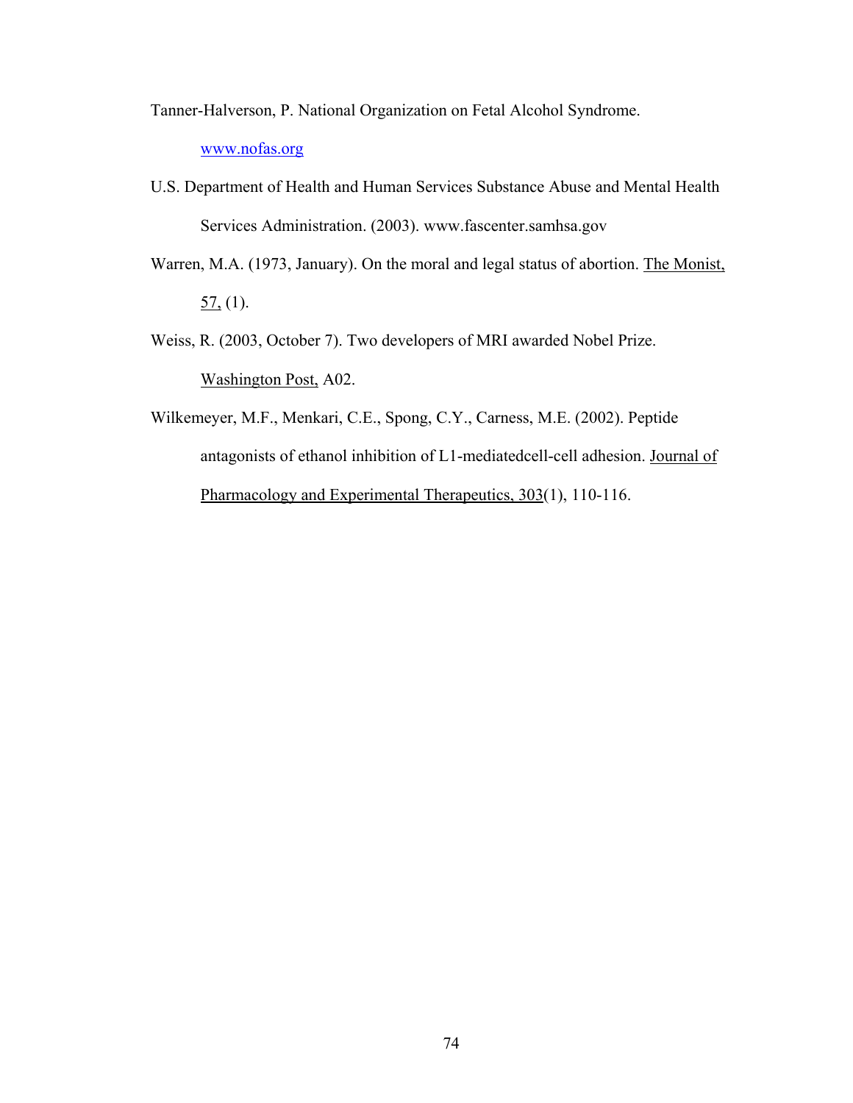Tanner-Halverson, P. National Organization on Fetal Alcohol Syndrome.

www.nofas.org

- U.S. Department of Health and Human Services Substance Abuse and Mental Health Services Administration. (2003). www.fascenter.samhsa.gov
- Warren, M.A. (1973, January). On the moral and legal status of abortion. The Monist,  $57, (1)$ .
- Weiss, R. (2003, October 7). Two developers of MRI awarded Nobel Prize. Washington Post, A02.
- Wilkemeyer, M.F., Menkari, C.E., Spong, C.Y., Carness, M.E. (2002). Peptide antagonists of ethanol inhibition of L1-mediatedcell-cell adhesion. Journal of Pharmacology and Experimental Therapeutics, 303(1), 110-116.